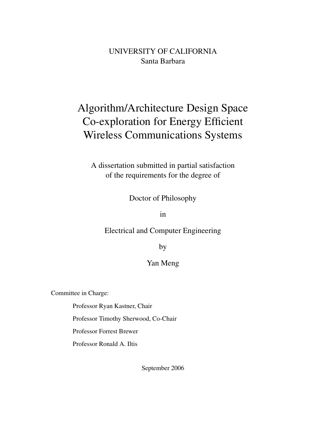# UNIVERSITY OF CALIFORNIA Santa Barbara

# Algorithm/Architecture Design Space Co-exploration for Energy Efficient Wireless Communications Systems

A dissertation submitted in partial satisfaction of the requirements for the degree of

Doctor of Philosophy

in

Electrical and Computer Engineering

by

#### Yan Meng

Committee in Charge:

Professor Ryan Kastner, Chair

Professor Timothy Sherwood, Co-Chair

Professor Forrest Brewer

Professor Ronald A. Iltis

September 2006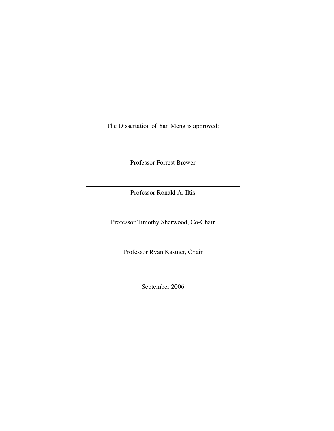The Dissertation of Yan Meng is approved:

Professor Forrest Brewer

Professor Ronald A. Iltis

Professor Timothy Sherwood, Co-Chair

Professor Ryan Kastner, Chair

September 2006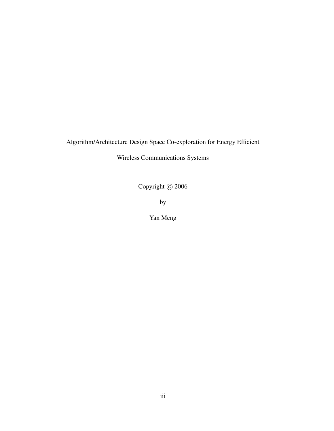# Algorithm/Architecture Design Space Co-exploration for Energy Efficient

Wireless Communications Systems

Copyright  $\odot$  2006

by

Yan Meng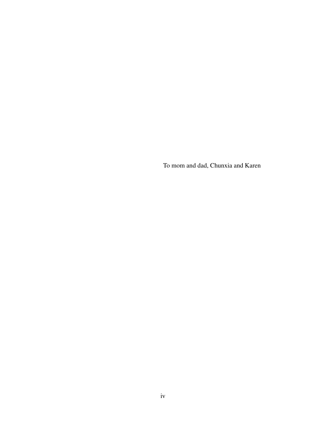To mom and dad, Chunxia and Karen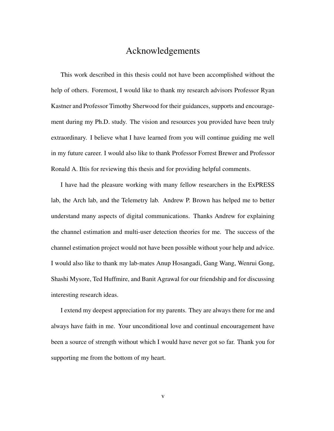## Acknowledgements

This work described in this thesis could not have been accomplished without the help of others. Foremost, I would like to thank my research advisors Professor Ryan Kastner and Professor Timothy Sherwood for their guidances, supports and encouragement during my Ph.D. study. The vision and resources you provided have been truly extraordinary. I believe what I have learned from you will continue guiding me well in my future career. I would also like to thank Professor Forrest Brewer and Professor Ronald A. Iltis for reviewing this thesis and for providing helpful comments.

I have had the pleasure working with many fellow researchers in the ExPRESS lab, the Arch lab, and the Telemetry lab. Andrew P. Brown has helped me to better understand many aspects of digital communications. Thanks Andrew for explaining the channel estimation and multi-user detection theories for me. The success of the channel estimation project would not have been possible without your help and advice. I would also like to thank my lab-mates Anup Hosangadi, Gang Wang, Wenrui Gong, Shashi Mysore, Ted Huffmire, and Banit Agrawal for our friendship and for discussing interesting research ideas.

I extend my deepest appreciation for my parents. They are always there for me and always have faith in me. Your unconditional love and continual encouragement have been a source of strength without which I would have never got so far. Thank you for supporting me from the bottom of my heart.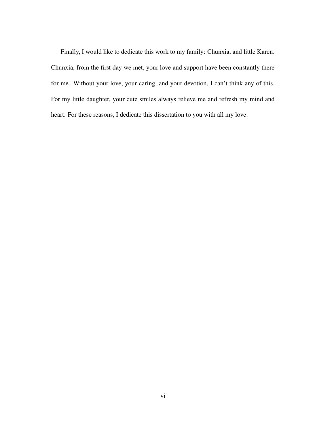Finally, I would like to dedicate this work to my family: Chunxia, and little Karen. Chunxia, from the first day we met, your love and support have been constantly there for me. Without your love, your caring, and your devotion, I can't think any of this. For my little daughter, your cute smiles always relieve me and refresh my mind and heart. For these reasons, I dedicate this dissertation to you with all my love.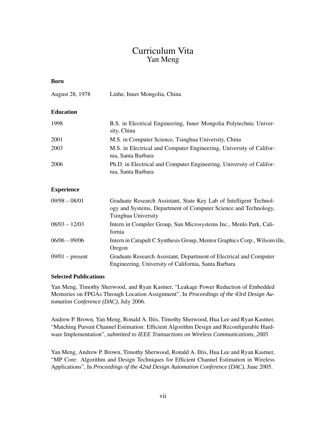# Curriculum Vita Yan Meng

#### **Born**

August 28, 1978 Linhe, Inner Mongolia, China

#### **Education**

| 1998 | B.S. in Electrical Engineering, Inner Mongolia Polytechnic Univer-<br>sity, China          |
|------|--------------------------------------------------------------------------------------------|
| 2001 | M.S. in Computer Science, Tsinghua University, China                                       |
| 2003 | M.S. in Electrical and Computer Engineering, University of Califor-<br>nia, Santa Barbara  |
| 2006 | Ph.D. in Electrical and Computer Engineering, University of Califor-<br>nia, Santa Barbara |

#### **Experience**

| $09/98 - 08/01$   | Graduate Research Assistant, State Key Lab of Intelligent Technol-<br>ogy and Systems, Department of Computer Science and Technology,<br>Tsinghua University |
|-------------------|--------------------------------------------------------------------------------------------------------------------------------------------------------------|
| $08/03 - 12/03$   | Intern in Compiler Group, Sun Microsystems Inc., Menlo Park, Cali-<br>fornia                                                                                 |
| $06/06 - 09/06$   | Intern in Catapult C Synthesis Group, Mentor Graphics Corp., Wilsonville,<br>Oregon                                                                          |
| $09/01$ – present | Graduate Research Assistant, Department of Electrical and Computer<br>Engineering, University of California, Santa Barbara                                   |

#### **Selected Publications**

Yan Meng, Timothy Sherwood, and Ryan Kastner, "Leakage Power Reduction of Embedded Memories on FPGAs Through Location Assignment", In *Proceedings of the 43rd Design Automation Conference (DAC)*, July 2006.

Andrew P. Brown, Yan Meng, Ronald A. Iltis, Timothy Sherwood, Hua Lee and Ryan Kastner, "Matching Pursuit Channel Estimation: Efficient Algorithm Design and Reconfigurable Hardware Implementation", *submitted to IEEE Transactions on Wireless Communications, 2005*

Yan Meng, Andrew P. Brown, Timothy Sherwood, Ronald A. Iltis, Hua Lee and Ryan Kastner, "MP Core: Algorithm and Design Techniques for Efficient Channel Estimation in Wireless Applications", In *Proceedings of the 42nd Design Automation Conference (DAC)*, June 2005.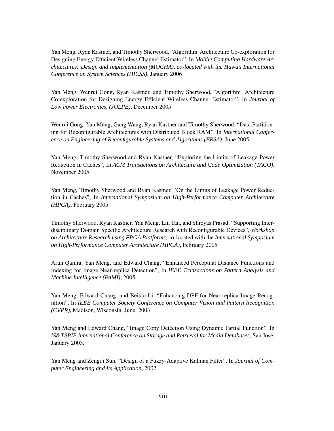Yan Meng, Ryan Kastner, and Timothy Sherwood, "Algorithm Architecture Co-exploration for Designing Energy Efficient Wireless Channel Estimator", In *Mobile Computing Hardware Architectures: Design and Implementation (MOCHA), co-located with the Hawaii International Conference on System Sciences (HICSS)*, January 2006

Yan Meng, Wenrui Gong, Ryan Kastner, and Timothy Sherwood, "Algorithm Architecture Co-exploration for Designing Energy Efficient Wireless Channel Estimator", In *Journal of Low Power Electronics, (JOLPE)*, December 2005

Wenrui Gong, Yan Meng, Gang Wang, Ryan Kastner and Timothy Sherwood, "Data Partitioning for Reconfigurable Architectures with Distributed Block RAM", In *International Conference on Engineering of Reconfigurable Systems and Algorithms (ERSA)*, June 2005

Yan Meng, Timothy Sherwood and Ryan Kastner, "Exploring the Limits of Leakage Power Reduction in Caches", In *ACM Transactions on Architecture and Code Optimization (TACO)*, November 2005

Yan Meng, Timothy Sherwood and Ryan Kastner, "On the Limits of Leakage Power Reduction in Caches", In *International Symposium on High-Performance Computer Architecture (HPCA)*, February 2005

Timothy Sherwood, Ryan Kastner, Yan Meng, Lin Tan, and Shreyas Prasad, "Supporting Interdisciplinary Domain Specific Architecture Research with Reconfigurable Devices", *Workshop on Architecture Research using FPGA Platforms*, co-located with the *International Symposium on High-Performance Computer Architecture (HPCA)*, February 2005

Arun Qamra, Yan Meng, and Edward Chang, "Enhanced Perceptual Distance Functions and Indexing for Image Near-replica Detection", In *IEEE Transactions on Pattern Analysis and Machine Intelligence (PAMI)*, 2005

Yan Meng, Edward Chang, and Beitao Li, "Enhancing DPF for Near-replica Image Recognition", In *IEEE Computer Society Conference on Computer Vision and Pattern Recognition (CVPR)*, Madison, Wisconsin, June, 2003

Yan Meng and Edward Chang, "Image Copy Detection Using Dynamic Partial Function", In *IS&TSPIE International Conference on Storage and Retrieval for Media Databases*, San Jose, January 2003.

Yan Meng and Zengqi Sun, "Design of a Fuzzy-Adaptive Kalman Filter", In *Journal of Computer Engineering and Its Application*, 2002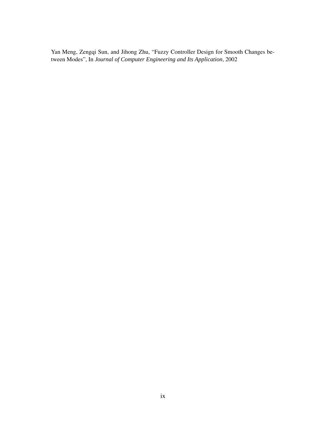Yan Meng, Zengqi Sun, and Jihong Zhu, "Fuzzy Controller Design for Smooth Changes between Modes", In *Journal of Computer Engineering and Its Application*, 2002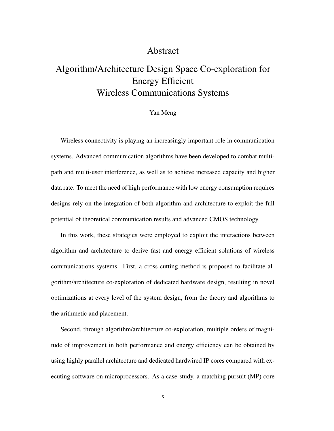## Abstract

# Algorithm/Architecture Design Space Co-exploration for Energy Efficient Wireless Communications Systems

#### Yan Meng

Wireless connectivity is playing an increasingly important role in communication systems. Advanced communication algorithms have been developed to combat multipath and multi-user interference, as well as to achieve increased capacity and higher data rate. To meet the need of high performance with low energy consumption requires designs rely on the integration of both algorithm and architecture to exploit the full potential of theoretical communication results and advanced CMOS technology.

In this work, these strategies were employed to exploit the interactions between algorithm and architecture to derive fast and energy efficient solutions of wireless communications systems. First, a cross-cutting method is proposed to facilitate algorithm/architecture co-exploration of dedicated hardware design, resulting in novel optimizations at every level of the system design, from the theory and algorithms to the arithmetic and placement.

Second, through algorithm/architecture co-exploration, multiple orders of magnitude of improvement in both performance and energy efficiency can be obtained by using highly parallel architecture and dedicated hardwired IP cores compared with executing software on microprocessors. As a case-study, a matching pursuit (MP) core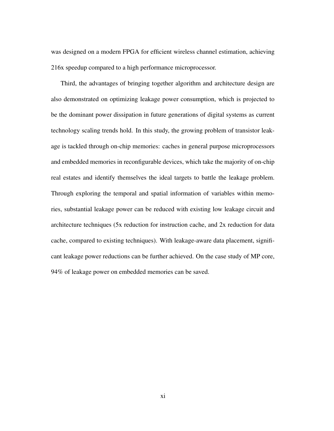was designed on a modern FPGA for efficient wireless channel estimation, achieving 216x speedup compared to a high performance microprocessor.

Third, the advantages of bringing together algorithm and architecture design are also demonstrated on optimizing leakage power consumption, which is projected to be the dominant power dissipation in future generations of digital systems as current technology scaling trends hold. In this study, the growing problem of transistor leakage is tackled through on-chip memories: caches in general purpose microprocessors and embedded memories in reconfigurable devices, which take the majority of on-chip real estates and identify themselves the ideal targets to battle the leakage problem. Through exploring the temporal and spatial information of variables within memories, substantial leakage power can be reduced with existing low leakage circuit and architecture techniques (5x reduction for instruction cache, and 2x reduction for data cache, compared to existing techniques). With leakage-aware data placement, significant leakage power reductions can be further achieved. On the case study of MP core, 94% of leakage power on embedded memories can be saved.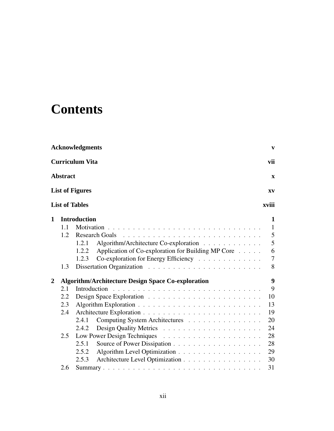# **Contents**

|                  |                 | <b>Acknowledgments</b> |                                                           | $\mathbf{v}$ |
|------------------|-----------------|------------------------|-----------------------------------------------------------|--------------|
|                  |                 | <b>Curriculum Vita</b> |                                                           | vii          |
|                  | <b>Abstract</b> |                        |                                                           | X            |
|                  |                 | <b>List of Figures</b> |                                                           | XV           |
|                  |                 | <b>List of Tables</b>  |                                                           | xviii        |
| 1                |                 | <b>Introduction</b>    |                                                           | 1            |
|                  | 1.1             |                        |                                                           | 1            |
|                  | 1.2             |                        | <b>Research Goals</b>                                     | 5            |
|                  |                 | 1.2.1                  | Algorithm/Architecture Co-exploration                     | 5            |
|                  |                 | 1.2.2                  | Application of Co-exploration for Building MP Core        | 6            |
|                  |                 | 1.2.3                  | Co-exploration for Energy Efficiency                      | 7            |
|                  | 1.3             |                        |                                                           | 8            |
| $\boldsymbol{2}$ |                 |                        | <b>Algorithm/Architecture Design Space Co-exploration</b> | 9            |
|                  | 2.1             |                        | Introduction                                              | 9            |
|                  | 2.2             |                        |                                                           | 10           |
|                  | 2.3             |                        |                                                           | 13           |
|                  | 2.4             |                        |                                                           | 19           |
|                  |                 | 2.4.1                  | Computing System Architectures                            | 20           |
|                  |                 | 2.4.2                  |                                                           | 24           |
|                  | 2.5             |                        |                                                           | 28           |
|                  |                 | 2.5.1                  |                                                           | 28           |
|                  |                 | 2.5.2                  |                                                           | 29           |
|                  |                 | 2.5.3                  | Architecture Level Optimization                           | 30           |
|                  | 2.6             |                        |                                                           | 31           |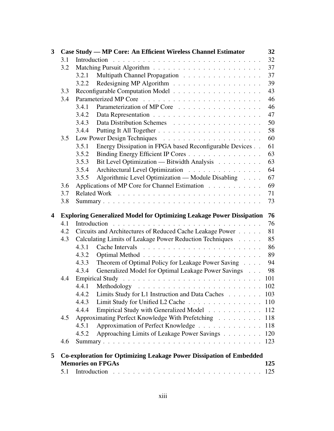| 3 |     |       | Case Study — MP Core: An Efficient Wireless Channel Estimator                                          | 32  |
|---|-----|-------|--------------------------------------------------------------------------------------------------------|-----|
|   | 3.1 |       |                                                                                                        | 32  |
|   | 3.2 |       |                                                                                                        | 37  |
|   |     | 3.2.1 | Multipath Channel Propagation                                                                          | 37  |
|   |     | 3.2.2 |                                                                                                        | 39  |
|   | 3.3 |       |                                                                                                        | 43  |
|   | 3.4 |       |                                                                                                        | 46  |
|   |     | 3.4.1 | Parameterization of MP Core                                                                            | 46  |
|   |     | 3.4.2 |                                                                                                        | 47  |
|   |     | 3.4.3 |                                                                                                        | 50  |
|   |     | 3.4.4 |                                                                                                        | 58  |
|   | 3.5 |       |                                                                                                        | 60  |
|   |     | 3.5.1 | Energy Dissipation in FPGA based Reconfigurable Devices                                                | 61  |
|   |     | 3.5.2 | Binding Energy Efficient IP Cores                                                                      | 63  |
|   |     | 3.5.3 | Bit Level Optimization — Bitwidth Analysis                                                             | 63  |
|   |     | 3.5.4 | Architectural Level Optimization                                                                       | 64  |
|   |     | 3.5.5 | Algorithmic Level Optimization — Module Disabling                                                      | 67  |
|   | 3.6 |       | Applications of MP Core for Channel Estimation                                                         | 69  |
|   | 3.7 |       |                                                                                                        | 71  |
|   | 3.8 |       |                                                                                                        | 73  |
| 4 |     |       | <b>Exploring Generalized Model for Optimizing Leakage Power Dissipation</b>                            | 76  |
|   | 4.1 |       |                                                                                                        | 76  |
|   | 4.2 |       | Circuits and Architectures of Reduced Cache Leakage Power                                              | 81  |
|   | 4.3 |       | Calculating Limits of Leakage Power Reduction Techniques                                               | 85  |
|   |     | 4.3.1 |                                                                                                        | 86  |
|   |     |       |                                                                                                        |     |
|   |     | 4.3.2 |                                                                                                        | 89  |
|   |     | 4.3.3 | Theorem of Optimal Policy for Leakage Power Saving                                                     | 94  |
|   |     | 4.3.4 | Generalized Model for Optimal Leakage Power Savings                                                    | 98  |
|   | 4.4 |       |                                                                                                        | 101 |
|   |     | 4.4.1 |                                                                                                        |     |
|   |     | 4.4.2 | Limits Study for L1 Instruction and Data Caches 103                                                    |     |
|   |     | 4.4.3 | Limit Study for Unified L2 Cache 110                                                                   |     |
|   |     | 4.4.4 | Empirical Study with Generalized Model                                                                 | 112 |
|   | 4.5 |       | Approximating Perfect Knowledge With Prefetching                                                       | 118 |
|   |     | 4.5.1 |                                                                                                        | 118 |
|   |     | 4.5.2 | Approximation of Perfect Knowledge                                                                     |     |
|   | 4.6 |       | Approaching Limits of Leakage Power Savings                                                            | 120 |
|   |     |       |                                                                                                        |     |
| 5 |     |       | <b>Co-exploration for Optimizing Leakage Power Dissipation of Embedded</b><br><b>Memories on FPGAs</b> | 125 |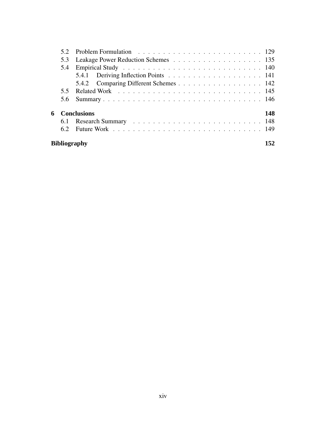|    |              | 5.3 Leakage Power Reduction Schemes 135 |     |
|----|--------------|-----------------------------------------|-----|
|    | 5.4          |                                         |     |
|    |              |                                         |     |
|    |              | 5.4.2 Comparing Different Schemes 142   |     |
|    |              |                                         |     |
|    |              |                                         |     |
| 6. |              | <b>Conclusions</b>                      | 148 |
|    |              |                                         |     |
|    |              |                                         |     |
|    | Bibliography |                                         | 152 |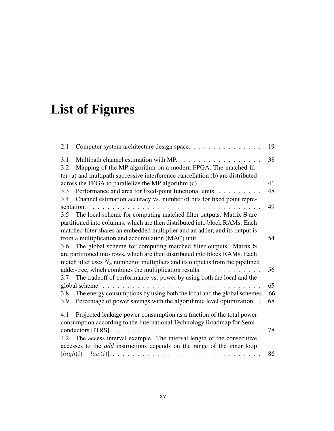# **List of Figures**

| 2.1        | Computer system architecture design space.                                                                                           | 19 |
|------------|--------------------------------------------------------------------------------------------------------------------------------------|----|
| 3.1        | Multipath channel estimation with MP.<br>.                                                                                           | 38 |
| 3.2        | Mapping of the MP algorithm on a modern FPGA. The matched fil-                                                                       |    |
|            | ter (a) and multipath successive interference cancellation (b) are distributed                                                       |    |
|            | across the FPGA to parallelize the MP algorithm (c). $\ldots \ldots \ldots \ldots$                                                   | 41 |
| 3.3        | Performance and area for fixed-point functional units.                                                                               | 48 |
| 3.4        | Channel estimation accuracy vs. number of bits for fixed point repre-                                                                |    |
| sentation. |                                                                                                                                      | 49 |
| 3.5        | The local scheme for computing matched filter outputs. Matrix S are                                                                  |    |
|            | partitioned into columns, which are then distributed into block RAMs. Each                                                           |    |
|            | matched filter shares an embedded multiplier and an adder, and its output is                                                         |    |
|            | from a multiplication and accumulation (MAC) unit. $\ldots$                                                                          | 54 |
| 3.6        | The global scheme for computing matched filter outputs. Matrix S                                                                     |    |
|            | are partitioned into rows, which are then distributed into block RAMs. Each                                                          |    |
|            | match filter uses $NS$ number of multipliers and its output is from the pipelined                                                    |    |
|            | adder-tree, which combines the multiplication results.                                                                               | 56 |
| 3.7        | The tradeoff of performance vs. power by using both the local and the                                                                |    |
|            | global scheme. $\ldots$ $\ldots$ $\ldots$ $\ldots$ $\ldots$ $\ldots$ $\ldots$                                                        | 65 |
| 3.8        | The energy consumptions by using both the local and the global schemes.                                                              | 66 |
| 3.9        | Percentage of power savings with the algorithmic level optimization. .                                                               | 68 |
| 4.1        | Projected leakage power consumption as a fraction of the total power                                                                 |    |
|            | consumption according to the International Technology Roadmap for Semi-                                                              |    |
|            | conductors [ITRS].                                                                                                                   | 78 |
| 4.2        | The access interval example. The interval length of the consecutive                                                                  |    |
|            | accesses to the <i>add</i> instructions depends on the range of the inner loop                                                       |    |
|            | $\lvert high(i) - low(i) \rvert.$ $\ldots$ $\ldots$ $\ldots$ $\ldots$ $\ldots$ $\ldots$ $\ldots$ $\ldots$ $\ldots$ $\ldots$ $\ldots$ | 86 |
|            |                                                                                                                                      |    |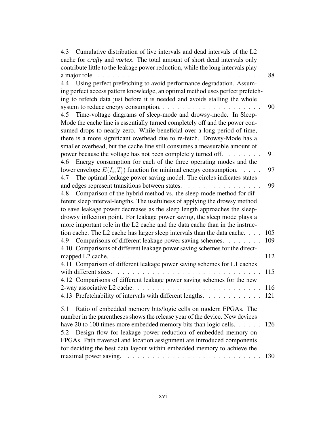| Cumulative distribution of live intervals and dead intervals of the L2<br>4.3                                                                                                                                                                                                                            |
|----------------------------------------------------------------------------------------------------------------------------------------------------------------------------------------------------------------------------------------------------------------------------------------------------------|
| cache for crafty and vortex. The total amount of short dead intervals only                                                                                                                                                                                                                               |
| contribute little to the leakage power reduction, while the long intervals play                                                                                                                                                                                                                          |
| 88<br>a major role.                                                                                                                                                                                                                                                                                      |
| Using perfect prefetching to avoid performance degradation. Assum-<br>4.4                                                                                                                                                                                                                                |
| ing perfect access pattern knowledge, an optimal method uses perfect prefetch-                                                                                                                                                                                                                           |
| ing to refetch data just before it is needed and avoids stalling the whole                                                                                                                                                                                                                               |
| system to reduce energy consumption.<br>90                                                                                                                                                                                                                                                               |
| Time-voltage diagrams of sleep-mode and drowsy-mode. In Sleep-<br>4.5                                                                                                                                                                                                                                    |
| Mode the cache line is essentially turned completely off and the power con-                                                                                                                                                                                                                              |
| sumed drops to nearly zero. While beneficial over a long period of time,                                                                                                                                                                                                                                 |
| there is a more significant overhead due to re-fetch. Drowsy-Mode has a                                                                                                                                                                                                                                  |
| smaller overhead, but the cache line still consumes a measurable amount of                                                                                                                                                                                                                               |
| power because the voltage has not been completely turned off.<br>91<br>$\mathbb{R}^2$ . The set of the set of the set of the set of the set of the set of the set of the set of the set of the set of the set of the set of the set of the set of the set of the set of the set of the set of the set of |
| Energy consumption for each of the three operating modes and the<br>4.6                                                                                                                                                                                                                                  |
| lower envelope $E(I_i, T_j)$ function for minimal energy consumption.<br>97                                                                                                                                                                                                                              |
| The optimal leakage power saving model. The circles indicates states<br>4.7                                                                                                                                                                                                                              |
| and edges represent transitions between states.<br>99                                                                                                                                                                                                                                                    |
| Comparison of the hybrid method vs. the sleep-mode method for dif-<br>4.8                                                                                                                                                                                                                                |
| ferent sleep interval-lengths. The usefulness of applying the drowsy method                                                                                                                                                                                                                              |
| to save leakage power decreases as the sleep length approaches the sleep-                                                                                                                                                                                                                                |
| drowsy inflection point. For leakage power saving, the sleep mode plays a                                                                                                                                                                                                                                |
| more important role in the L2 cache and the data cache than in the instruc-                                                                                                                                                                                                                              |
| tion cache. The L2 cache has larger sleep intervals than the data cache.<br>105                                                                                                                                                                                                                          |
| Comparisons of different leakage power saving schemes.<br>109<br>4.9                                                                                                                                                                                                                                     |
| 4.10 Comparisons of different leakage power saving schemes for the direct-                                                                                                                                                                                                                               |
| 112<br>mapped L2 cache.<br>.                                                                                                                                                                                                                                                                             |
| 4.11 Comparison of different leakage power saving schemes for L1 caches                                                                                                                                                                                                                                  |
| with different sizes.<br>115                                                                                                                                                                                                                                                                             |
| 4.12 Comparisons of different leakage power saving schemes for the new                                                                                                                                                                                                                                   |
| 116                                                                                                                                                                                                                                                                                                      |
| 4.13 Prefetchability of intervals with different lengths. 121                                                                                                                                                                                                                                            |
|                                                                                                                                                                                                                                                                                                          |
| Ratio of embedded memory bits/logic cells on modern FPGAs. The<br>5.1                                                                                                                                                                                                                                    |
| number in the parentheses shows the release year of the device. New devices                                                                                                                                                                                                                              |
| have 20 to 100 times more embedded memory bits than logic cells.<br>126                                                                                                                                                                                                                                  |
| Design flow for leakage power reduction of embedded memory on<br>5.2                                                                                                                                                                                                                                     |
| FPGAs. Path traversal and location assignment are introduced components                                                                                                                                                                                                                                  |
| for deciding the best data layout within embedded memory to achieve the                                                                                                                                                                                                                                  |
| 130                                                                                                                                                                                                                                                                                                      |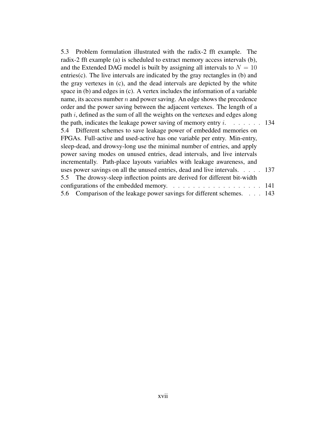| 5.3 Problem formulation illustrated with the radix-2 fft example. The                |  |
|--------------------------------------------------------------------------------------|--|
| radix-2 fft example (a) is scheduled to extract memory access intervals (b),         |  |
| and the Extended DAG model is built by assigning all intervals to $N = 10$           |  |
| entries $(c)$ . The live intervals are indicated by the gray rectangles in $(b)$ and |  |
| the gray vertexes in (c), and the dead intervals are depicted by the white           |  |
| space in $(b)$ and edges in $(c)$ . A vertex includes the information of a variable  |  |
| name, its access number $n$ and power saving. An edge shows the precedence           |  |
| order and the power saving between the adjacent vertexes. The length of a            |  |
| path $i$ , defined as the sum of all the weights on the vertexes and edges along     |  |
| the path, indicates the leakage power saving of memory entry $i$ . 134               |  |
| 5.4 Different schemes to save leakage power of embedded memories on                  |  |
| FPGAs. Full-active and used-active has one variable per entry. Min-entry,            |  |
| sleep-dead, and drowsy-long use the minimal number of entries, and apply             |  |
| power saving modes on unused entries, dead intervals, and live intervals             |  |
| incrementally. Path-place layouts variables with leakage awareness, and              |  |
| uses power savings on all the unused entries, dead and live intervals. 137           |  |
| 5.5 The drowsy-sleep inflection points are derived for different bit-width           |  |
| configurations of the embedded memory. $\ldots$ 141                                  |  |
| 5.6 Comparison of the leakage power savings for different schemes. 143               |  |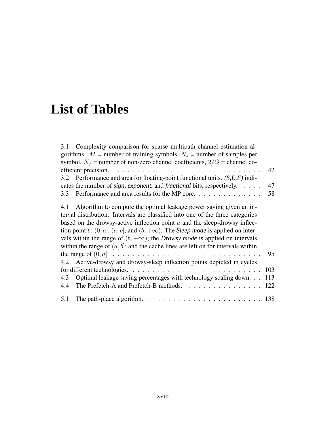# **List of Tables**

| 3.1 Complexity comparison for sparse multipath channel estimation al-                                 |     |
|-------------------------------------------------------------------------------------------------------|-----|
| gorithms. $M =$ number of training symbols, $N_s =$ number of samples per                             |     |
| symbol, $N_f$ = number of non-zero channel coefficients, $2/Q$ = channel co-                          |     |
|                                                                                                       | 42  |
| 3.2 Performance and area for floating-point functional units. $(S, E, F)$ indi-                       |     |
| cates the number of <i>sign, exponent,</i> and <i>fractional</i> bits, respectively.                  | 47  |
| 3.3 Performance and area results for the MP core.                                                     | 58  |
| 4.1 Algorithm to compute the optimal leakage power saving given an in-                                |     |
| terval distribution. Intervals are classified into one of the three categories                        |     |
| based on the drowsy-active inflection point $a$ and the sleep-drowsy inflec-                          |     |
| tion point b: $(0, a]$ , $(a, b]$ , and $(b, +\infty)$ . The <i>Sleep mode</i> is applied on inter-   |     |
| vals within the range of $(b, +\infty)$ ; the <i>Drowsy mode</i> is applied on intervals              |     |
| within the range of $(a, b]$ ; and the cache lines are left on for intervals within                   |     |
|                                                                                                       | 95  |
| 4.2 Active-drowsy and drowsy-sleep inflection points depicted in cycles                               |     |
|                                                                                                       | 103 |
| Optimal leakage saving percentages with technology scaling down.<br>4.3                               | 113 |
| The Prefetch-A and Prefetch-B methods. 122<br>4.4                                                     |     |
| 5.1<br>The path-place algorithm. $\ldots \ldots \ldots \ldots \ldots \ldots \ldots \ldots \ldots 138$ |     |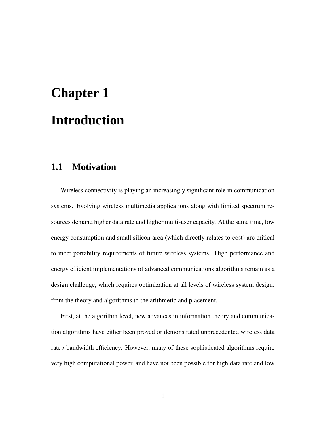# **Chapter 1 Introduction**

# **1.1 Motivation**

Wireless connectivity is playing an increasingly significant role in communication systems. Evolving wireless multimedia applications along with limited spectrum resources demand higher data rate and higher multi-user capacity. At the same time, low energy consumption and small silicon area (which directly relates to cost) are critical to meet portability requirements of future wireless systems. High performance and energy efficient implementations of advanced communications algorithms remain as a design challenge, which requires optimization at all levels of wireless system design: from the theory and algorithms to the arithmetic and placement.

First, at the algorithm level, new advances in information theory and communication algorithms have either been proved or demonstrated unprecedented wireless data rate / bandwidth efficiency. However, many of these sophisticated algorithms require very high computational power, and have not been possible for high data rate and low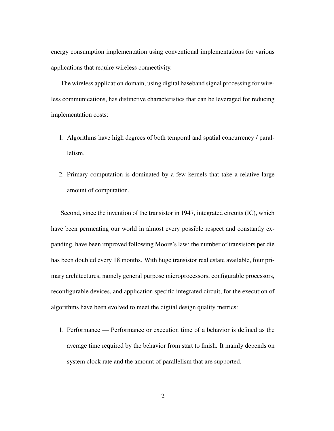energy consumption implementation using conventional implementations for various applications that require wireless connectivity.

The wireless application domain, using digital baseband signal processing for wireless communications, has distinctive characteristics that can be leveraged for reducing implementation costs:

- 1. Algorithms have high degrees of both temporal and spatial concurrency / parallelism.
- 2. Primary computation is dominated by a few kernels that take a relative large amount of computation.

Second, since the invention of the transistor in 1947, integrated circuits (IC), which have been permeating our world in almost every possible respect and constantly expanding, have been improved following Moore's law: the number of transistors per die has been doubled every 18 months. With huge transistor real estate available, four primary architectures, namely general purpose microprocessors, configurable processors, reconfigurable devices, and application specific integrated circuit, for the execution of algorithms have been evolved to meet the digital design quality metrics:

1. Performance — Performance or execution time of a behavior is defined as the average time required by the behavior from start to finish. It mainly depends on system clock rate and the amount of parallelism that are supported.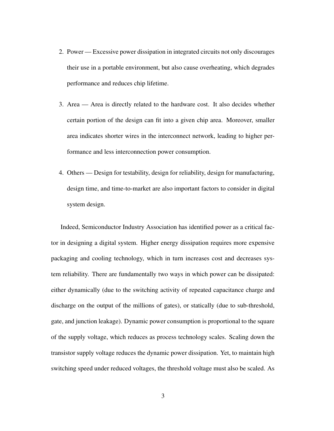- 2. Power Excessive power dissipation in integrated circuits not only discourages their use in a portable environment, but also cause overheating, which degrades performance and reduces chip lifetime.
- 3. Area Area is directly related to the hardware cost. It also decides whether certain portion of the design can fit into a given chip area. Moreover, smaller area indicates shorter wires in the interconnect network, leading to higher performance and less interconnection power consumption.
- 4. Others Design for testability, design for reliability, design for manufacturing, design time, and time-to-market are also important factors to consider in digital system design.

Indeed, Semiconductor Industry Association has identified power as a critical factor in designing a digital system. Higher energy dissipation requires more expensive packaging and cooling technology, which in turn increases cost and decreases system reliability. There are fundamentally two ways in which power can be dissipated: either dynamically (due to the switching activity of repeated capacitance charge and discharge on the output of the millions of gates), or statically (due to sub-threshold, gate, and junction leakage). Dynamic power consumption is proportional to the square of the supply voltage, which reduces as process technology scales. Scaling down the transistor supply voltage reduces the dynamic power dissipation. Yet, to maintain high switching speed under reduced voltages, the threshold voltage must also be scaled. As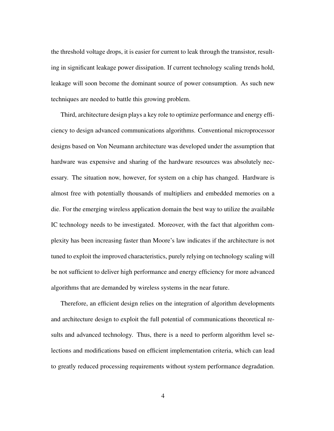the threshold voltage drops, it is easier for current to leak through the transistor, resulting in significant leakage power dissipation. If current technology scaling trends hold, leakage will soon become the dominant source of power consumption. As such new techniques are needed to battle this growing problem.

Third, architecture design plays a key role to optimize performance and energy efficiency to design advanced communications algorithms. Conventional microprocessor designs based on Von Neumann architecture was developed under the assumption that hardware was expensive and sharing of the hardware resources was absolutely necessary. The situation now, however, for system on a chip has changed. Hardware is almost free with potentially thousands of multipliers and embedded memories on a die. For the emerging wireless application domain the best way to utilize the available IC technology needs to be investigated. Moreover, with the fact that algorithm complexity has been increasing faster than Moore's law indicates if the architecture is not tuned to exploit the improved characteristics, purely relying on technology scaling will be not sufficient to deliver high performance and energy efficiency for more advanced algorithms that are demanded by wireless systems in the near future.

Therefore, an efficient design relies on the integration of algorithm developments and architecture design to exploit the full potential of communications theoretical results and advanced technology. Thus, there is a need to perform algorithm level selections and modifications based on efficient implementation criteria, which can lead to greatly reduced processing requirements without system performance degradation.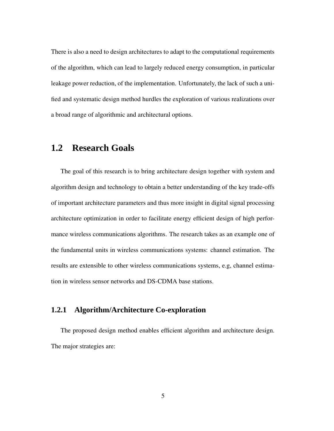There is also a need to design architectures to adapt to the computational requirements of the algorithm, which can lead to largely reduced energy consumption, in particular leakage power reduction, of the implementation. Unfortunately, the lack of such a unified and systematic design method hurdles the exploration of various realizations over a broad range of algorithmic and architectural options.

# **1.2 Research Goals**

The goal of this research is to bring architecture design together with system and algorithm design and technology to obtain a better understanding of the key trade-offs of important architecture parameters and thus more insight in digital signal processing architecture optimization in order to facilitate energy efficient design of high performance wireless communications algorithms. The research takes as an example one of the fundamental units in wireless communications systems: channel estimation. The results are extensible to other wireless communications systems, e.g, channel estimation in wireless sensor networks and DS-CDMA base stations.

## **1.2.1 Algorithm/Architecture Co-exploration**

The proposed design method enables efficient algorithm and architecture design. The major strategies are: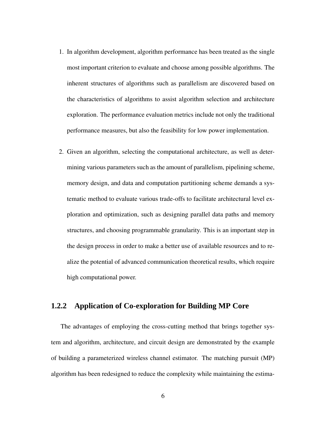- 1. In algorithm development, algorithm performance has been treated as the single most important criterion to evaluate and choose among possible algorithms. The inherent structures of algorithms such as parallelism are discovered based on the characteristics of algorithms to assist algorithm selection and architecture exploration. The performance evaluation metrics include not only the traditional performance measures, but also the feasibility for low power implementation.
- 2. Given an algorithm, selecting the computational architecture, as well as determining various parameters such as the amount of parallelism, pipelining scheme, memory design, and data and computation partitioning scheme demands a systematic method to evaluate various trade-offs to facilitate architectural level exploration and optimization, such as designing parallel data paths and memory structures, and choosing programmable granularity. This is an important step in the design process in order to make a better use of available resources and to realize the potential of advanced communication theoretical results, which require high computational power.

## **1.2.2 Application of Co-exploration for Building MP Core**

The advantages of employing the cross-cutting method that brings together system and algorithm, architecture, and circuit design are demonstrated by the example of building a parameterized wireless channel estimator. The matching pursuit (MP) algorithm has been redesigned to reduce the complexity while maintaining the estima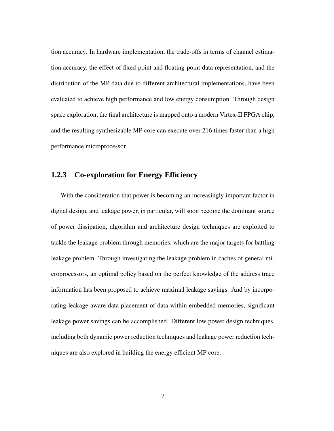tion accuracy. In hardware implementation, the trade-offs in terms of channel estimation accuracy, the effect of fixed-point and floating-point data representation, and the distribution of the MP data due to different architectural implementations, have been evaluated to achieve high performance and low energy consumption. Through design space exploration, the final architecture is mapped onto a modern Virtex-II FPGA chip, and the resulting synthesizable MP core can execute over 216 times faster than a high performance microprocessor.

## **1.2.3 Co-exploration for Energy Efficiency**

With the consideration that power is becoming an increasingly important factor in digital design, and leakage power, in particular, will soon become the dominant source of power dissipation, algorithm and architecture design techniques are exploited to tackle the leakage problem through memories, which are the major targets for battling leakage problem. Through investigating the leakage problem in caches of general microprocessors, an optimal policy based on the perfect knowledge of the address trace information has been proposed to achieve maximal leakage savings. And by incorporating leakage-aware data placement of data within embedded memories, significant leakage power savings can be accomplished. Different low power design techniques, including both dynamic power reduction techniques and leakage power reduction techniques are also explored in building the energy efficient MP core.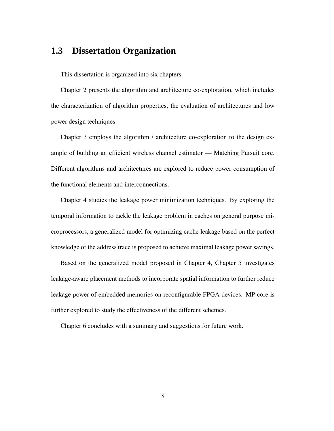# **1.3 Dissertation Organization**

This dissertation is organized into six chapters.

Chapter 2 presents the algorithm and architecture co-exploration, which includes the characterization of algorithm properties, the evaluation of architectures and low power design techniques.

Chapter 3 employs the algorithm / architecture co-exploration to the design example of building an efficient wireless channel estimator — Matching Pursuit core. Different algorithms and architectures are explored to reduce power consumption of the functional elements and interconnections.

Chapter 4 studies the leakage power minimization techniques. By exploring the temporal information to tackle the leakage problem in caches on general purpose microprocessors, a generalized model for optimizing cache leakage based on the perfect knowledge of the address trace is proposed to achieve maximal leakage power savings.

Based on the generalized model proposed in Chapter 4, Chapter 5 investigates leakage-aware placement methods to incorporate spatial information to further reduce leakage power of embedded memories on reconfigurable FPGA devices. MP core is further explored to study the effectiveness of the different schemes.

Chapter 6 concludes with a summary and suggestions for future work.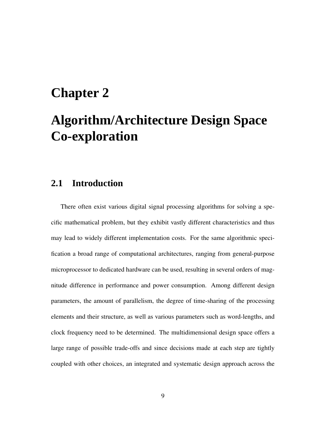# **Chapter 2**

# **Algorithm/Architecture Design Space Co-exploration**

# **2.1 Introduction**

There often exist various digital signal processing algorithms for solving a specific mathematical problem, but they exhibit vastly different characteristics and thus may lead to widely different implementation costs. For the same algorithmic specification a broad range of computational architectures, ranging from general-purpose microprocessor to dedicated hardware can be used, resulting in several orders of magnitude difference in performance and power consumption. Among different design parameters, the amount of parallelism, the degree of time-sharing of the processing elements and their structure, as well as various parameters such as word-lengths, and clock frequency need to be determined. The multidimensional design space offers a large range of possible trade-offs and since decisions made at each step are tightly coupled with other choices, an integrated and systematic design approach across the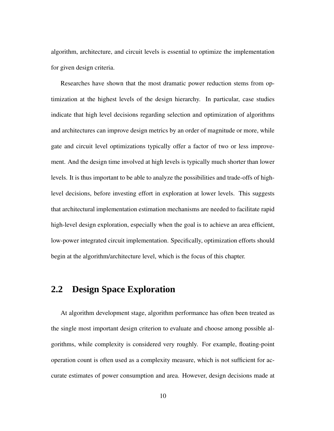algorithm, architecture, and circuit levels is essential to optimize the implementation for given design criteria.

Researches have shown that the most dramatic power reduction stems from optimization at the highest levels of the design hierarchy. In particular, case studies indicate that high level decisions regarding selection and optimization of algorithms and architectures can improve design metrics by an order of magnitude or more, while gate and circuit level optimizations typically offer a factor of two or less improvement. And the design time involved at high levels is typically much shorter than lower levels. It is thus important to be able to analyze the possibilities and trade-offs of highlevel decisions, before investing effort in exploration at lower levels. This suggests that architectural implementation estimation mechanisms are needed to facilitate rapid high-level design exploration, especially when the goal is to achieve an area efficient, low-power integrated circuit implementation. Specifically, optimization efforts should begin at the algorithm/architecture level, which is the focus of this chapter.

# **2.2 Design Space Exploration**

At algorithm development stage, algorithm performance has often been treated as the single most important design criterion to evaluate and choose among possible algorithms, while complexity is considered very roughly. For example, floating-point operation count is often used as a complexity measure, which is not sufficient for accurate estimates of power consumption and area. However, design decisions made at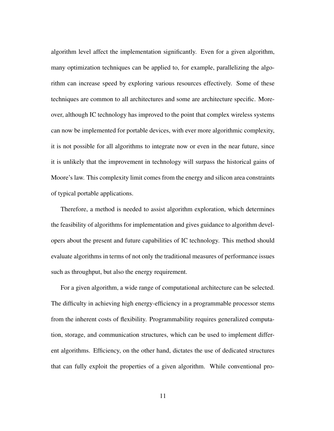algorithm level affect the implementation significantly. Even for a given algorithm, many optimization techniques can be applied to, for example, parallelizing the algorithm can increase speed by exploring various resources effectively. Some of these techniques are common to all architectures and some are architecture specific. Moreover, although IC technology has improved to the point that complex wireless systems can now be implemented for portable devices, with ever more algorithmic complexity, it is not possible for all algorithms to integrate now or even in the near future, since it is unlikely that the improvement in technology will surpass the historical gains of Moore's law. This complexity limit comes from the energy and silicon area constraints of typical portable applications.

Therefore, a method is needed to assist algorithm exploration, which determines the feasibility of algorithms for implementation and gives guidance to algorithm developers about the present and future capabilities of IC technology. This method should evaluate algorithms in terms of not only the traditional measures of performance issues such as throughput, but also the energy requirement.

For a given algorithm, a wide range of computational architecture can be selected. The difficulty in achieving high energy-efficiency in a programmable processor stems from the inherent costs of flexibility. Programmability requires generalized computation, storage, and communication structures, which can be used to implement different algorithms. Efficiency, on the other hand, dictates the use of dedicated structures that can fully exploit the properties of a given algorithm. While conventional pro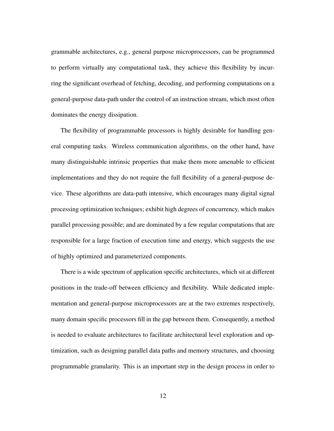grammable architectures, e.g., general purpose microprocessors, can be programmed to perform virtually any computational task, they achieve this flexibility by incurring the significant overhead of fetching, decoding, and performing computations on a general-purpose data-path under the control of an instruction stream, which most often dominates the energy dissipation.

The flexibility of programmable processors is highly desirable for handling general computing tasks. Wireless communication algorithms, on the other hand, have many distinguishable intrinsic properties that make them more amenable to efficient implementations and they do not require the full flexibility of a general-purpose device. These algorithms are data-path intensive, which encourages many digital signal processing optimization techniques; exhibit high degrees of concurrency, which makes parallel processing possible; and are dominated by a few regular computations that are responsible for a large fraction of execution time and energy, which suggests the use of highly optimized and parameterized components.

There is a wide spectrum of application specific architectures, which sit at different positions in the trade-off between efficiency and flexibility. While dedicated implementation and general-purpose microprocessors are at the two extremes respectively, many domain specific processors fill in the gap between them. Consequently, a method is needed to evaluate architectures to facilitate architectural level exploration and optimization, such as designing parallel data paths and memory structures, and choosing programmable granularity. This is an important step in the design process in order to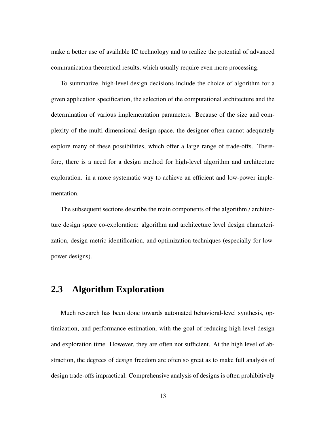make a better use of available IC technology and to realize the potential of advanced communication theoretical results, which usually require even more processing.

To summarize, high-level design decisions include the choice of algorithm for a given application specification, the selection of the computational architecture and the determination of various implementation parameters. Because of the size and complexity of the multi-dimensional design space, the designer often cannot adequately explore many of these possibilities, which offer a large range of trade-offs. Therefore, there is a need for a design method for high-level algorithm and architecture exploration. in a more systematic way to achieve an efficient and low-power implementation.

The subsequent sections describe the main components of the algorithm / architecture design space co-exploration: algorithm and architecture level design characterization, design metric identification, and optimization techniques (especially for lowpower designs).

# **2.3 Algorithm Exploration**

Much research has been done towards automated behavioral-level synthesis, optimization, and performance estimation, with the goal of reducing high-level design and exploration time. However, they are often not sufficient. At the high level of abstraction, the degrees of design freedom are often so great as to make full analysis of design trade-offs impractical. Comprehensive analysis of designs is often prohibitively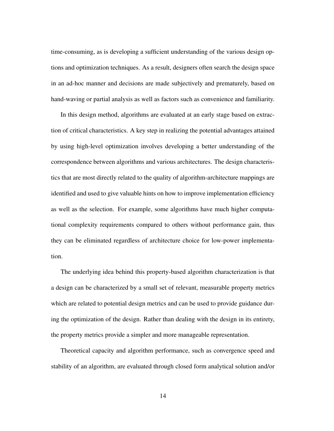time-consuming, as is developing a sufficient understanding of the various design options and optimization techniques. As a result, designers often search the design space in an ad-hoc manner and decisions are made subjectively and prematurely, based on hand-waving or partial analysis as well as factors such as convenience and familiarity.

In this design method, algorithms are evaluated at an early stage based on extraction of critical characteristics. A key step in realizing the potential advantages attained by using high-level optimization involves developing a better understanding of the correspondence between algorithms and various architectures. The design characteristics that are most directly related to the quality of algorithm-architecture mappings are identified and used to give valuable hints on how to improve implementation efficiency as well as the selection. For example, some algorithms have much higher computational complexity requirements compared to others without performance gain, thus they can be eliminated regardless of architecture choice for low-power implementation.

The underlying idea behind this property-based algorithm characterization is that a design can be characterized by a small set of relevant, measurable property metrics which are related to potential design metrics and can be used to provide guidance during the optimization of the design. Rather than dealing with the design in its entirety, the property metrics provide a simpler and more manageable representation.

Theoretical capacity and algorithm performance, such as convergence speed and stability of an algorithm, are evaluated through closed form analytical solution and/or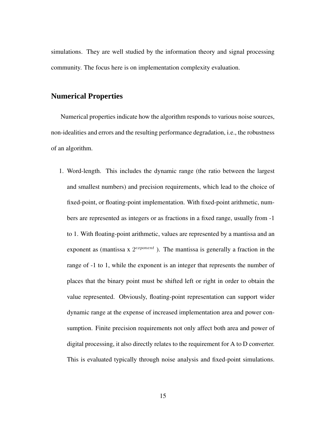simulations. They are well studied by the information theory and signal processing community. The focus here is on implementation complexity evaluation.

#### **Numerical Properties**

Numerical properties indicate how the algorithm responds to various noise sources, non-idealities and errors and the resulting performance degradation, i.e., the robustness of an algorithm.

1. Word-length. This includes the dynamic range (the ratio between the largest and smallest numbers) and precision requirements, which lead to the choice of fixed-point, or floating-point implementation. With fixed-point arithmetic, numbers are represented as integers or as fractions in a fixed range, usually from -1 to 1. With floating-point arithmetic, values are represented by a mantissa and an exponent as (mantissa x  $2^{exponent}$ ). The mantissa is generally a fraction in the range of -1 to 1, while the exponent is an integer that represents the number of places that the binary point must be shifted left or right in order to obtain the value represented. Obviously, floating-point representation can support wider dynamic range at the expense of increased implementation area and power consumption. Finite precision requirements not only affect both area and power of digital processing, it also directly relates to the requirement for A to D converter. This is evaluated typically through noise analysis and fixed-point simulations.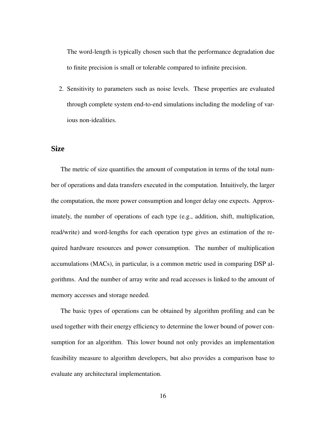The word-length is typically chosen such that the performance degradation due to finite precision is small or tolerable compared to infinite precision.

2. Sensitivity to parameters such as noise levels. These properties are evaluated through complete system end-to-end simulations including the modeling of various non-idealities.

#### **Size**

The metric of size quantifies the amount of computation in terms of the total number of operations and data transfers executed in the computation. Intuitively, the larger the computation, the more power consumption and longer delay one expects. Approximately, the number of operations of each type (e.g., addition, shift, multiplication, read/write) and word-lengths for each operation type gives an estimation of the required hardware resources and power consumption. The number of multiplication accumulations (MACs), in particular, is a common metric used in comparing DSP algorithms. And the number of array write and read accesses is linked to the amount of memory accesses and storage needed.

The basic types of operations can be obtained by algorithm profiling and can be used together with their energy efficiency to determine the lower bound of power consumption for an algorithm. This lower bound not only provides an implementation feasibility measure to algorithm developers, but also provides a comparison base to evaluate any architectural implementation.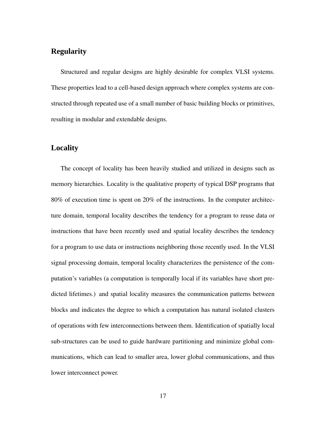## **Regularity**

Structured and regular designs are highly desirable for complex VLSI systems. These properties lead to a cell-based design approach where complex systems are constructed through repeated use of a small number of basic building blocks or primitives, resulting in modular and extendable designs.

## **Locality**

The concept of locality has been heavily studied and utilized in designs such as memory hierarchies. Locality is the qualitative property of typical DSP programs that 80% of execution time is spent on 20% of the instructions. In the computer architecture domain, temporal locality describes the tendency for a program to reuse data or instructions that have been recently used and spatial locality describes the tendency for a program to use data or instructions neighboring those recently used. In the VLSI signal processing domain, temporal locality characterizes the persistence of the computation's variables (a computation is temporally local if its variables have short predicted lifetimes.) and spatial locality measures the communication patterns between blocks and indicates the degree to which a computation has natural isolated clusters of operations with few interconnections between them. Identification of spatially local sub-structures can be used to guide hardware partitioning and minimize global communications, which can lead to smaller area, lower global communications, and thus lower interconnect power.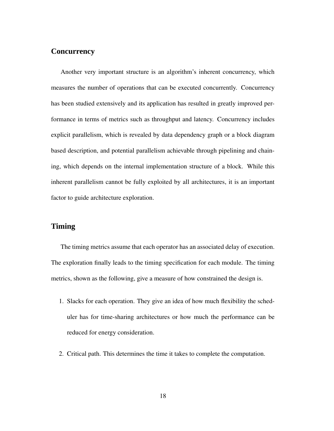#### **Concurrency**

Another very important structure is an algorithm's inherent concurrency, which measures the number of operations that can be executed concurrently. Concurrency has been studied extensively and its application has resulted in greatly improved performance in terms of metrics such as throughput and latency. Concurrency includes explicit parallelism, which is revealed by data dependency graph or a block diagram based description, and potential parallelism achievable through pipelining and chaining, which depends on the internal implementation structure of a block. While this inherent parallelism cannot be fully exploited by all architectures, it is an important factor to guide architecture exploration.

#### **Timing**

The timing metrics assume that each operator has an associated delay of execution. The exploration finally leads to the timing specification for each module. The timing metrics, shown as the following, give a measure of how constrained the design is.

- 1. Slacks for each operation. They give an idea of how much flexibility the scheduler has for time-sharing architectures or how much the performance can be reduced for energy consideration.
- 2. Critical path. This determines the time it takes to complete the computation.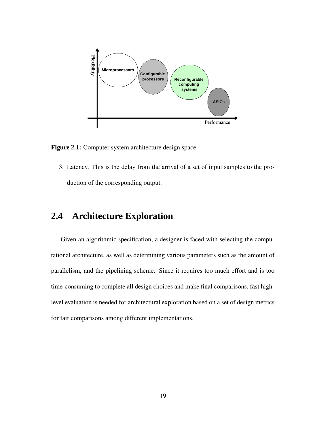

**Figure 2.1:** Computer system architecture design space.

3. Latency. This is the delay from the arrival of a set of input samples to the production of the corresponding output.

# **2.4 Architecture Exploration**

Given an algorithmic specification, a designer is faced with selecting the computational architecture, as well as determining various parameters such as the amount of parallelism, and the pipelining scheme. Since it requires too much effort and is too time-consuming to complete all design choices and make final comparisons, fast highlevel evaluation is needed for architectural exploration based on a set of design metrics for fair comparisons among different implementations.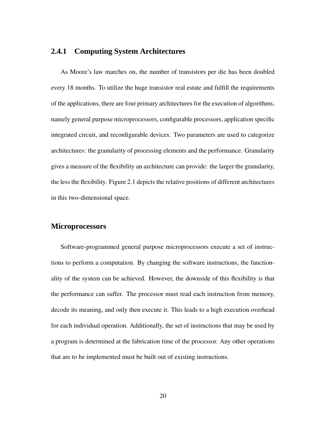# **2.4.1 Computing System Architectures**

As Moore's law marches on, the number of transistors per die has been doubled every 18 months. To utilize the huge transistor real estate and fulfill the requirements of the applications, there are four primary architectures for the execution of algorithms, namely general purpose microprocessors, configurable processors, application specific integrated circuit, and reconfigurable devices. Two parameters are used to categorize architectures: the granularity of processing elements and the performance. Granularity gives a measure of the flexibility an architecture can provide: the larger the granularity, the less the flexibility. Figure 2.1 depicts the relative positions of different architectures in this two-dimensional space.

### **Microprocessors**

Software-programmed general purpose microprocessors execute a set of instructions to perform a computation. By changing the software instructions, the functionality of the system can be achieved. However, the downside of this flexibility is that the performance can suffer. The processor must read each instruction from memory, decode its meaning, and only then execute it. This leads to a high execution overhead for each individual operation. Additionally, the set of instructions that may be used by a program is determined at the fabrication time of the processor. Any other operations that are to be implemented must be built out of existing instructions.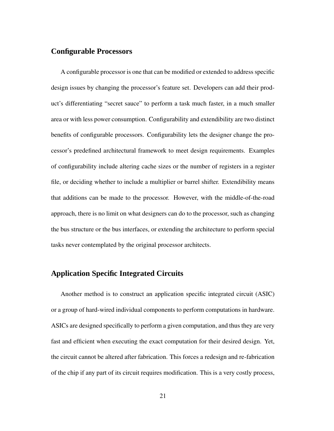## **Configurable Processors**

A configurable processor is one that can be modified or extended to address specific design issues by changing the processor's feature set. Developers can add their product's differentiating "secret sauce" to perform a task much faster, in a much smaller area or with less power consumption. Configurability and extendibility are two distinct benefits of configurable processors. Configurability lets the designer change the processor's predefined architectural framework to meet design requirements. Examples of configurability include altering cache sizes or the number of registers in a register file, or deciding whether to include a multiplier or barrel shifter. Extendibility means that additions can be made to the processor. However, with the middle-of-the-road approach, there is no limit on what designers can do to the processor, such as changing the bus structure or the bus interfaces, or extending the architecture to perform special tasks never contemplated by the original processor architects.

# **Application Specific Integrated Circuits**

Another method is to construct an application specific integrated circuit (ASIC) or a group of hard-wired individual components to perform computations in hardware. ASICs are designed specifically to perform a given computation, and thus they are very fast and efficient when executing the exact computation for their desired design. Yet, the circuit cannot be altered after fabrication. This forces a redesign and re-fabrication of the chip if any part of its circuit requires modification. This is a very costly process,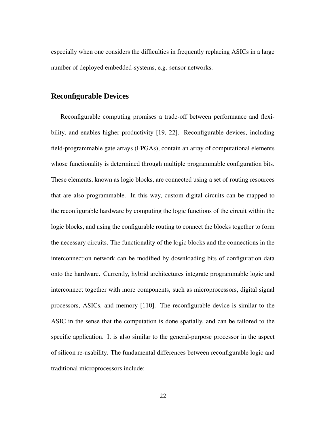especially when one considers the difficulties in frequently replacing ASICs in a large number of deployed embedded-systems, e.g. sensor networks.

## **Reconfigurable Devices**

Reconfigurable computing promises a trade-off between performance and flexibility, and enables higher productivity [19, 22]. Reconfigurable devices, including field-programmable gate arrays (FPGAs), contain an array of computational elements whose functionality is determined through multiple programmable configuration bits. These elements, known as logic blocks, are connected using a set of routing resources that are also programmable. In this way, custom digital circuits can be mapped to the reconfigurable hardware by computing the logic functions of the circuit within the logic blocks, and using the configurable routing to connect the blocks together to form the necessary circuits. The functionality of the logic blocks and the connections in the interconnection network can be modified by downloading bits of configuration data onto the hardware. Currently, hybrid architectures integrate programmable logic and interconnect together with more components, such as microprocessors, digital signal processors, ASICs, and memory [110]. The reconfigurable device is similar to the ASIC in the sense that the computation is done spatially, and can be tailored to the specific application. It is also similar to the general-purpose processor in the aspect of silicon re-usability. The fundamental differences between reconfigurable logic and traditional microprocessors include: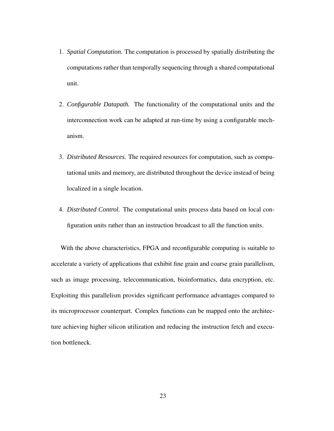- 1. *Spatial Computation.* The computation is processed by spatially distributing the computations rather than temporally sequencing through a shared computational unit.
- 2. *Configurable Datapath.* The functionality of the computational units and the interconnection work can be adapted at run-time by using a configurable mechanism.
- 3. *Distributed Resources.* The required resources for computation, such as computational units and memory, are distributed throughout the device instead of being localized in a single location.
- 4. *Distributed Control.* The computational units process data based on local configuration units rather than an instruction broadcast to all the function units.

With the above characteristics, FPGA and reconfigurable computing is suitable to accelerate a variety of applications that exhibit fine grain and coarse grain parallelism, such as image processing, telecommunication, bioinformatics, data encryption, etc. Exploiting this parallelism provides significant performance advantages compared to its microprocessor counterpart. Complex functions can be mapped onto the architecture achieving higher silicon utilization and reducing the instruction fetch and execution bottleneck.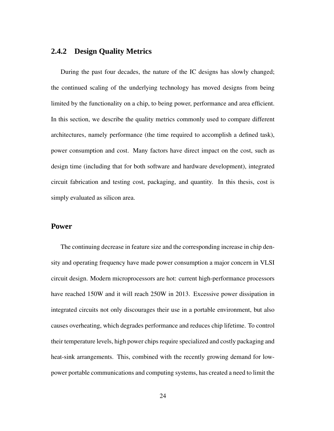# **2.4.2 Design Quality Metrics**

During the past four decades, the nature of the IC designs has slowly changed; the continued scaling of the underlying technology has moved designs from being limited by the functionality on a chip, to being power, performance and area efficient. In this section, we describe the quality metrics commonly used to compare different architectures, namely performance (the time required to accomplish a defined task), power consumption and cost. Many factors have direct impact on the cost, such as design time (including that for both software and hardware development), integrated circuit fabrication and testing cost, packaging, and quantity. In this thesis, cost is simply evaluated as silicon area.

### **Power**

The continuing decrease in feature size and the corresponding increase in chip density and operating frequency have made power consumption a major concern in VLSI circuit design. Modern microprocessors are hot: current high-performance processors have reached 150W and it will reach 250W in 2013. Excessive power dissipation in integrated circuits not only discourages their use in a portable environment, but also causes overheating, which degrades performance and reduces chip lifetime. To control their temperature levels, high power chips require specialized and costly packaging and heat-sink arrangements. This, combined with the recently growing demand for lowpower portable communications and computing systems, has created a need to limit the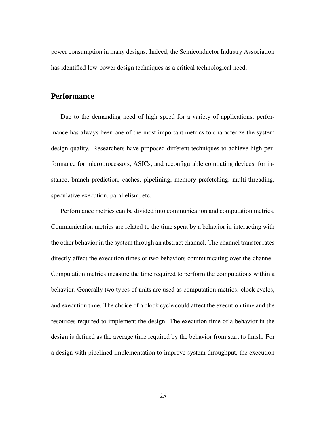power consumption in many designs. Indeed, the Semiconductor Industry Association has identified low-power design techniques as a critical technological need.

## **Performance**

Due to the demanding need of high speed for a variety of applications, performance has always been one of the most important metrics to characterize the system design quality. Researchers have proposed different techniques to achieve high performance for microprocessors, ASICs, and reconfigurable computing devices, for instance, branch prediction, caches, pipelining, memory prefetching, multi-threading, speculative execution, parallelism, etc.

Performance metrics can be divided into communication and computation metrics. Communication metrics are related to the time spent by a behavior in interacting with the other behavior in the system through an abstract channel. The channel transfer rates directly affect the execution times of two behaviors communicating over the channel. Computation metrics measure the time required to perform the computations within a behavior. Generally two types of units are used as computation metrics: clock cycles, and execution time. The choice of a clock cycle could affect the execution time and the resources required to implement the design. The execution time of a behavior in the design is defined as the average time required by the behavior from start to finish. For a design with pipelined implementation to improve system throughput, the execution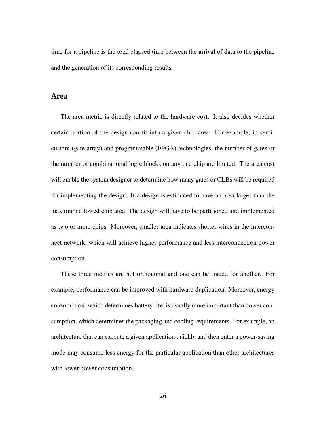time for a pipeline is the total elapsed time between the arrival of data to the pipeline and the generation of its corresponding results.

**Area**

The area metric is directly related to the hardware cost. It also decides whether certain portion of the design can fit into a given chip area. For example, in semicustom (gate array) and programmable (FPGA) technologies, the number of gates or the number of combinational logic blocks on any one chip are limited. The area cost will enable the system designer to determine how many gates or CLBs will be required for implementing the design. If a design is estimated to have an area larger than the maximum allowed chip area. The design will have to be partitioned and implemented as two or more chips. Moreover, smaller area indicates shorter wires in the interconnect network, which will achieve higher performance and less interconnection power consumption.

These three metrics are not orthogonal and one can be traded for another. For example, performance can be improved with hardware duplication. Moreover, energy consumption, which determines battery life, is usually more important than power consumption, which determines the packaging and cooling requirements. For example, an architecture that can execute a given application quickly and then enter a power-saving mode may consume less energy for the particular application than other architectures with lower power consumption.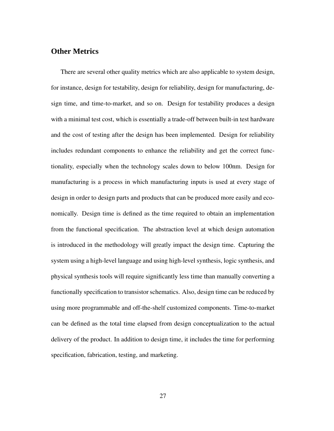## **Other Metrics**

There are several other quality metrics which are also applicable to system design, for instance, design for testability, design for reliability, design for manufacturing, design time, and time-to-market, and so on. Design for testability produces a design with a minimal test cost, which is essentially a trade-off between built-in test hardware and the cost of testing after the design has been implemented. Design for reliability includes redundant components to enhance the reliability and get the correct functionality, especially when the technology scales down to below 100nm. Design for manufacturing is a process in which manufacturing inputs is used at every stage of design in order to design parts and products that can be produced more easily and economically. Design time is defined as the time required to obtain an implementation from the functional specification. The abstraction level at which design automation is introduced in the methodology will greatly impact the design time. Capturing the system using a high-level language and using high-level synthesis, logic synthesis, and physical synthesis tools will require significantly less time than manually converting a functionally specification to transistor schematics. Also, design time can be reduced by using more programmable and off-the-shelf customized components. Time-to-market can be defined as the total time elapsed from design conceptualization to the actual delivery of the product. In addition to design time, it includes the time for performing specification, fabrication, testing, and marketing.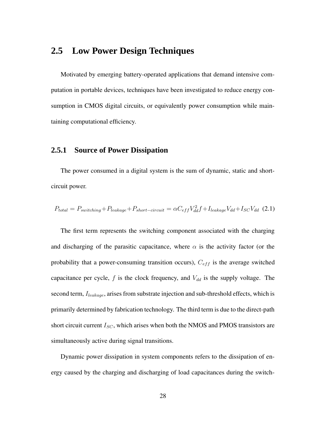# **2.5 Low Power Design Techniques**

Motivated by emerging battery-operated applications that demand intensive computation in portable devices, techniques have been investigated to reduce energy consumption in CMOS digital circuits, or equivalently power consumption while maintaining computational efficiency.

# **2.5.1 Source of Power Dissipation**

The power consumed in a digital system is the sum of dynamic, static and shortcircuit power.

$$
P_{total} = P_{switching} + P_{leakage} + P_{short-circuit} = \alpha C_{eff} V_{dd}^2 f + I_{leakage} V_{dd} + I_{SC} V_{dd} \tag{2.1}
$$

The first term represents the switching component associated with the charging and discharging of the parasitic capacitance, where  $\alpha$  is the activity factor (or the probability that a power-consuming transition occurs),  $C_{eff}$  is the average switched capacitance per cycle,  $f$  is the clock frequency, and  $V_{dd}$  is the supply voltage. The second term,  $I_{leakage}$ , arises from substrate injection and sub-threshold effects, which is primarily determined by fabrication technology. The third term is due to the direct-path short circuit current  $I_{SC}$ , which arises when both the NMOS and PMOS transistors are simultaneously active during signal transitions.

Dynamic power dissipation in system components refers to the dissipation of energy caused by the charging and discharging of load capacitances during the switch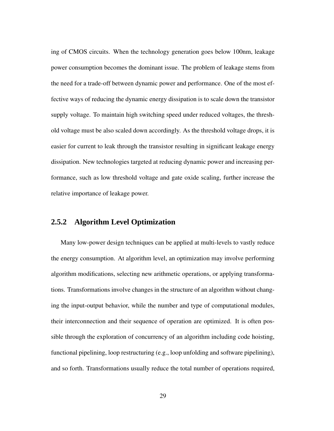ing of CMOS circuits. When the technology generation goes below 100nm, leakage power consumption becomes the dominant issue. The problem of leakage stems from the need for a trade-off between dynamic power and performance. One of the most effective ways of reducing the dynamic energy dissipation is to scale down the transistor supply voltage. To maintain high switching speed under reduced voltages, the threshold voltage must be also scaled down accordingly. As the threshold voltage drops, it is easier for current to leak through the transistor resulting in significant leakage energy dissipation. New technologies targeted at reducing dynamic power and increasing performance, such as low threshold voltage and gate oxide scaling, further increase the relative importance of leakage power.

## **2.5.2 Algorithm Level Optimization**

Many low-power design techniques can be applied at multi-levels to vastly reduce the energy consumption. At algorithm level, an optimization may involve performing algorithm modifications, selecting new arithmetic operations, or applying transformations. Transformations involve changes in the structure of an algorithm without changing the input-output behavior, while the number and type of computational modules, their interconnection and their sequence of operation are optimized. It is often possible through the exploration of concurrency of an algorithm including code hoisting, functional pipelining, loop restructuring (e.g., loop unfolding and software pipelining), and so forth. Transformations usually reduce the total number of operations required,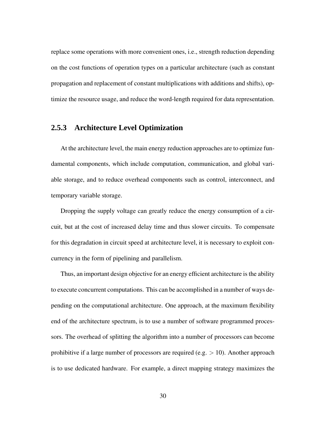replace some operations with more convenient ones, i.e., strength reduction depending on the cost functions of operation types on a particular architecture (such as constant propagation and replacement of constant multiplications with additions and shifts), optimize the resource usage, and reduce the word-length required for data representation.

### **2.5.3 Architecture Level Optimization**

At the architecture level, the main energy reduction approaches are to optimize fundamental components, which include computation, communication, and global variable storage, and to reduce overhead components such as control, interconnect, and temporary variable storage.

Dropping the supply voltage can greatly reduce the energy consumption of a circuit, but at the cost of increased delay time and thus slower circuits. To compensate for this degradation in circuit speed at architecture level, it is necessary to exploit concurrency in the form of pipelining and parallelism.

Thus, an important design objective for an energy efficient architecture is the ability to execute concurrent computations. This can be accomplished in a number of ways depending on the computational architecture. One approach, at the maximum flexibility end of the architecture spectrum, is to use a number of software programmed processors. The overhead of splitting the algorithm into a number of processors can become prohibitive if a large number of processors are required (e.g.  $> 10$ ). Another approach is to use dedicated hardware. For example, a direct mapping strategy maximizes the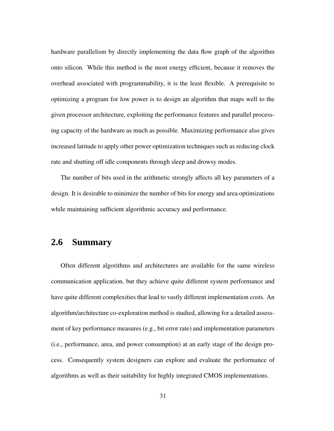hardware parallelism by directly implementing the data flow graph of the algorithm onto silicon. While this method is the most energy efficient, because it removes the overhead associated with programmability, it is the least flexible. A prerequisite to optimizing a program for low power is to design an algorithm that maps well to the given processor architecture, exploiting the performance features and parallel processing capacity of the hardware as much as possible. Maximizing performance also gives increased latitude to apply other power optimization techniques such as reducing clock rate and shutting off idle components through sleep and drowsy modes.

The number of bits used in the arithmetic strongly affects all key parameters of a design. It is desirable to minimize the number of bits for energy and area optimizations while maintaining sufficient algorithmic accuracy and performance.

# **2.6 Summary**

Often different algorithms and architectures are available for the same wireless communication application, but they achieve quite different system performance and have quite different complexities that lead to vastly different implementation costs. An algorithm/architecture co-exploration method is studied, allowing for a detailed assessment of key performance measures (e.g., bit error rate) and implementation parameters (i.e., performance, area, and power consumption) at an early stage of the design process. Consequently system designers can explore and evaluate the performance of algorithms as well as their suitability for highly integrated CMOS implementations.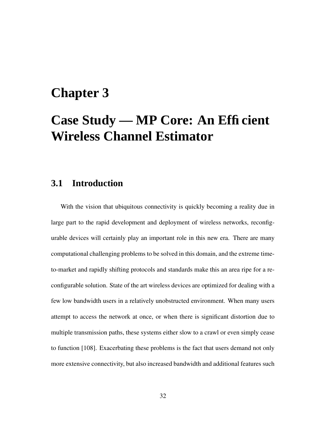# **Chapter 3**

# **Case Study — MP Core: An Efficient Wireless Channel Estimator**

# **3.1 Introduction**

With the vision that ubiquitous connectivity is quickly becoming a reality due in large part to the rapid development and deployment of wireless networks, reconfigurable devices will certainly play an important role in this new era. There are many computational challenging problems to be solved in this domain, and the extreme timeto-market and rapidly shifting protocols and standards make this an area ripe for a reconfigurable solution. State of the art wireless devices are optimized for dealing with a few low bandwidth users in a relatively unobstructed environment. When many users attempt to access the network at once, or when there is significant distortion due to multiple transmission paths, these systems either slow to a crawl or even simply cease to function [108]. Exacerbating these problems is the fact that users demand not only more extensive connectivity, but also increased bandwidth and additional features such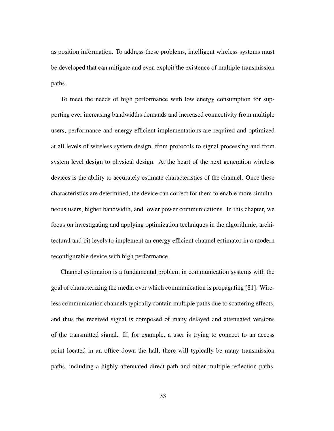as position information. To address these problems, intelligent wireless systems must be developed that can mitigate and even exploit the existence of multiple transmission paths.

To meet the needs of high performance with low energy consumption for supporting ever increasing bandwidths demands and increased connectivity from multiple users, performance and energy efficient implementations are required and optimized at all levels of wireless system design, from protocols to signal processing and from system level design to physical design. At the heart of the next generation wireless devices is the ability to accurately estimate characteristics of the channel. Once these characteristics are determined, the device can correct for them to enable more simultaneous users, higher bandwidth, and lower power communications. In this chapter, we focus on investigating and applying optimization techniques in the algorithmic, architectural and bit levels to implement an energy efficient channel estimator in a modern reconfigurable device with high performance.

Channel estimation is a fundamental problem in communication systems with the goal of characterizing the media over which communication is propagating [81]. Wireless communication channels typically contain multiple paths due to scattering effects, and thus the received signal is composed of many delayed and attenuated versions of the transmitted signal. If, for example, a user is trying to connect to an access point located in an office down the hall, there will typically be many transmission paths, including a highly attenuated direct path and other multiple-reflection paths.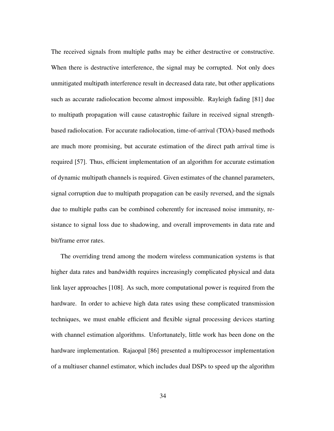The received signals from multiple paths may be either destructive or constructive. When there is destructive interference, the signal may be corrupted. Not only does unmitigated multipath interference result in decreased data rate, but other applications such as accurate radiolocation become almost impossible. Rayleigh fading [81] due to multipath propagation will cause catastrophic failure in received signal strengthbased radiolocation. For accurate radiolocation, time-of-arrival (TOA)-based methods are much more promising, but accurate estimation of the direct path arrival time is required [57]. Thus, efficient implementation of an algorithm for accurate estimation of dynamic multipath channels is required. Given estimates of the channel parameters, signal corruption due to multipath propagation can be easily reversed, and the signals due to multiple paths can be combined coherently for increased noise immunity, resistance to signal loss due to shadowing, and overall improvements in data rate and bit/frame error rates.

The overriding trend among the modern wireless communication systems is that higher data rates and bandwidth requires increasingly complicated physical and data link layer approaches [108]. As such, more computational power is required from the hardware. In order to achieve high data rates using these complicated transmission techniques, we must enable efficient and flexible signal processing devices starting with channel estimation algorithms. Unfortunately, little work has been done on the hardware implementation. Rajaopal [86] presented a multiprocessor implementation of a multiuser channel estimator, which includes dual DSPs to speed up the algorithm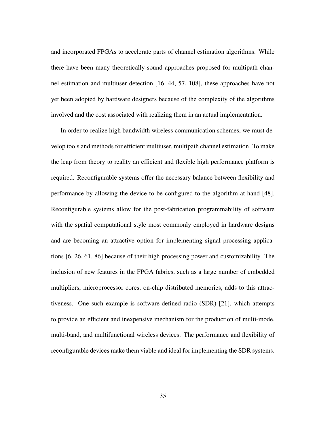and incorporated FPGAs to accelerate parts of channel estimation algorithms. While there have been many theoretically-sound approaches proposed for multipath channel estimation and multiuser detection [16, 44, 57, 108], these approaches have not yet been adopted by hardware designers because of the complexity of the algorithms involved and the cost associated with realizing them in an actual implementation.

In order to realize high bandwidth wireless communication schemes, we must develop tools and methods for efficient multiuser, multipath channel estimation. To make the leap from theory to reality an efficient and flexible high performance platform is required. Reconfigurable systems offer the necessary balance between flexibility and performance by allowing the device to be configured to the algorithm at hand [48]. Reconfigurable systems allow for the post-fabrication programmability of software with the spatial computational style most commonly employed in hardware designs and are becoming an attractive option for implementing signal processing applications [6, 26, 61, 86] because of their high processing power and customizability. The inclusion of new features in the FPGA fabrics, such as a large number of embedded multipliers, microprocessor cores, on-chip distributed memories, adds to this attractiveness. One such example is software-defined radio (SDR) [21], which attempts to provide an efficient and inexpensive mechanism for the production of multi-mode, multi-band, and multifunctional wireless devices. The performance and flexibility of reconfigurable devices make them viable and ideal for implementing the SDR systems.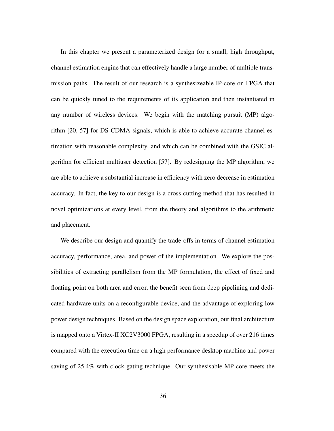In this chapter we present a parameterized design for a small, high throughput, channel estimation engine that can effectively handle a large number of multiple transmission paths. The result of our research is a synthesizeable IP-core on FPGA that can be quickly tuned to the requirements of its application and then instantiated in any number of wireless devices. We begin with the matching pursuit (MP) algorithm [20, 57] for DS-CDMA signals, which is able to achieve accurate channel estimation with reasonable complexity, and which can be combined with the GSIC algorithm for efficient multiuser detection [57]. By redesigning the MP algorithm, we are able to achieve a substantial increase in efficiency with zero decrease in estimation accuracy. In fact, the key to our design is a cross-cutting method that has resulted in novel optimizations at every level, from the theory and algorithms to the arithmetic and placement.

We describe our design and quantify the trade-offs in terms of channel estimation accuracy, performance, area, and power of the implementation. We explore the possibilities of extracting parallelism from the MP formulation, the effect of fixed and floating point on both area and error, the benefit seen from deep pipelining and dedicated hardware units on a reconfigurable device, and the advantage of exploring low power design techniques. Based on the design space exploration, our final architecture is mapped onto a Virtex-II XC2V3000 FPGA, resulting in a speedup of over 216 times compared with the execution time on a high performance desktop machine and power saving of 25.4% with clock gating technique. Our synthesisable MP core meets the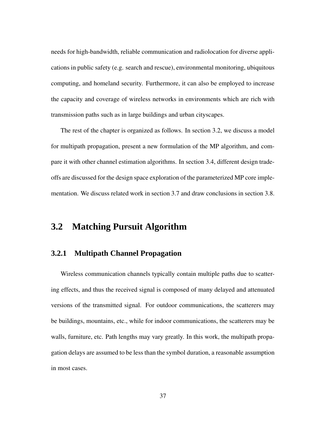needs for high-bandwidth, reliable communication and radiolocation for diverse applications in public safety (e.g. search and rescue), environmental monitoring, ubiquitous computing, and homeland security. Furthermore, it can also be employed to increase the capacity and coverage of wireless networks in environments which are rich with transmission paths such as in large buildings and urban cityscapes.

The rest of the chapter is organized as follows. In section 3.2, we discuss a model for multipath propagation, present a new formulation of the MP algorithm, and compare it with other channel estimation algorithms. In section 3.4, different design tradeoffs are discussed for the design space exploration of the parameterized MP core implementation. We discuss related work in section 3.7 and draw conclusions in section 3.8.

# **3.2 Matching Pursuit Algorithm**

### **3.2.1 Multipath Channel Propagation**

Wireless communication channels typically contain multiple paths due to scattering effects, and thus the received signal is composed of many delayed and attenuated versions of the transmitted signal. For outdoor communications, the scatterers may be buildings, mountains, etc., while for indoor communications, the scatterers may be walls, furniture, etc. Path lengths may vary greatly. In this work, the multipath propagation delays are assumed to be less than the symbol duration, a reasonable assumption in most cases.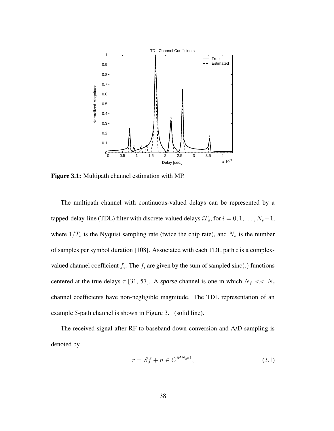

**Figure 3.1:** Multipath channel estimation with MP.

The multipath channel with continuous-valued delays can be represented by a tapped-delay-line (TDL) filter with discrete-valued delays  $iT_s$ , for  $i = 0, 1, ..., N_s-1$ , where  $1/T_s$  is the Nyquist sampling rate (twice the chip rate), and  $N_s$  is the number of samples per symbol duration [108]. Associated with each TDL path  $i$  is a complexvalued channel coefficient  $f_i$ . The  $f_i$  are given by the sum of sampled sinc(.) functions centered at the true delays  $\tau$  [31, 57]. A *sparse* channel is one in which  $N_f \ll N_s$ channel coefficients have non-negligible magnitude. The TDL representation of an example 5-path channel is shown in Figure 3.1 (solid line).

The received signal after RF-to-baseband down-conversion and A/D sampling is denoted by

$$
r = Sf + n \in C^{MN_s*1},\tag{3.1}
$$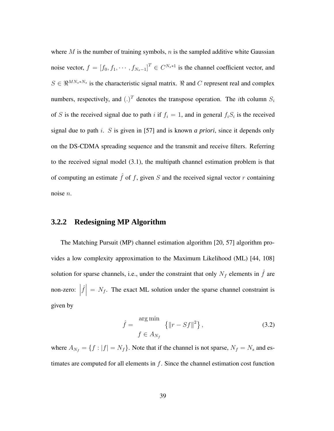where  $M$  is the number of training symbols,  $n$  is the sampled additive white Gaussian noise vector,  $f = [f_0, f_1, \dots, f_{N_s-1}]^T \in C^{N_s*1}$  is the channel coefficient vector, and  $S \in \mathbb{R}^{MN_s*N_s}$  is the characteristic signal matrix.  $\Re$  and C represent real and complex numbers, respectively, and  $(.)^T$  denotes the transpose operation. The *i*th column  $S_i$ of S is the received signal due to path i if  $f_i = 1$ , and in general  $f_i S_i$  is the received signal due to path i. S is given in [57] and is known *a priori*, since it depends only on the DS-CDMA spreading sequence and the transmit and receive filters. Referring to the received signal model (3.1), the multipath channel estimation problem is that of computing an estimate  $\hat{f}$  of f, given S and the received signal vector r containing noise n.

## **3.2.2 Redesigning MP Algorithm**

The Matching Pursuit (MP) channel estimation algorithm [20, 57] algorithm provides a low complexity approximation to the Maximum Likelihood (ML) [44, 108] solution for sparse channels, i.e., under the constraint that only  $N_f$  elements in  $\hat{f}$  are  $\text{non-zero:}$  $\hat{f}$  =  $N_f$ . The exact ML solution under the sparse channel constraint is given by

$$
\hat{f} = \frac{\arg \min}{f \in A_{N_f}} \left\{ ||r - Sf||^2 \right\},\tag{3.2}
$$

where  $A_{N_f} = \{f : |f| = N_f\}$ . Note that if the channel is not sparse,  $N_f = N_s$  and estimates are computed for all elements in  $f$ . Since the channel estimation cost function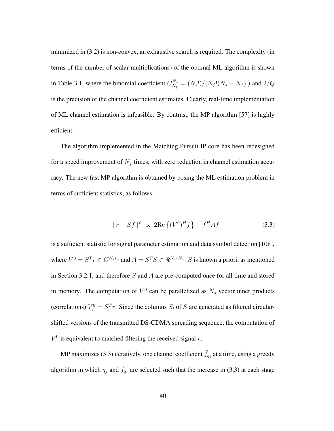minimized in (3.2) is non-convex, an exhaustive search is required. The complexity (in terms of the number of scalar multiplications) of the optimal ML algorithm is shown in Table 3.1, where the binomial coefficient  $C_{N_{\epsilon}}^{N_s}$  $N_{N_f}^{N_s} = (N_s!) / (N_f! (N_s - N_f)!)$  and  $2/Q$ is the precision of the channel coefficient estimates. Clearly, real-time implementation of ML channel estimation is infeasible. By contrast, the MP algorithm [57] is highly efficient.

The algorithm implemented in the Matching Pursuit IP core has been redesigned for a speed improvement of  $N_f$  times, with zero reduction in channel estimation accuracy. The new fast MP algorithm is obtained by posing the ML estimation problem in terms of sufficient statistics, as follows.

$$
-\left\|r - Sf\right\|^2 \, \propto \, 2\text{Re}\left\{(V^0)^H f\right\} - f^H A f \tag{3.3}
$$

is a sufficient statistic for signal parameter estimation and data symbol detection [108], where  $V^0 = S^T r \in C^{N_s*1}$  and  $A = S^T S \in \Re^{N_s*N_s}$ . S is known a priori, as mentioned in Section 3.2.1, and therefore  $S$  and  $A$  are pre-computed once for all time and stored in memory. The computation of  $V^0$  can be parallelized as  $N_s$  vector inner products (correlations)  $V_i^0 = S_i^T r$ . Since the columns  $S_i$  of S are generated as filtered circularshifted versions of the transmitted DS-CDMA spreading sequence, the computation of  $V^0$  is equivalent to matched filtering the received signal r.

MP maximizes (3.3) iteratively, one channel coefficient  $\hat{f}_{q_j}$  at a time, using a greedy algorithm in which  $q_j$  and  $\hat{f}_{q_j}$  are selected such that the increase in (3.3) at each stage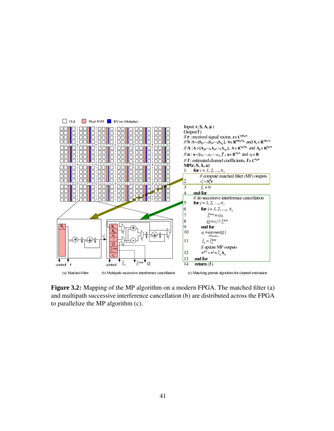

**Figure 3.2:** Mapping of the MP algorithm on a modern FPGA. The matched filter (a) and multipath successive interference cancellation (b) are distributed across the FPGA to parallelize the MP algorithm (c).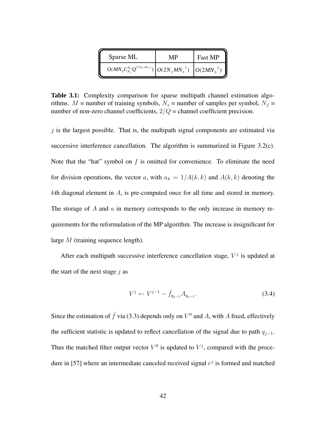| Sparse ML                                                                     | MP | Fast MP |
|-------------------------------------------------------------------------------|----|---------|
| $O(MN_sC_{N_s}^{N_s}Q^{2(N_s-N_f)})\bigg[O(2N_fMN_s^2)\bigg]O(2MN_s^2)\bigg]$ |    |         |

**Table 3.1:** Complexity comparison for sparse multipath channel estimation algorithms.  $M$  = number of training symbols,  $N_s$  = number of samples per symbol,  $N_f$  = number of non-zero channel coefficients,  $2/Q$  = channel coefficient precision.

 $j$  is the largest possible. That is, the multipath signal components are estimated via successive interference cancellation. The algorithm is summarized in Figure 3.2(c). Note that the "hat" symbol on  $f$  is omitted for convenience. To eliminate the need for division operations, the vector a, with  $a_k = 1/A(k, k)$  and  $A(k, k)$  denoting the kth diagonal element in A, is pre-computed once for all time and stored in memory. The storage of A and a in memory corresponds to the only increase in memory requirements for the reformulation of the MP algorithm. The increase is insignificant for large  $M$  (training sequence length).

After each multipath successive interference cancellation stage,  $V<sup>j</sup>$  is updated at the start of the next stage  $j$  as

$$
V^{j} \leftarrow V^{j-1} - \hat{f}_{q_{j-1}} A_{q_{j-1}}.
$$
\n(3.4)

Since the estimation of  $\hat{f}$  via (3.3) depends only on  $V^0$  and A, with A fixed, effectively the sufficient statistic is updated to reflect cancellation of the signal due to path  $q_{i-1}$ . Thus the matched filter output vector  $V^0$  is updated to  $V^j$ , compared with the procedure in [57] where an intermediate canceled received signal  $r<sup>j</sup>$  is formed and matched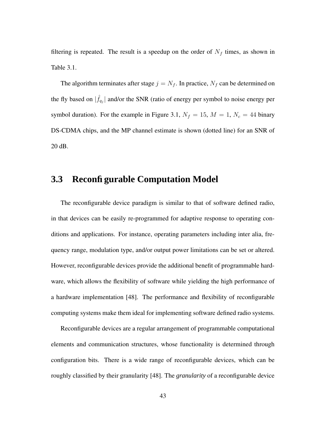filtering is repeated. The result is a speedup on the order of  $N_f$  times, as shown in Table 3.1.

The algorithm terminates after stage  $j = N_f$ . In practice,  $N_f$  can be determined on the fly based on  $|\hat{f}_{q_j}|$  and/or the SNR (ratio of energy per symbol to noise energy per symbol duration). For the example in Figure 3.1,  $N_f = 15$ ,  $M = 1$ ,  $N_c = 44$  binary DS-CDMA chips, and the MP channel estimate is shown (dotted line) for an SNR of 20 dB.

# **3.3 Reconfigurable Computation Model**

The reconfigurable device paradigm is similar to that of software defined radio, in that devices can be easily re-programmed for adaptive response to operating conditions and applications. For instance, operating parameters including inter alia, frequency range, modulation type, and/or output power limitations can be set or altered. However, reconfigurable devices provide the additional benefit of programmable hardware, which allows the flexibility of software while yielding the high performance of a hardware implementation [48]. The performance and flexibility of reconfigurable computing systems make them ideal for implementing software defined radio systems.

Reconfigurable devices are a regular arrangement of programmable computational elements and communication structures, whose functionality is determined through configuration bits. There is a wide range of reconfigurable devices, which can be roughly classified by their granularity [48]. The *granularity* of a reconfigurable device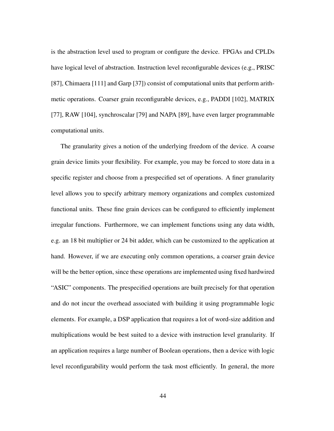is the abstraction level used to program or configure the device. FPGAs and CPLDs have logical level of abstraction. Instruction level reconfigurable devices (e.g., PRISC [87], Chimaera [111] and Garp [37]) consist of computational units that perform arithmetic operations. Coarser grain reconfigurable devices, e.g., PADDI [102], MATRIX [77], RAW [104], synchroscalar [79] and NAPA [89], have even larger programmable computational units.

The granularity gives a notion of the underlying freedom of the device. A coarse grain device limits your flexibility. For example, you may be forced to store data in a specific register and choose from a prespecified set of operations. A finer granularity level allows you to specify arbitrary memory organizations and complex customized functional units. These fine grain devices can be configured to efficiently implement irregular functions. Furthermore, we can implement functions using any data width, e.g. an 18 bit multiplier or 24 bit adder, which can be customized to the application at hand. However, if we are executing only common operations, a coarser grain device will be the better option, since these operations are implemented using fixed hardwired "ASIC" components. The prespecified operations are built precisely for that operation and do not incur the overhead associated with building it using programmable logic elements. For example, a DSP application that requires a lot of word-size addition and multiplications would be best suited to a device with instruction level granularity. If an application requires a large number of Boolean operations, then a device with logic level reconfigurability would perform the task most efficiently. In general, the more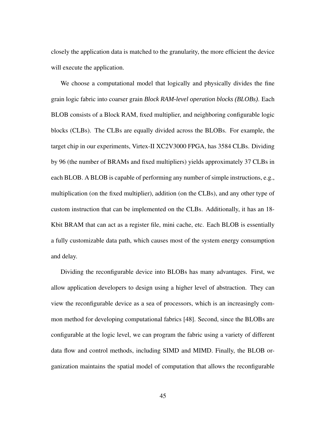closely the application data is matched to the granularity, the more efficient the device will execute the application.

We choose a computational model that logically and physically divides the fine grain logic fabric into coarser grain *Block RAM-level operation blocks (BLOBs)*. Each BLOB consists of a Block RAM, fixed multiplier, and neighboring configurable logic blocks (CLBs). The CLBs are equally divided across the BLOBs. For example, the target chip in our experiments, Virtex-II XC2V3000 FPGA, has 3584 CLBs. Dividing by 96 (the number of BRAMs and fixed multipliers) yields approximately 37 CLBs in each BLOB. A BLOB is capable of performing any number of simple instructions, e.g., multiplication (on the fixed multiplier), addition (on the CLBs), and any other type of custom instruction that can be implemented on the CLBs. Additionally, it has an 18- Kbit BRAM that can act as a register file, mini cache, etc. Each BLOB is essentially a fully customizable data path, which causes most of the system energy consumption and delay.

Dividing the reconfigurable device into BLOBs has many advantages. First, we allow application developers to design using a higher level of abstraction. They can view the reconfigurable device as a sea of processors, which is an increasingly common method for developing computational fabrics [48]. Second, since the BLOBs are configurable at the logic level, we can program the fabric using a variety of different data flow and control methods, including SIMD and MIMD. Finally, the BLOB organization maintains the spatial model of computation that allows the reconfigurable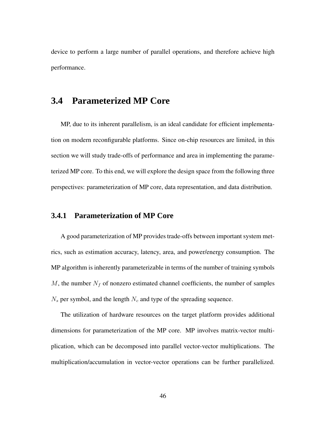device to perform a large number of parallel operations, and therefore achieve high performance.

# **3.4 Parameterized MP Core**

MP, due to its inherent parallelism, is an ideal candidate for efficient implementation on modern reconfigurable platforms. Since on-chip resources are limited, in this section we will study trade-offs of performance and area in implementing the parameterized MP core. To this end, we will explore the design space from the following three perspectives: parameterization of MP core, data representation, and data distribution.

## **3.4.1 Parameterization of MP Core**

A good parameterization of MP provides trade-offs between important system metrics, such as estimation accuracy, latency, area, and power/energy consumption. The MP algorithm is inherently parameterizable in terms of the number of training symbols M, the number  $N_f$  of nonzero estimated channel coefficients, the number of samples  $N_s$  per symbol, and the length  $N_c$  and type of the spreading sequence.

The utilization of hardware resources on the target platform provides additional dimensions for parameterization of the MP core. MP involves matrix-vector multiplication, which can be decomposed into parallel vector-vector multiplications. The multiplication/accumulation in vector-vector operations can be further parallelized.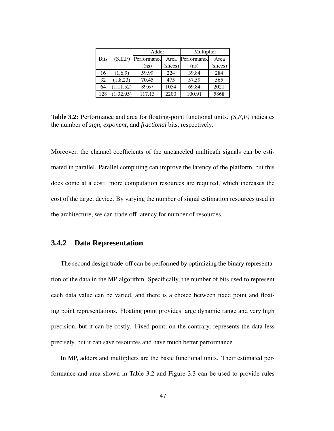|             |             | Adder       |         | Multiplier  |         |
|-------------|-------------|-------------|---------|-------------|---------|
| <b>Bits</b> | (S,E,F)     | Performance | Area    | Performance | Area    |
|             |             | (ns)        | slices) | (ns)        | slices) |
| 16          | (1,6,9)     | 59.99       | 224     | 39.84       | 284     |
| 32          | (1, 8, 23)  | 70.45       | 475     | 57.59       | 565     |
| 64          | (1, 11, 52) | 89.67       | 1054    | 69.84       | 2021    |
| 128         | 1,32,95)    | 117.13      | 2200    | 100.91      | 5868    |

**Table 3.2:** Performance and area for floating-point functional units. *(S,E,F)* indicates the number of *sign*, *exponent*, and *fractional* bits, respectively.

Moreover, the channel coefficients of the uncanceled multipath signals can be estimated in parallel. Parallel computing can improve the latency of the platform, but this does come at a cost: more computation resources are required, which increases the cost of the target device. By varying the number of signal estimation resources used in the architecture, we can trade off latency for number of resources.

### **3.4.2 Data Representation**

The second design trade-off can be performed by optimizing the binary representation of the data in the MP algorithm. Specifically, the number of bits used to represent each data value can be varied, and there is a choice between fixed point and floating point representations. Floating point provides large dynamic range and very high precision, but it can be costly. Fixed-point, on the contrary, represents the data less precisely, but it can save resources and have much better performance.

In MP, adders and multipliers are the basic functional units. Their estimated performance and area shown in Table 3.2 and Figure 3.3 can be used to provide rules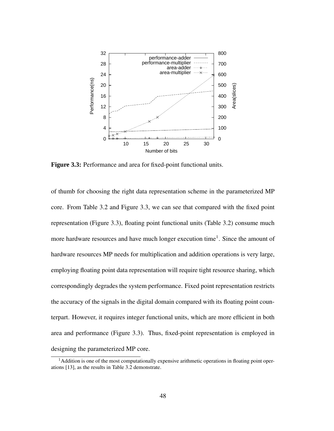

**Figure 3.3:** Performance and area for fixed-point functional units.

of thumb for choosing the right data representation scheme in the parameterized MP core. From Table 3.2 and Figure 3.3, we can see that compared with the fixed point representation (Figure 3.3), floating point functional units (Table 3.2) consume much more hardware resources and have much longer execution time<sup>1</sup>. Since the amount of hardware resources MP needs for multiplication and addition operations is very large, employing floating point data representation will require tight resource sharing, which correspondingly degrades the system performance. Fixed point representation restricts the accuracy of the signals in the digital domain compared with its floating point counterpart. However, it requires integer functional units, which are more efficient in both area and performance (Figure 3.3). Thus, fixed-point representation is employed in designing the parameterized MP core.

<sup>&</sup>lt;sup>1</sup>Addition is one of the most computationally expensive arithmetic operations in floating point operations [13], as the results in Table 3.2 demonstrate.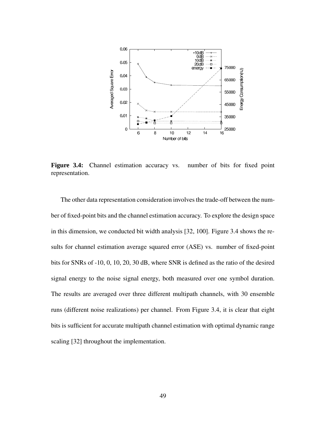

**Figure 3.4:** Channel estimation accuracy vs. number of bits for fixed point representation.

The other data representation consideration involves the trade-off between the number of fixed-point bits and the channel estimation accuracy. To explore the design space in this dimension, we conducted bit width analysis [32, 100]. Figure 3.4 shows the results for channel estimation average squared error (ASE) vs. number of fixed-point bits for SNRs of -10, 0, 10, 20, 30 dB, where SNR is defined as the ratio of the desired signal energy to the noise signal energy, both measured over one symbol duration. The results are averaged over three different multipath channels, with 30 ensemble runs (different noise realizations) per channel. From Figure 3.4, it is clear that eight bits is sufficient for accurate multipath channel estimation with optimal dynamic range scaling [32] throughout the implementation.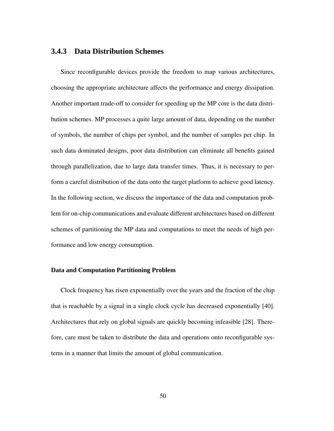# **3.4.3 Data Distribution Schemes**

Since reconfigurable devices provide the freedom to map various architectures, choosing the appropriate architecture affects the performance and energy dissipation. Another important trade-off to consider for speeding up the MP core is the data distribution schemes. MP processes a quite large amount of data, depending on the number of symbols, the number of chips per symbol, and the number of samples per chip. In such data dominated designs, poor data distribution can eliminate all benefits gained through parallelization, due to large data transfer times. Thus, it is necessary to perform a careful distribution of the data onto the target platform to achieve good latency. In the following section, we discuss the importance of the data and computation problem for on-chip communications and evaluate different architectures based on different schemes of partitioning the MP data and computations to meet the needs of high performance and low energy consumption.

#### **Data and Computation Partitioning Problem**

Clock frequency has risen exponentially over the years and the fraction of the chip that is reachable by a signal in a single clock cycle has decreased exponentially [40]. Architectures that rely on global signals are quickly becoming infeasible [28]. Therefore, care must be taken to distribute the data and operations onto reconfigurable systems in a manner that limits the amount of global communication.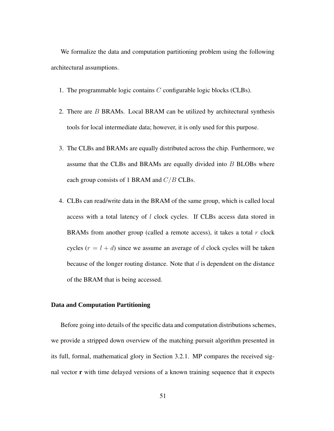We formalize the data and computation partitioning problem using the following architectural assumptions.

- 1. The programmable logic contains C configurable logic blocks (CLBs).
- 2. There are  $B$  BRAMs. Local BRAM can be utilized by architectural synthesis tools for local intermediate data; however, it is only used for this purpose.
- 3. The CLBs and BRAMs are equally distributed across the chip. Furthermore, we assume that the CLBs and BRAMs are equally divided into B BLOBs where each group consists of 1 BRAM and  $C/B$  CLBs.
- 4. CLBs can read/write data in the BRAM of the same group, which is called local access with a total latency of l clock cycles. If CLBs access data stored in BRAMs from another group (called a remote access), it takes a total  $r$  clock cycles  $(r = l + d)$  since we assume an average of d clock cycles will be taken because of the longer routing distance. Note that  $d$  is dependent on the distance of the BRAM that is being accessed.

#### **Data and Computation Partitioning**

Before going into details of the specific data and computation distributions schemes, we provide a stripped down overview of the matching pursuit algorithm presented in its full, formal, mathematical glory in Section 3.2.1. MP compares the received signal vector **r** with time delayed versions of a known training sequence that it expects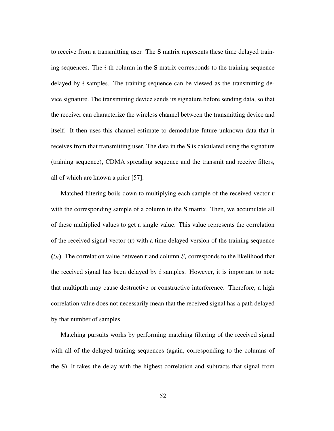to receive from a transmitting user. The **S** matrix represents these time delayed training sequences. The  $i$ -th column in the  $S$  matrix corresponds to the training sequence delayed by  $i$  samples. The training sequence can be viewed as the transmitting device signature. The transmitting device sends its signature before sending data, so that the receiver can characterize the wireless channel between the transmitting device and itself. It then uses this channel estimate to demodulate future unknown data that it receives from that transmitting user. The data in the **S** is calculated using the signature (training sequence), CDMA spreading sequence and the transmit and receive filters, all of which are known a prior [57].

Matched filtering boils down to multiplying each sample of the received vector **r** with the corresponding sample of a column in the **S** matrix. Then, we accumulate all of these multiplied values to get a single value. This value represents the correlation of the received signal vector (**r**) with a time delayed version of the training sequence  $(S_i)$ . The correlation value between **r** and column  $S_i$  corresponds to the likelihood that the received signal has been delayed by  $i$  samples. However, it is important to note that multipath may cause destructive or constructive interference. Therefore, a high correlation value does not necessarily mean that the received signal has a path delayed by that number of samples.

Matching pursuits works by performing matching filtering of the received signal with all of the delayed training sequences (again, corresponding to the columns of the **S**). It takes the delay with the highest correlation and subtracts that signal from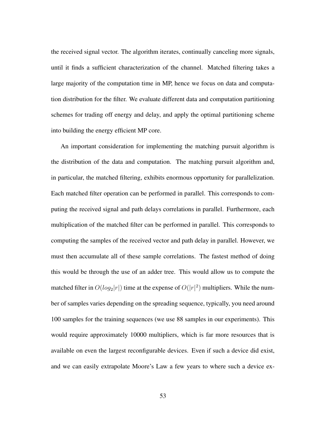the received signal vector. The algorithm iterates, continually canceling more signals, until it finds a sufficient characterization of the channel. Matched filtering takes a large majority of the computation time in MP, hence we focus on data and computation distribution for the filter. We evaluate different data and computation partitioning schemes for trading off energy and delay, and apply the optimal partitioning scheme into building the energy efficient MP core.

An important consideration for implementing the matching pursuit algorithm is the distribution of the data and computation. The matching pursuit algorithm and, in particular, the matched filtering, exhibits enormous opportunity for parallelization. Each matched filter operation can be performed in parallel. This corresponds to computing the received signal and path delays correlations in parallel. Furthermore, each multiplication of the matched filter can be performed in parallel. This corresponds to computing the samples of the received vector and path delay in parallel. However, we must then accumulate all of these sample correlations. The fastest method of doing this would be through the use of an adder tree. This would allow us to compute the matched filter in  $O(log_2|r|)$  time at the expense of  $O(|r|^2)$  multipliers. While the number of samples varies depending on the spreading sequence, typically, you need around 100 samples for the training sequences (we use 88 samples in our experiments). This would require approximately 10000 multipliers, which is far more resources that is available on even the largest reconfigurable devices. Even if such a device did exist, and we can easily extrapolate Moore's Law a few years to where such a device ex-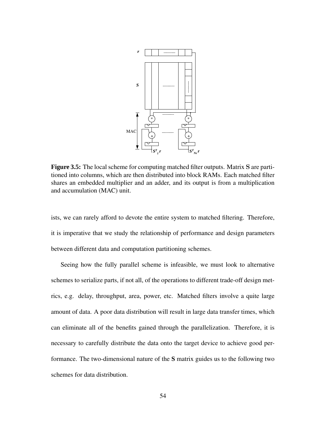

**Figure 3.5:** The local scheme for computing matched filter outputs. Matrix S are partitioned into columns, which are then distributed into block RAMs. Each matched filter shares an embedded multiplier and an adder, and its output is from a multiplication and accumulation (MAC) unit.

ists, we can rarely afford to devote the entire system to matched filtering. Therefore, it is imperative that we study the relationship of performance and design parameters between different data and computation partitioning schemes.

Seeing how the fully parallel scheme is infeasible, we must look to alternative schemes to serialize parts, if not all, of the operations to different trade-off design metrics, e.g. delay, throughput, area, power, etc. Matched filters involve a quite large amount of data. A poor data distribution will result in large data transfer times, which can eliminate all of the benefits gained through the parallelization. Therefore, it is necessary to carefully distribute the data onto the target device to achieve good performance. The two-dimensional nature of the **S** matrix guides us to the following two schemes for data distribution.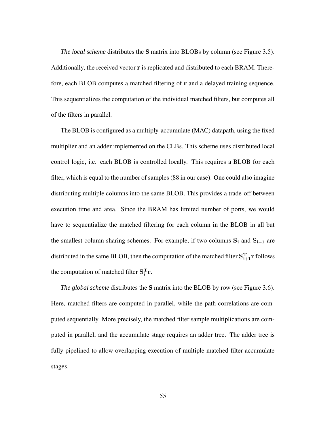*The local scheme* distributes the **S** matrix into BLOBs by column (see Figure 3.5). Additionally, the received vector **r** is replicated and distributed to each BRAM. Therefore, each BLOB computes a matched filtering of **r** and a delayed training sequence. This sequentializes the computation of the individual matched filters, but computes all of the filters in parallel.

The BLOB is configured as a multiply-accumulate (MAC) datapath, using the fixed multiplier and an adder implemented on the CLBs. This scheme uses distributed local control logic, i.e. each BLOB is controlled locally. This requires a BLOB for each filter, which is equal to the number of samples (88 in our case). One could also imagine distributing multiple columns into the same BLOB. This provides a trade-off between execution time and area. Since the BRAM has limited number of ports, we would have to sequentialize the matched filtering for each column in the BLOB in all but the smallest column sharing schemes. For example, if two columns  $S_i$  and  $S_{i+1}$  are distributed in the same BLOB, then the computation of the matched filter  $S_{i+1}^T r$  follows the computation of matched filter  $S_i^T r$ .

*The global scheme* distributes the **S** matrix into the BLOB by row (see Figure 3.6). Here, matched filters are computed in parallel, while the path correlations are computed sequentially. More precisely, the matched filter sample multiplications are computed in parallel, and the accumulate stage requires an adder tree. The adder tree is fully pipelined to allow overlapping execution of multiple matched filter accumulate stages.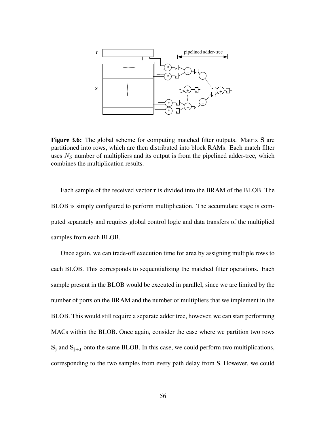

**Figure 3.6:** The global scheme for computing matched filter outputs. Matrix S are partitioned into rows, which are then distributed into block RAMs. Each match filter uses  $N<sub>S</sub>$  number of multipliers and its output is from the pipelined adder-tree, which combines the multiplication results.

Each sample of the received vector **r** is divided into the BRAM of the BLOB. The BLOB is simply configured to perform multiplication. The accumulate stage is computed separately and requires global control logic and data transfers of the multiplied samples from each BLOB.

Once again, we can trade-off execution time for area by assigning multiple rows to each BLOB. This corresponds to sequentializing the matched filter operations. Each sample present in the BLOB would be executed in parallel, since we are limited by the number of ports on the BRAM and the number of multipliers that we implement in the BLOB. This would still require a separate adder tree, however, we can start performing MACs within the BLOB. Once again, consider the case where we partition two rows  $S_i$  and  $S_{i+1}$  onto the same BLOB. In this case, we could perform two multiplications, corresponding to the two samples from every path delay from **S**. However, we could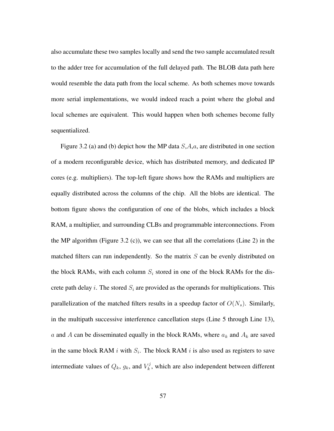also accumulate these two samples locally and send the two sample accumulated result to the adder tree for accumulation of the full delayed path. The BLOB data path here would resemble the data path from the local scheme. As both schemes move towards more serial implementations, we would indeed reach a point where the global and local schemes are equivalent. This would happen when both schemes become fully sequentialized.

Figure 3.2 (a) and (b) depict how the MP data  $S, A, a$ , are distributed in one section of a modern reconfigurable device, which has distributed memory, and dedicated IP cores (e.g. multipliers). The top-left figure shows how the RAMs and multipliers are equally distributed across the columns of the chip. All the blobs are identical. The bottom figure shows the configuration of one of the blobs, which includes a block RAM, a multiplier, and surrounding CLBs and programmable interconnections. From the MP algorithm (Figure 3.2 (c)), we can see that all the correlations (Line 2) in the matched filters can run independently. So the matrix  $S$  can be evenly distributed on the block RAMs, with each column  $S_i$  stored in one of the block RAMs for the discrete path delay i. The stored  $S_i$  are provided as the operands for multiplications. This parallelization of the matched filters results in a speedup factor of  $O(N_s)$ . Similarly, in the multipath successive interference cancellation steps (Line 5 through Line 13), a and A can be disseminated equally in the block RAMs, where  $a_k$  and  $A_k$  are saved in the same block RAM i with  $S_i$ . The block RAM i is also used as registers to save intermediate values of  $Q_k$ ,  $g_k$ , and  $V_k^j$  $k_k^j$ , which are also independent between different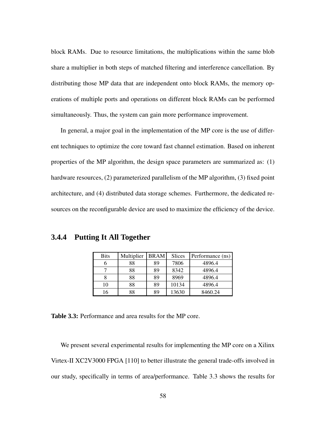block RAMs. Due to resource limitations, the multiplications within the same blob share a multiplier in both steps of matched filtering and interference cancellation. By distributing those MP data that are independent onto block RAMs, the memory operations of multiple ports and operations on different block RAMs can be performed simultaneously. Thus, the system can gain more performance improvement.

In general, a major goal in the implementation of the MP core is the use of different techniques to optimize the core toward fast channel estimation. Based on inherent properties of the MP algorithm, the design space parameters are summarized as: (1) hardware resources, (2) parameterized parallelism of the MP algorithm, (3) fixed point architecture, and (4) distributed data storage schemes. Furthermore, the dedicated resources on the reconfigurable device are used to maximize the efficiency of the device.

**3.4.4 Putting It All Together**

| <b>Bits</b> | Multiplier | <b>BRAM</b> | Slices | Performance (ns) |
|-------------|------------|-------------|--------|------------------|
|             | 88         | 89          | 7806   | 4896.4           |
|             | 88         | 89          | 8342   | 4896.4           |
|             | 88         | 89          | 8969   | 4896.4           |
| 10          | 88         | 89          | 10134  | 4896.4           |
|             | 88         | 89          | 13630  | 8460.24          |

**Table 3.3:** Performance and area results for the MP core.

We present several experimental results for implementing the MP core on a Xilinx Virtex-II XC2V3000 FPGA [110] to better illustrate the general trade-offs involved in our study, specifically in terms of area/performance. Table 3.3 shows the results for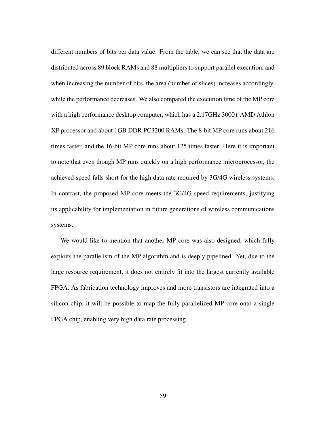different numbers of bits per data value. From the table, we can see that the data are distributed across 89 block RAMs and 88 multipliers to support parallel execution, and when increasing the number of bits, the area (number of slices) increases accordingly, while the performance decreases. We also compared the execution time of the MP core with a high performance desktop computer, which has a 2.17GHz 3000+ AMD Athlon XP processor and about 1GB DDR PC3200 RAMs. The 8-bit MP core runs about 216 times faster, and the 16-bit MP core runs about 125 times faster. Here it is important to note that even though MP runs quickly on a high performance microprocessor, the achieved speed falls short for the high data rate required by 3G/4G wireless systems. In contrast, the proposed MP core meets the 3G/4G speed requirements, justifying its applicability for implementation in future generations of wireless communications systems.

We would like to mention that another MP core was also designed, which fully exploits the parallelism of the MP algorithm and is deeply pipelined. Yet, due to the large resource requirement, it does not entirely fit into the largest currently available FPGA. As fabrication technology improves and more transistors are integrated into a silicon chip, it will be possible to map the fully-parallelized MP core onto a single FPGA chip, enabling very high data rate processing.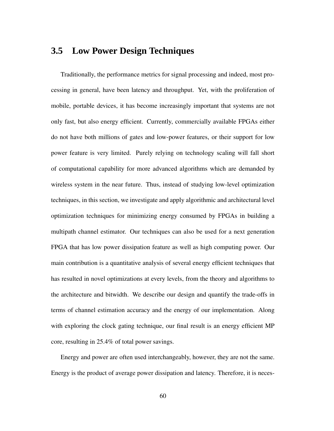# **3.5 Low Power Design Techniques**

Traditionally, the performance metrics for signal processing and indeed, most processing in general, have been latency and throughput. Yet, with the proliferation of mobile, portable devices, it has become increasingly important that systems are not only fast, but also energy efficient. Currently, commercially available FPGAs either do not have both millions of gates and low-power features, or their support for low power feature is very limited. Purely relying on technology scaling will fall short of computational capability for more advanced algorithms which are demanded by wireless system in the near future. Thus, instead of studying low-level optimization techniques, in this section, we investigate and apply algorithmic and architectural level optimization techniques for minimizing energy consumed by FPGAs in building a multipath channel estimator. Our techniques can also be used for a next generation FPGA that has low power dissipation feature as well as high computing power. Our main contribution is a quantitative analysis of several energy efficient techniques that has resulted in novel optimizations at every levels, from the theory and algorithms to the architecture and bitwidth. We describe our design and quantify the trade-offs in terms of channel estimation accuracy and the energy of our implementation. Along with exploring the clock gating technique, our final result is an energy efficient MP core, resulting in 25.4% of total power savings.

Energy and power are often used interchangeably, however, they are not the same. Energy is the product of average power dissipation and latency. Therefore, it is neces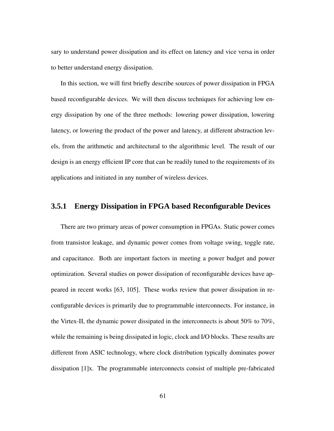sary to understand power dissipation and its effect on latency and vice versa in order to better understand energy dissipation.

In this section, we will first briefly describe sources of power dissipation in FPGA based reconfigurable devices. We will then discuss techniques for achieving low energy dissipation by one of the three methods: lowering power dissipation, lowering latency, or lowering the product of the power and latency, at different abstraction levels, from the arithmetic and architectural to the algorithmic level. The result of our design is an energy efficient IP core that can be readily tuned to the requirements of its applications and initiated in any number of wireless devices.

#### **3.5.1 Energy Dissipation in FPGA based Reconfigurable Devices**

There are two primary areas of power consumption in FPGAs. Static power comes from transistor leakage, and dynamic power comes from voltage swing, toggle rate, and capacitance. Both are important factors in meeting a power budget and power optimization. Several studies on power dissipation of reconfigurable devices have appeared in recent works [63, 105]. These works review that power dissipation in reconfigurable devices is primarily due to programmable interconnects. For instance, in the Virtex-II, the dynamic power dissipated in the interconnects is about 50% to 70%, while the remaining is being dissipated in logic, clock and I/O blocks. These results are different from ASIC technology, where clock distribution typically dominates power dissipation [1]x. The programmable interconnects consist of multiple pre-fabricated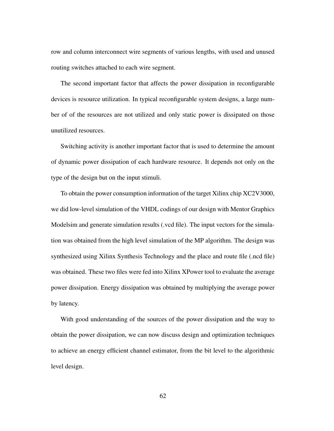row and column interconnect wire segments of various lengths, with used and unused routing switches attached to each wire segment.

The second important factor that affects the power dissipation in reconfigurable devices is resource utilization. In typical reconfigurable system designs, a large number of of the resources are not utilized and only static power is dissipated on those unutilized resources.

Switching activity is another important factor that is used to determine the amount of dynamic power dissipation of each hardware resource. It depends not only on the type of the design but on the input stimuli.

To obtain the power consumption information of the target Xilinx chip XC2V3000, we did low-level simulation of the VHDL codings of our design with Mentor Graphics Modelsim and generate simulation results (.vcd file). The input vectors for the simulation was obtained from the high level simulation of the MP algorithm. The design was synthesized using Xilinx Synthesis Technology and the place and route file (.ncd file) was obtained. These two files were fed into Xilinx XPower tool to evaluate the average power dissipation. Energy dissipation was obtained by multiplying the average power by latency.

With good understanding of the sources of the power dissipation and the way to obtain the power dissipation, we can now discuss design and optimization techniques to achieve an energy efficient channel estimator, from the bit level to the algorithmic level design.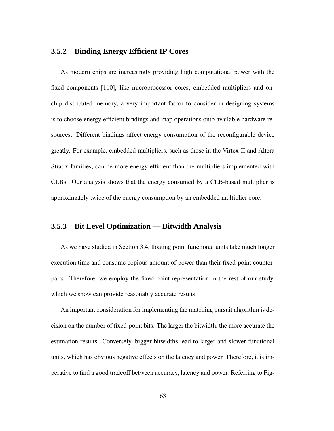### **3.5.2 Binding Energy Efficient IP Cores**

As modern chips are increasingly providing high computational power with the fixed components [110], like microprocessor cores, embedded multipliers and onchip distributed memory, a very important factor to consider in designing systems is to choose energy efficient bindings and map operations onto available hardware resources. Different bindings affect energy consumption of the reconfigurable device greatly. For example, embedded multipliers, such as those in the Virtex-II and Altera Stratix families, can be more energy efficient than the multipliers implemented with CLBs. Our analysis shows that the energy consumed by a CLB-based multiplier is approximately twice of the energy consumption by an embedded multiplier core.

#### **3.5.3 Bit Level Optimization — Bitwidth Analysis**

As we have studied in Section 3.4, floating point functional units take much longer execution time and consume copious amount of power than their fixed-point counterparts. Therefore, we employ the fixed point representation in the rest of our study, which we show can provide reasonably accurate results.

An important consideration for implementing the matching pursuit algorithm is decision on the number of fixed-point bits. The larger the bitwidth, the more accurate the estimation results. Conversely, bigger bitwidths lead to larger and slower functional units, which has obvious negative effects on the latency and power. Therefore, it is imperative to find a good tradeoff between accuracy, latency and power. Referring to Fig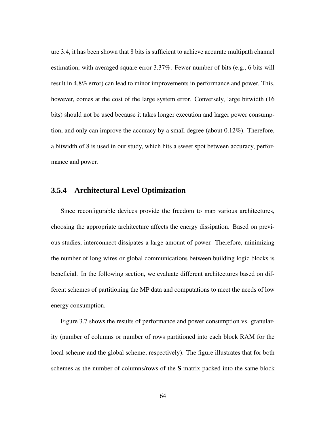ure 3.4, it has been shown that 8 bits is sufficient to achieve accurate multipath channel estimation, with averaged square error 3.37%. Fewer number of bits (e.g., 6 bits will result in 4.8% error) can lead to minor improvements in performance and power. This, however, comes at the cost of the large system error. Conversely, large bitwidth (16 bits) should not be used because it takes longer execution and larger power consumption, and only can improve the accuracy by a small degree (about 0.12%). Therefore, a bitwidth of 8 is used in our study, which hits a sweet spot between accuracy, performance and power.

#### **3.5.4 Architectural Level Optimization**

Since reconfigurable devices provide the freedom to map various architectures, choosing the appropriate architecture affects the energy dissipation. Based on previous studies, interconnect dissipates a large amount of power. Therefore, minimizing the number of long wires or global communications between building logic blocks is beneficial. In the following section, we evaluate different architectures based on different schemes of partitioning the MP data and computations to meet the needs of low energy consumption.

Figure 3.7 shows the results of performance and power consumption vs. granularity (number of columns or number of rows partitioned into each block RAM for the local scheme and the global scheme, respectively). The figure illustrates that for both schemes as the number of columns/rows of the **S** matrix packed into the same block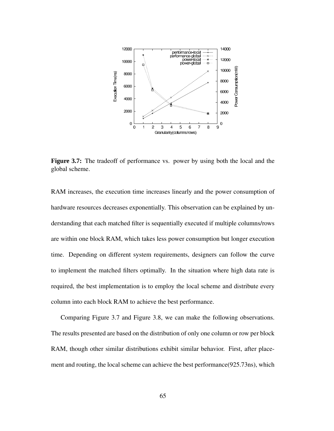

**Figure 3.7:** The tradeoff of performance vs. power by using both the local and the global scheme.

RAM increases, the execution time increases linearly and the power consumption of hardware resources decreases exponentially. This observation can be explained by understanding that each matched filter is sequentially executed if multiple columns/rows are within one block RAM, which takes less power consumption but longer execution time. Depending on different system requirements, designers can follow the curve to implement the matched filters optimally. In the situation where high data rate is required, the best implementation is to employ the local scheme and distribute every column into each block RAM to achieve the best performance.

Comparing Figure 3.7 and Figure 3.8, we can make the following observations. The results presented are based on the distribution of only one column or row per block RAM, though other similar distributions exhibit similar behavior. First, after placement and routing, the local scheme can achieve the best performance(925.73ns), which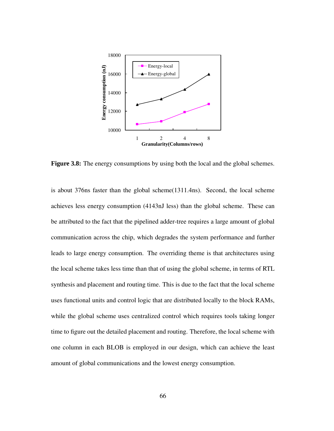

**Figure 3.8:** The energy consumptions by using both the local and the global schemes.

is about 376ns faster than the global scheme(1311.4ns). Second, the local scheme achieves less energy consumption (4143nJ less) than the global scheme. These can be attributed to the fact that the pipelined adder-tree requires a large amount of global communication across the chip, which degrades the system performance and further leads to large energy consumption. The overriding theme is that architectures using the local scheme takes less time than that of using the global scheme, in terms of RTL synthesis and placement and routing time. This is due to the fact that the local scheme uses functional units and control logic that are distributed locally to the block RAMs, while the global scheme uses centralized control which requires tools taking longer time to figure out the detailed placement and routing. Therefore, the local scheme with one column in each BLOB is employed in our design, which can achieve the least amount of global communications and the lowest energy consumption.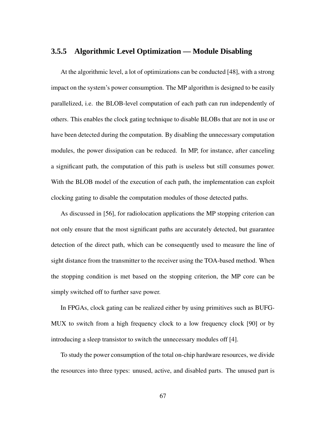### **3.5.5 Algorithmic Level Optimization — Module Disabling**

At the algorithmic level, a lot of optimizations can be conducted [48], with a strong impact on the system's power consumption. The MP algorithm is designed to be easily parallelized, i.e. the BLOB-level computation of each path can run independently of others. This enables the clock gating technique to disable BLOBs that are not in use or have been detected during the computation. By disabling the unnecessary computation modules, the power dissipation can be reduced. In MP, for instance, after canceling a significant path, the computation of this path is useless but still consumes power. With the BLOB model of the execution of each path, the implementation can exploit clocking gating to disable the computation modules of those detected paths.

As discussed in [56], for radiolocation applications the MP stopping criterion can not only ensure that the most significant paths are accurately detected, but guarantee detection of the direct path, which can be consequently used to measure the line of sight distance from the transmitter to the receiver using the TOA-based method. When the stopping condition is met based on the stopping criterion, the MP core can be simply switched off to further save power.

In FPGAs, clock gating can be realized either by using primitives such as BUFG-MUX to switch from a high frequency clock to a low frequency clock [90] or by introducing a sleep transistor to switch the unnecessary modules off [4].

To study the power consumption of the total on-chip hardware resources, we divide the resources into three types: unused, active, and disabled parts. The unused part is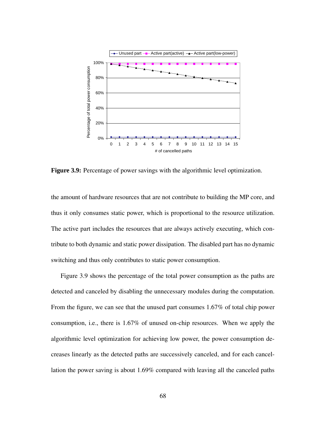

**Figure 3.9:** Percentage of power savings with the algorithmic level optimization.

the amount of hardware resources that are not contribute to building the MP core, and thus it only consumes static power, which is proportional to the resource utilization. The active part includes the resources that are always actively executing, which contribute to both dynamic and static power dissipation. The disabled part has no dynamic switching and thus only contributes to static power consumption.

Figure 3.9 shows the percentage of the total power consumption as the paths are detected and canceled by disabling the unnecessary modules during the computation. From the figure, we can see that the unused part consumes 1.67% of total chip power consumption, i.e., there is 1.67% of unused on-chip resources. When we apply the algorithmic level optimization for achieving low power, the power consumption decreases linearly as the detected paths are successively canceled, and for each cancellation the power saving is about 1.69% compared with leaving all the canceled paths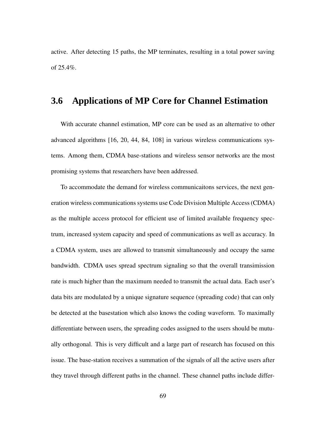active. After detecting 15 paths, the MP terminates, resulting in a total power saving of  $25.4\%$ .

# **3.6 Applications of MP Core for Channel Estimation**

With accurate channel estimation, MP core can be used as an alternative to other advanced algorithms [16, 20, 44, 84, 108] in various wireless communications systems. Among them, CDMA base-stations and wireless sensor networks are the most promising systems that researchers have been addressed.

To accommodate the demand for wireless communicaitons services, the next generation wireless communicationssystems use Code Division Multiple Access(CDMA) as the multiple access protocol for efficient use of limited available frequency spectrum, increased system capacity and speed of communications as well as accuracy. In a CDMA system, uses are allowed to transmit simultaneously and occupy the same bandwidth. CDMA uses spread spectrum signaling so that the overall transimission rate is much higher than the maximum needed to transmit the actual data. Each user's data bits are modulated by a unique signature sequence (spreading code) that can only be detected at the basestation which also knows the coding waveform. To maximally differentiate between users, the spreading codes assigned to the users should be mutually orthogonal. This is very difficult and a large part of research has focused on this issue. The base-station receives a summation of the signals of all the active users after they travel through different paths in the channel. These channel paths include differ-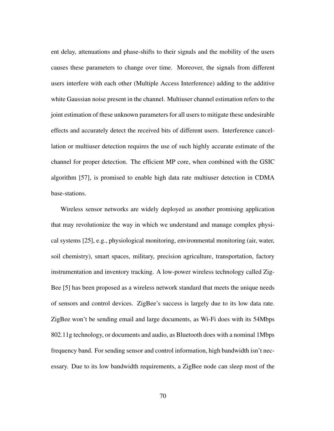ent delay, attenuations and phase-shifts to their signals and the mobility of the users causes these parameters to change over time. Moreover, the signals from different users interfere with each other (Multiple Access Interference) adding to the additive white Gaussian noise present in the channel. Multiuser channel estimation refers to the joint estimation of these unknown parameters for all users to mitigate these undesirable effects and accurately detect the received bits of different users. Interference cancellation or multiuser detection requires the use of such highly accurate estimate of the channel for proper detection. The efficient MP core, when combined with the GSIC algorithm [57], is promised to enable high data rate multiuser detection in CDMA base-stations.

Wireless sensor networks are widely deployed as another promising application that may revolutionize the way in which we understand and manage complex physical systems [25], e.g., physiological monitoring, environmental monitoring (air, water, soil chemistry), smart spaces, military, precision agriculture, transportation, factory instrumentation and inventory tracking. A low-power wireless technology called Zig-Bee [5] has been proposed as a wireless network standard that meets the unique needs of sensors and control devices. ZigBee's success is largely due to its low data rate. ZigBee won't be sending email and large documents, as Wi-Fi does with its 54Mbps 802.11g technology, or documents and audio, as Bluetooth does with a nominal 1Mbps frequency band. For sending sensor and control information, high bandwidth isn't necessary. Due to its low bandwidth requirements, a ZigBee node can sleep most of the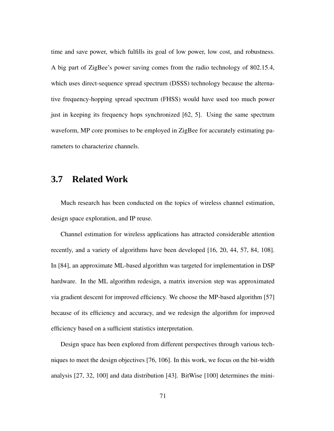time and save power, which fulfills its goal of low power, low cost, and robustness. A big part of ZigBee's power saving comes from the radio technology of 802.15.4, which uses direct-sequence spread spectrum (DSSS) technology because the alternative frequency-hopping spread spectrum (FHSS) would have used too much power just in keeping its frequency hops synchronized [62, 5]. Using the same spectrum waveform, MP core promises to be employed in ZigBee for accurately estimating parameters to characterize channels.

# **3.7 Related Work**

Much research has been conducted on the topics of wireless channel estimation, design space exploration, and IP reuse.

Channel estimation for wireless applications has attracted considerable attention recently, and a variety of algorithms have been developed [16, 20, 44, 57, 84, 108]. In [84], an approximate ML-based algorithm was targeted for implementation in DSP hardware. In the ML algorithm redesign, a matrix inversion step was approximated via gradient descent for improved efficiency. We choose the MP-based algorithm [57] because of its efficiency and accuracy, and we redesign the algorithm for improved efficiency based on a sufficient statistics interpretation.

Design space has been explored from different perspectives through various techniques to meet the design objectives [76, 106]. In this work, we focus on the bit-width analysis [27, 32, 100] and data distribution [43]. BitWise [100] determines the mini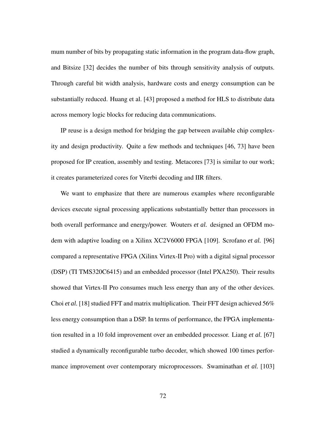mum number of bits by propagating static information in the program data-flow graph, and Bitsize [32] decides the number of bits through sensitivity analysis of outputs. Through careful bit width analysis, hardware costs and energy consumption can be substantially reduced. Huang et al. [43] proposed a method for HLS to distribute data across memory logic blocks for reducing data communications.

IP reuse is a design method for bridging the gap between available chip complexity and design productivity. Quite a few methods and techniques [46, 73] have been proposed for IP creation, assembly and testing. Metacores [73] is similar to our work; it creates parameterized cores for Viterbi decoding and IIR filters.

We want to emphasize that there are numerous examples where reconfigurable devices execute signal processing applications substantially better than processors in both overall performance and energy/power. Wouters *et al.* designed an OFDM modem with adaptive loading on a Xilinx XC2V6000 FPGA [109]. Scrofano *et al.* [96] compared a representative FPGA (Xilinx Virtex-II Pro) with a digital signal processor (DSP) (TI TMS320C6415) and an embedded processor (Intel PXA250). Their results showed that Virtex-II Pro consumes much less energy than any of the other devices. Choi *et al.* [18] studied FFT and matrix multiplication. Their FFT design achieved 56% less energy consumption than a DSP. In terms of performance, the FPGA implementation resulted in a 10 fold improvement over an embedded processor. Liang *et al.* [67] studied a dynamically reconfigurable turbo decoder, which showed 100 times performance improvement over contemporary microprocessors. Swaminathan *et al.* [103]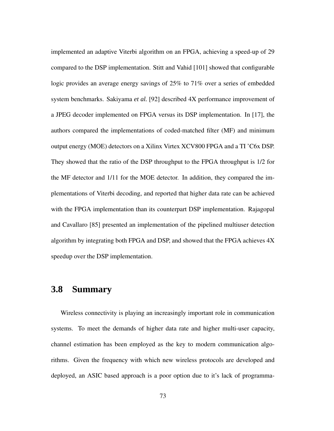implemented an adaptive Viterbi algorithm on an FPGA, achieving a speed-up of 29 compared to the DSP implementation. Stitt and Vahid [101] showed that configurable logic provides an average energy savings of 25% to 71% over a series of embedded system benchmarks. Sakiyama *et al.* [92] described 4X performance improvement of a JPEG decoder implemented on FPGA versus its DSP implementation. In [17], the authors compared the implementations of coded-matched filter (MF) and minimum output energy (MOE) detectors on a Xilinx Virtex XCV800 FPGA and a TI 'C6x DSP. They showed that the ratio of the DSP throughput to the FPGA throughput is 1/2 for the MF detector and 1/11 for the MOE detector. In addition, they compared the implementations of Viterbi decoding, and reported that higher data rate can be achieved with the FPGA implementation than its counterpart DSP implementation. Rajagopal and Cavallaro [85] presented an implementation of the pipelined multiuser detection algorithm by integrating both FPGA and DSP, and showed that the FPGA achieves 4X speedup over the DSP implementation.

## **3.8 Summary**

Wireless connectivity is playing an increasingly important role in communication systems. To meet the demands of higher data rate and higher multi-user capacity, channel estimation has been employed as the key to modern communication algorithms. Given the frequency with which new wireless protocols are developed and deployed, an ASIC based approach is a poor option due to it's lack of programma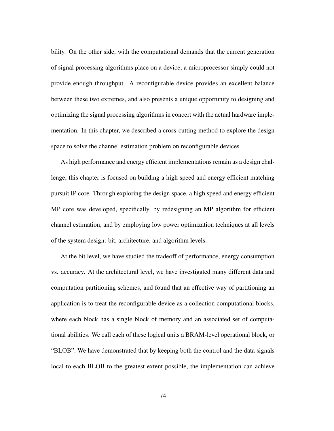bility. On the other side, with the computational demands that the current generation of signal processing algorithms place on a device, a microprocessor simply could not provide enough throughput. A reconfigurable device provides an excellent balance between these two extremes, and also presents a unique opportunity to designing and optimizing the signal processing algorithms in concert with the actual hardware implementation. In this chapter, we described a cross-cutting method to explore the design space to solve the channel estimation problem on reconfigurable devices.

As high performance and energy efficient implementations remain as a design challenge, this chapter is focused on building a high speed and energy efficient matching pursuit IP core. Through exploring the design space, a high speed and energy efficient MP core was developed, specifically, by redesigning an MP algorithm for efficient channel estimation, and by employing low power optimization techniques at all levels of the system design: bit, architecture, and algorithm levels.

At the bit level, we have studied the tradeoff of performance, energy consumption vs. accuracy. At the architectural level, we have investigated many different data and computation partitioning schemes, and found that an effective way of partitioning an application is to treat the reconfigurable device as a collection computational blocks, where each block has a single block of memory and an associated set of computational abilities. We call each of these logical units a BRAM-level operational block, or "BLOB". We have demonstrated that by keeping both the control and the data signals local to each BLOB to the greatest extent possible, the implementation can achieve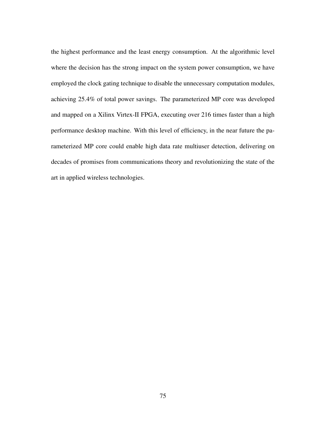the highest performance and the least energy consumption. At the algorithmic level where the decision has the strong impact on the system power consumption, we have employed the clock gating technique to disable the unnecessary computation modules, achieving 25.4% of total power savings. The parameterized MP core was developed and mapped on a Xilinx Virtex-II FPGA, executing over 216 times faster than a high performance desktop machine. With this level of efficiency, in the near future the parameterized MP core could enable high data rate multiuser detection, delivering on decades of promises from communications theory and revolutionizing the state of the art in applied wireless technologies.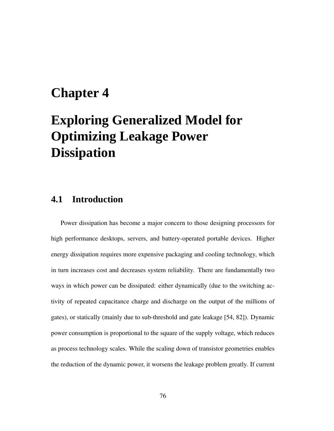# **Chapter 4**

# **Exploring Generalized Model for Optimizing Leakage Power Dissipation**

# **4.1 Introduction**

Power dissipation has become a major concern to those designing processors for high performance desktops, servers, and battery-operated portable devices. Higher energy dissipation requires more expensive packaging and cooling technology, which in turn increases cost and decreases system reliability. There are fundamentally two ways in which power can be dissipated: either dynamically (due to the switching activity of repeated capacitance charge and discharge on the output of the millions of gates), or statically (mainly due to sub-threshold and gate leakage [54, 82]). Dynamic power consumption is proportional to the square of the supply voltage, which reduces as process technology scales. While the scaling down of transistor geometries enables the reduction of the dynamic power, it worsens the leakage problem greatly. If current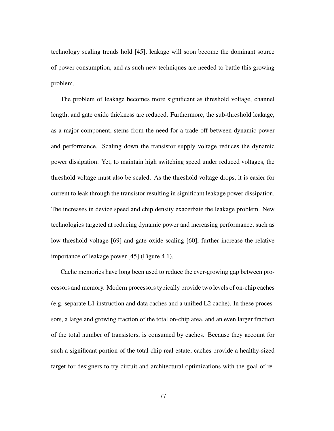technology scaling trends hold [45], leakage will soon become the dominant source of power consumption, and as such new techniques are needed to battle this growing problem.

The problem of leakage becomes more significant as threshold voltage, channel length, and gate oxide thickness are reduced. Furthermore, the sub-threshold leakage, as a major component, stems from the need for a trade-off between dynamic power and performance. Scaling down the transistor supply voltage reduces the dynamic power dissipation. Yet, to maintain high switching speed under reduced voltages, the threshold voltage must also be scaled. As the threshold voltage drops, it is easier for current to leak through the transistor resulting in significant leakage power dissipation. The increases in device speed and chip density exacerbate the leakage problem. New technologies targeted at reducing dynamic power and increasing performance, such as low threshold voltage [69] and gate oxide scaling [60], further increase the relative importance of leakage power [45] (Figure 4.1).

Cache memories have long been used to reduce the ever-growing gap between processors and memory. Modern processorstypically provide two levels of on-chip caches (e.g. separate L1 instruction and data caches and a unified L2 cache). In these processors, a large and growing fraction of the total on-chip area, and an even larger fraction of the total number of transistors, is consumed by caches. Because they account for such a significant portion of the total chip real estate, caches provide a healthy-sized target for designers to try circuit and architectural optimizations with the goal of re-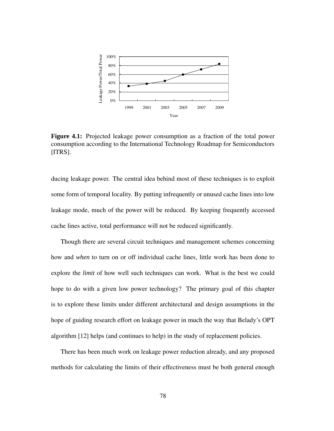

**Figure 4.1:** Projected leakage power consumption as a fraction of the total power consumption according to the International Technology Roadmap for Semiconductors [ITRS].

ducing leakage power. The central idea behind most of these techniques is to exploit some form of temporal locality. By putting infrequently or unused cache lines into low leakage mode, much of the power will be reduced. By keeping frequently accessed cache lines active, total performance will not be reduced significantly.

Though there are several circuit techniques and management schemes concerning how and *when* to turn on or off individual cache lines, little work has been done to explore the *limit* of how well such techniques can work. What is the best we could hope to do with a given low power technology? The primary goal of this chapter is to explore these limits under different architectural and design assumptions in the hope of guiding research effort on leakage power in much the way that Belady's OPT algorithm [12] helps (and continues to help) in the study of replacement policies.

There has been much work on leakage power reduction already, and any proposed methods for calculating the limits of their effectiveness must be both general enough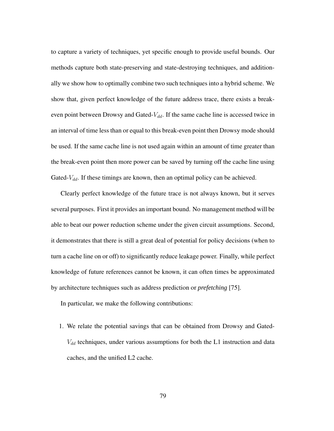to capture a variety of techniques, yet specific enough to provide useful bounds. Our methods capture both state-preserving and state-destroying techniques, and additionally we show how to optimally combine two such techniques into a hybrid scheme. We show that, given perfect knowledge of the future address trace, there exists a breakeven point between Drowsy and Gated- $V_{dd}$ . If the same cache line is accessed twice in an interval of time less than or equal to this break-even point then Drowsy mode should be used. If the same cache line is not used again within an amount of time greater than the break-even point then more power can be saved by turning off the cache line using Gated- $V_{dd}$ . If these timings are known, then an optimal policy can be achieved.

Clearly perfect knowledge of the future trace is not always known, but it serves several purposes. First it provides an important bound. No management method will be able to beat our power reduction scheme under the given circuit assumptions. Second, it demonstrates that there is still a great deal of potential for policy decisions (when to turn a cache line on or off) to significantly reduce leakage power. Finally, while perfect knowledge of future references cannot be known, it can often times be approximated by architecture techniques such as address prediction or *prefetching* [75].

In particular, we make the following contributions:

1. We relate the potential savings that can be obtained from Drowsy and Gated- $V_{dd}$  techniques, under various assumptions for both the L1 instruction and data caches, and the unified L2 cache.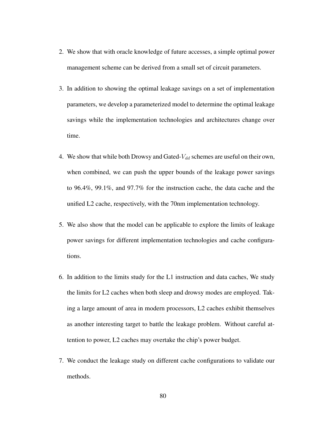- 2. We show that with oracle knowledge of future accesses, a simple optimal power management scheme can be derived from a small set of circuit parameters.
- 3. In addition to showing the optimal leakage savings on a set of implementation parameters, we develop a parameterized model to determine the optimal leakage savings while the implementation technologies and architectures change over time.
- 4. We show that while both Drowsy and Gated- $V_{dd}$  schemes are useful on their own, when combined, we can push the upper bounds of the leakage power savings to 96.4%, 99.1%, and 97.7% for the instruction cache, the data cache and the unified L2 cache, respectively, with the 70nm implementation technology.
- 5. We also show that the model can be applicable to explore the limits of leakage power savings for different implementation technologies and cache configurations.
- 6. In addition to the limits study for the L1 instruction and data caches, We study the limits for L2 caches when both sleep and drowsy modes are employed. Taking a large amount of area in modern processors, L2 caches exhibit themselves as another interesting target to battle the leakage problem. Without careful attention to power, L2 caches may overtake the chip's power budget.
- 7. We conduct the leakage study on different cache configurations to validate our methods.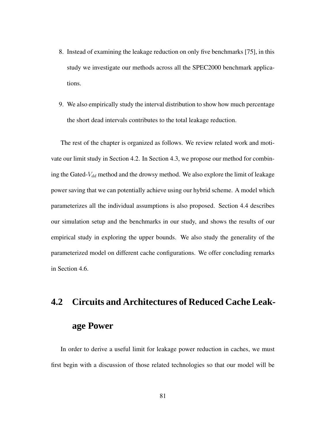- 8. Instead of examining the leakage reduction on only five benchmarks [75], in this study we investigate our methods across all the SPEC2000 benchmark applications.
- 9. We also empirically study the interval distribution to show how much percentage the short dead intervals contributes to the total leakage reduction.

The rest of the chapter is organized as follows. We review related work and motivate our limit study in Section 4.2. In Section 4.3, we propose our method for combining the Gated- $V_{dd}$  method and the drowsy method. We also explore the limit of leakage power saving that we can potentially achieve using our hybrid scheme. A model which parameterizes all the individual assumptions is also proposed. Section 4.4 describes our simulation setup and the benchmarks in our study, and shows the results of our empirical study in exploring the upper bounds. We also study the generality of the parameterized model on different cache configurations. We offer concluding remarks in Section 4.6.

# **4.2 Circuits and Architectures of Reduced Cache Leakage Power**

In order to derive a useful limit for leakage power reduction in caches, we must first begin with a discussion of those related technologies so that our model will be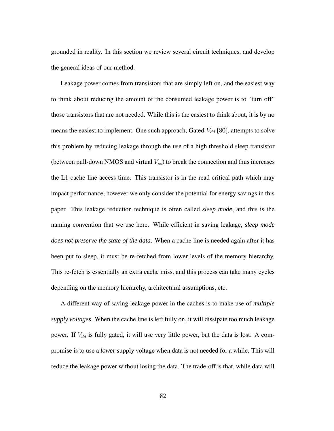grounded in reality. In this section we review several circuit techniques, and develop the general ideas of our method.

Leakage power comes from transistors that are simply left on, and the easiest way to think about reducing the amount of the consumed leakage power is to "turn off" those transistors that are not needed. While this is the easiest to think about, it is by no means the easiest to implement. One such approach, Gated- $V_{dd}$  [80], attempts to solve this problem by reducing leakage through the use of a high threshold sleep transistor (between pull-down NMOS and virtual  $V_{ss}$ ) to break the connection and thus increases the L1 cache line access time. This transistor is in the read critical path which may impact performance, however we only consider the potential for energy savings in this paper. This leakage reduction technique is often called *sleep mode*, and this is the naming convention that we use here. While efficient in saving leakage, *sleep mode does not preserve the state of the data*. When a cache line is needed again after it has been put to sleep, it must be re-fetched from lower levels of the memory hierarchy. This re-fetch is essentially an extra cache miss, and this process can take many cycles depending on the memory hierarchy, architectural assumptions, etc.

A different way of saving leakage power in the caches is to make use of *multiple supply voltages*. When the cache line is left fully on, it will dissipate too much leakage power. If  $V_{dd}$  is fully gated, it will use very little power, but the data is lost. A compromise is to use a *lower* supply voltage when data is not needed for a while. This will reduce the leakage power without losing the data. The trade-off is that, while data will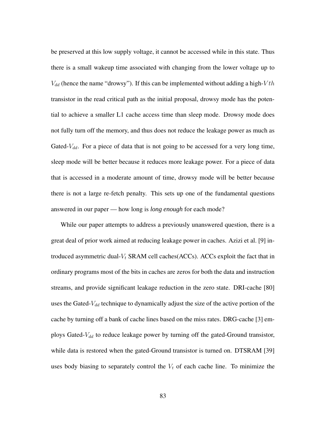be preserved at this low supply voltage, it cannot be accessed while in this state. Thus there is a small wakeup time associated with changing from the lower voltage up to  $V_{dd}$  (hence the name "drowsy"). If this can be implemented without adding a high- $Vth$ transistor in the read critical path as the initial proposal, drowsy mode has the potential to achieve a smaller L1 cache access time than sleep mode. Drowsy mode does not fully turn off the memory, and thus does not reduce the leakage power as much as Gated- $V_{dd}$ . For a piece of data that is not going to be accessed for a very long time, sleep mode will be better because it reduces more leakage power. For a piece of data that is accessed in a moderate amount of time, drowsy mode will be better because there is not a large re-fetch penalty. This sets up one of the fundamental questions answered in our paper — how long is *long enough* for each mode?

While our paper attempts to address a previously unanswered question, there is a great deal of prior work aimed at reducing leakage power in caches. Azizi et al. [9] introduced asymmetric dual- $V_t$  SRAM cell caches(ACCs). ACCs exploit the fact that in ordinary programs most of the bits in caches are zeros for both the data and instruction streams, and provide significant leakage reduction in the zero state. DRI-cache [80] uses the Gated- $V_{dd}$  technique to dynamically adjust the size of the active portion of the cache by turning off a bank of cache lines based on the miss rates. DRG-cache [3] employs Gated- $V_{dd}$  to reduce leakage power by turning off the gated-Ground transistor, while data is restored when the gated-Ground transistor is turned on. DTSRAM [39] uses body biasing to separately control the  $V_t$  of each cache line. To minimize the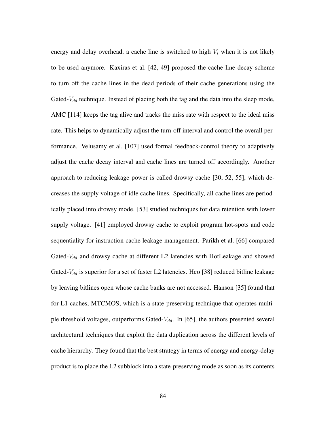energy and delay overhead, a cache line is switched to high  $V_t$  when it is not likely to be used anymore. Kaxiras et al. [42, 49] proposed the cache line decay scheme to turn off the cache lines in the dead periods of their cache generations using the Gated- $V_{dd}$  technique. Instead of placing both the tag and the data into the sleep mode, AMC [114] keeps the tag alive and tracks the miss rate with respect to the ideal miss rate. This helps to dynamically adjust the turn-off interval and control the overall performance. Velusamy et al. [107] used formal feedback-control theory to adaptively adjust the cache decay interval and cache lines are turned off accordingly. Another approach to reducing leakage power is called drowsy cache [30, 52, 55], which decreases the supply voltage of idle cache lines. Specifically, all cache lines are periodically placed into drowsy mode. [53] studied techniques for data retention with lower supply voltage. [41] employed drowsy cache to exploit program hot-spots and code sequentiality for instruction cache leakage management. Parikh et al. [66] compared Gated- $V_{dd}$  and drowsy cache at different L2 latencies with HotLeakage and showed Gated- $V_{dd}$  is superior for a set of faster L2 latencies. Heo [38] reduced bitline leakage by leaving bitlines open whose cache banks are not accessed. Hanson [35] found that for L1 caches, MTCMOS, which is a state-preserving technique that operates multiple threshold voltages, outperforms Gated- $V_{dd}$ . In [65], the authors presented several architectural techniques that exploit the data duplication across the different levels of cache hierarchy. They found that the best strategy in terms of energy and energy-delay product is to place the L2 subblock into a state-preserving mode as soon as its contents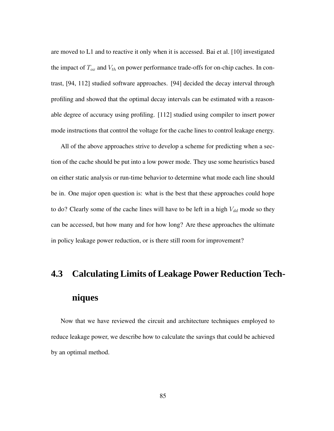are moved to L1 and to reactive it only when it is accessed. Bai et al. [10] investigated the impact of  $T_{ox}$  and  $V_{th}$  on power performance trade-offs for on-chip caches. In contrast, [94, 112] studied software approaches. [94] decided the decay interval through profiling and showed that the optimal decay intervals can be estimated with a reasonable degree of accuracy using profiling. [112] studied using compiler to insert power mode instructions that control the voltage for the cache lines to control leakage energy.

All of the above approaches strive to develop a scheme for predicting when a section of the cache should be put into a low power mode. They use some heuristics based on either static analysis or run-time behavior to determine what mode each line should be in. One major open question is: what is the best that these approaches could hope to do? Clearly some of the cache lines will have to be left in a high  $V_{dd}$  mode so they can be accessed, but how many and for how long? Are these approaches the ultimate in policy leakage power reduction, or is there still room for improvement?

# **4.3 Calculating Limits of Leakage Power Reduction Techniques**

Now that we have reviewed the circuit and architecture techniques employed to reduce leakage power, we describe how to calculate the savings that could be achieved by an optimal method.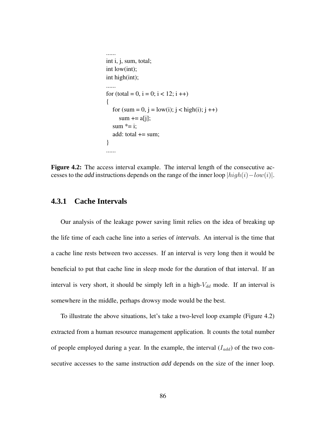```
......

int i, j, sum, total;

int low(int);

int high(int);

......

for (total = 0, i = 0; i < 12; i ++)
{

   for (sum = 0, j = low(i); j < high(i); j++)sum += a[j];sum *= i;
  add: total += sum;
}

......
```
**Figure 4.2:** The access interval example. The interval length of the consecutive accesses to the *add* instructions depends on the range of the inner loop  $|high(i) - low(i)|$ .

#### **4.3.1 Cache Intervals**

Our analysis of the leakage power saving limit relies on the idea of breaking up the life time of each cache line into a series of *intervals*. An interval is the time that a cache line rests between two accesses. If an interval is very long then it would be beneficial to put that cache line in sleep mode for the duration of that interval. If an interval is very short, it should be simply left in a high- $V_{dd}$  mode. If an interval is somewhere in the middle, perhaps drowsy mode would be the best.

To illustrate the above situations, let's take a two-level loop example (Figure 4.2) extracted from a human resource management application. It counts the total number of people employed during a year. In the example, the interval  $(I_{add})$  of the two consecutive accesses to the same instruction *add* depends on the size of the inner loop.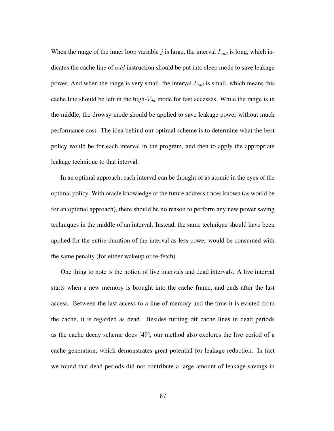When the range of the inner loop variable  $j$  is large, the interval  $I_{add}$  is long, which indicates the cache line of add instruction should be put into sleep mode to save leakage power. And when the range is very small, the interval  $I_{add}$  is small, which means this cache line should be left in the high- $V_{dd}$  mode for fast accesses. While the range is in the middle, the drowsy mode should be applied to save leakage power without much performance cost. The idea behind our optimal scheme is to determine what the best policy would be for each interval in the program, and then to apply the appropriate leakage technique to that interval.

In an optimal approach, each interval can be thought of as atomic in the eyes of the optimal policy. With oracle knowledge of the future address traces known (as would be for an optimal approach), there should be no reason to perform any new power saving techniques in the middle of an interval. Instead, the same technique should have been applied for the entire duration of the interval as less power would be consumed with the same penalty (for either wakeup or re-fetch).

One thing to note is the notion of live intervals and dead intervals. A live interval starts when a new memory is brought into the cache frame, and ends after the last access. Between the last access to a line of memory and the time it is evicted from the cache, it is regarded as dead. Besides turning off cache lines in dead periods as the cache decay scheme does [49], our method also explores the live period of a cache generation, which demonstrates great potential for leakage reduction. In fact we found that dead periods did not contribute a large amount of leakage savings in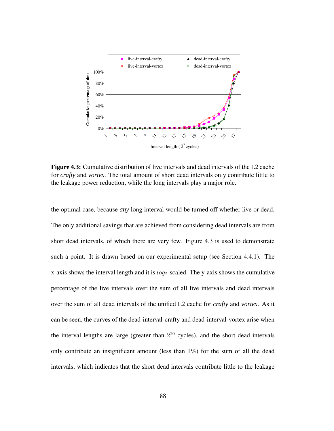

**Figure 4.3:** Cumulative distribution of live intervals and dead intervals of the L2 cache for *crafty* and *vortex*. The total amount of short dead intervals only contribute little to the leakage power reduction, while the long intervals play a major role.

the optimal case, because *any* long interval would be turned off whether live or dead. The only additional savings that are achieved from considering dead intervals are from short dead intervals, of which there are very few. Figure 4.3 is used to demonstrate such a point. It is drawn based on our experimental setup (see Section 4.4.1). The x-axis shows the interval length and it is  $log_2$ -scaled. The y-axis shows the cumulative percentage of the live intervals over the sum of all live intervals and dead intervals over the sum of all dead intervals of the unified L2 cache for *crafty* and *vortex*. As it can be seen, the curves of the dead-interval-crafty and dead-interval-vortex arise when the interval lengths are large (greater than  $2^{20}$  cycles), and the short dead intervals only contribute an insignificant amount (less than 1%) for the sum of all the dead intervals, which indicates that the short dead intervals contribute little to the leakage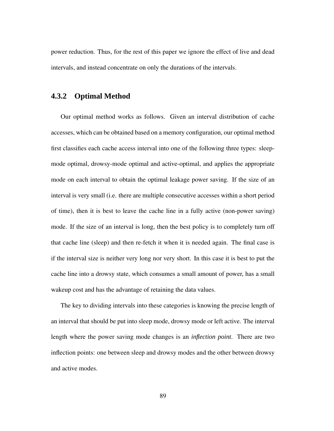power reduction. Thus, for the rest of this paper we ignore the effect of live and dead intervals, and instead concentrate on only the durations of the intervals.

#### **4.3.2 Optimal Method**

Our optimal method works as follows. Given an interval distribution of cache accesses, which can be obtained based on a memory configuration, our optimal method first classifies each cache access interval into one of the following three types: sleepmode optimal, drowsy-mode optimal and active-optimal, and applies the appropriate mode on each interval to obtain the optimal leakage power saving. If the size of an interval is very small (i.e. there are multiple consecutive accesses within a short period of time), then it is best to leave the cache line in a fully active (non-power saving) mode. If the size of an interval is long, then the best policy is to completely turn off that cache line (sleep) and then re-fetch it when it is needed again. The final case is if the interval size is neither very long nor very short. In this case it is best to put the cache line into a drowsy state, which consumes a small amount of power, has a small wakeup cost and has the advantage of retaining the data values.

The key to dividing intervals into these categories is knowing the precise length of an interval that should be put into sleep mode, drowsy mode or left active. The interval length where the power saving mode changes is an *inflection point*. There are two inflection points: one between sleep and drowsy modes and the other between drowsy and active modes.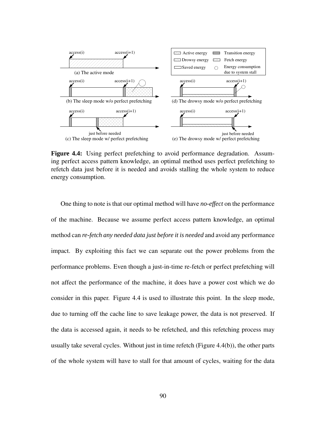

**Figure 4.4:** Using perfect prefetching to avoid performance degradation. Assuming perfect access pattern knowledge, an optimal method uses perfect prefetching to refetch data just before it is needed and avoids stalling the whole system to reduce energy consumption.

One thing to note is that our optimal method will have *no-effect* on the performance of the machine. Because we assume perfect access pattern knowledge, an optimal method can *re-fetch any needed data just before it is needed* and avoid any performance impact. By exploiting this fact we can separate out the power problems from the performance problems. Even though a just-in-time re-fetch or perfect prefetching will not affect the performance of the machine, it does have a power cost which we do consider in this paper. Figure 4.4 is used to illustrate this point. In the sleep mode, due to turning off the cache line to save leakage power, the data is not preserved. If the data is accessed again, it needs to be refetched, and this refetching process may usually take several cycles. Without just in time refetch (Figure 4.4(b)), the other parts of the whole system will have to stall for that amount of cycles, waiting for the data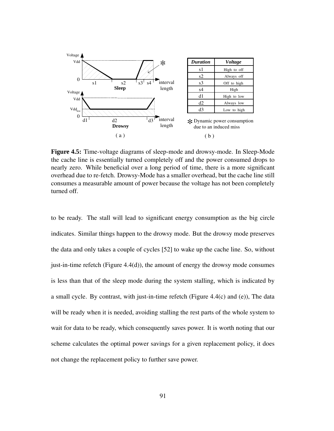

**Figure 4.5:** Time-voltage diagrams of sleep-mode and drowsy-mode. In Sleep-Mode the cache line is essentially turned completely off and the power consumed drops to nearly zero. While beneficial over a long period of time, there is a more significant overhead due to re-fetch. Drowsy-Mode has a smaller overhead, but the cache line still consumes a measurable amount of power because the voltage has not been completely turned off.

to be ready. The stall will lead to significant energy consumption as the big circle indicates. Similar things happen to the drowsy mode. But the drowsy mode preserves the data and only takes a couple of cycles [52] to wake up the cache line. So, without just-in-time refetch (Figure 4.4(d)), the amount of energy the drowsy mode consumes is less than that of the sleep mode during the system stalling, which is indicated by a small cycle. By contrast, with just-in-time refetch (Figure 4.4(c) and (e)), The data will be ready when it is needed, avoiding stalling the rest parts of the whole system to wait for data to be ready, which consequently saves power. It is worth noting that our scheme calculates the optimal power savings for a given replacement policy, it does not change the replacement policy to further save power.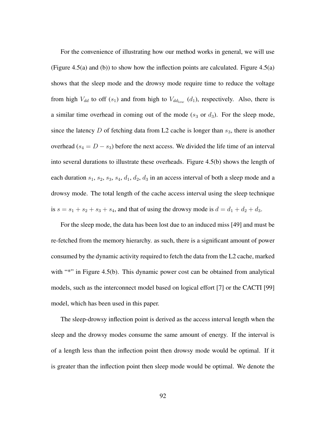For the convenience of illustrating how our method works in general, we will use (Figure 4.5(a) and (b)) to show how the inflection points are calculated. Figure 4.5(a) shows that the sleep mode and the drowsy mode require time to reduce the voltage from high  $V_{dd}$  to off (s<sub>1</sub>) and from high to  $V_{dd_{low}}(d_1)$ , respectively. Also, there is a similar time overhead in coming out of the mode  $(s_3 \text{ or } d_3)$ . For the sleep mode, since the latency D of fetching data from L2 cache is longer than  $s_3$ , there is another overhead ( $s_4 = D - s_3$ ) before the next access. We divided the life time of an interval into several durations to illustrate these overheads. Figure 4.5(b) shows the length of each duration  $s_1$ ,  $s_2$ ,  $s_3$ ,  $s_4$ ,  $d_1$ ,  $d_2$ ,  $d_3$  in an access interval of both a sleep mode and a drowsy mode. The total length of the cache access interval using the sleep technique is  $s = s_1 + s_2 + s_3 + s_4$ , and that of using the drowsy mode is  $d = d_1 + d_2 + d_3$ .

For the sleep mode, the data has been lost due to an induced miss [49] and must be re-fetched from the memory hierarchy. as such, there is a significant amount of power consumed by the dynamic activity required to fetch the data from the L2 cache, marked with "\*" in Figure 4.5(b). This dynamic power cost can be obtained from analytical models, such as the interconnect model based on logical effort [7] or the CACTI [99] model, which has been used in this paper.

The sleep-drowsy inflection point is derived as the access interval length when the sleep and the drowsy modes consume the same amount of energy. If the interval is of a length less than the inflection point then drowsy mode would be optimal. If it is greater than the inflection point then sleep mode would be optimal. We denote the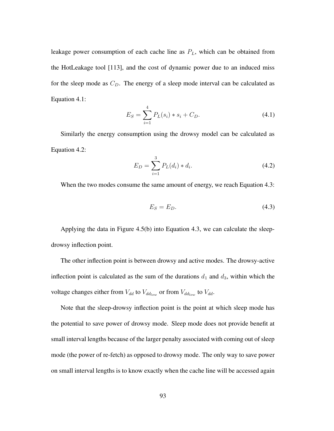leakage power consumption of each cache line as  $P_L$ , which can be obtained from the HotLeakage tool [113], and the cost of dynamic power due to an induced miss for the sleep mode as  $C_D$ . The energy of a sleep mode interval can be calculated as Equation 4.1:

$$
E_S = \sum_{i=1}^{4} P_L(s_i) * s_i + C_D.
$$
 (4.1)

Similarly the energy consumption using the drowsy model can be calculated as Equation 4.2:

$$
E_D = \sum_{i=1}^{3} P_L(d_i) * d_i.
$$
 (4.2)

When the two modes consume the same amount of energy, we reach Equation 4.3:

$$
E_S = E_D. \t\t(4.3)
$$

Applying the data in Figure 4.5(b) into Equation 4.3, we can calculate the sleepdrowsy inflection point.

The other inflection point is between drowsy and active modes. The drowsy-active inflection point is calculated as the sum of the durations  $d_1$  and  $d_3$ , within which the voltage changes either from  $V_{dd}$  to  $V_{dd}$  or from  $V_{dd}$  to  $V_{dd}$ .

Note that the sleep-drowsy inflection point is the point at which sleep mode has the potential to save power of drowsy mode. Sleep mode does not provide benefit at small interval lengths because of the larger penalty associated with coming out of sleep mode (the power of re-fetch) as opposed to drowsy mode. The only way to save power on small interval lengths is to know exactly when the cache line will be accessed again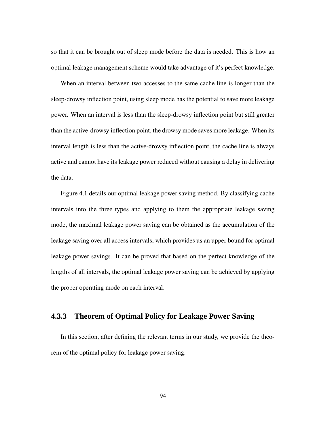so that it can be brought out of sleep mode before the data is needed. This is how an optimal leakage management scheme would take advantage of it's perfect knowledge.

When an interval between two accesses to the same cache line is longer than the sleep-drowsy inflection point, using sleep mode has the potential to save more leakage power. When an interval is less than the sleep-drowsy inflection point but still greater than the active-drowsy inflection point, the drowsy mode saves more leakage. When its interval length is less than the active-drowsy inflection point, the cache line is always active and cannot have its leakage power reduced without causing a delay in delivering the data.

Figure 4.1 details our optimal leakage power saving method. By classifying cache intervals into the three types and applying to them the appropriate leakage saving mode, the maximal leakage power saving can be obtained as the accumulation of the leakage saving over all access intervals, which provides us an upper bound for optimal leakage power savings. It can be proved that based on the perfect knowledge of the lengths of all intervals, the optimal leakage power saving can be achieved by applying the proper operating mode on each interval.

### **4.3.3 Theorem of Optimal Policy for Leakage Power Saving**

In this section, after defining the relevant terms in our study, we provide the theorem of the optimal policy for leakage power saving.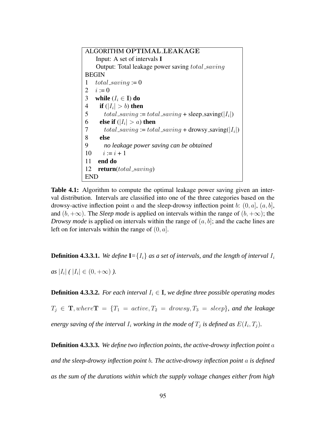ALGORITHM OPTIMAL LEAKAGE Input: A set of intervals **I** Output: Total leakage power saving total\_saving BEGIN 1 total\_saving := 0 2  $i := 0$ 3 **while**  $(I_i \in I)$  **do** 4 **if**  $(|I_i| > b)$  then 5  $total\_saving := total\_saving + sleep\_saving(|I_i|)$ 6 **else if**  $(|I_i| > a)$  **then** 7  $total\_saving := total\_saving + \text{drows} \text{saving}(|I_i|)$ 8 **else** 9 *no leakage power saving can be obtained*  $10 \quad i := i + 1$ 11 **end do** 12 **return**(total saving) END

**Table 4.1:** Algorithm to compute the optimal leakage power saving given an interval distribution. Intervals are classified into one of the three categories based on the drowsy-active inflection point a and the sleep-drowsy inflection point b:  $(0, a]$ ,  $(a, b]$ , and  $(b, +\infty)$ . The *Sleep mode* is applied on intervals within the range of  $(b, +\infty)$ ; the *Drowsy mode* is applied on intervals within the range of  $(a, b]$ ; and the cache lines are left on for intervals within the range of  $(0, a]$ .

**Definition 4.3.3.1.** We define  $I = \{I_i\}$  as a set of intervals, and the length of interval  $I_i$ 

 $as |I_i| (|I_i| \in (0, +\infty))$ .

**Definition 4.3.3.2.** For each interval  $I_i \in I$ , we define three possible operating modes  $T_i \in \mathbf{T}, where \mathbf{T} = \{T_1 = active, T_2 = drops, T_3 = sleep\}$ , and the leakage *energy* saving of the interval  $I_i$  working in the mode of  $T_j$  is defined as  $E(I_i, T_j)$ .

**Definition 4.3.3.3.** *We define two inflection points, the active-drowsy inflection point* a *and the sleep-drowsy inflection point* b*. The active-drowsy inflection point* a *is defined as the sum of the durations within which the supply voltage changes either from high*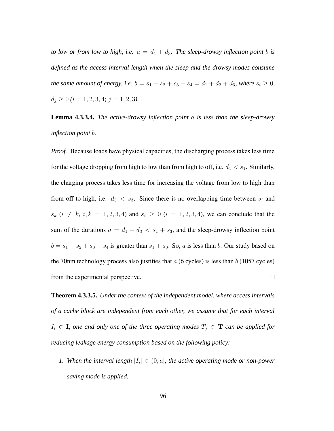*to low or from low to high, i.e.*  $a = d_1 + d_3$ *. The sleep-drowsy inflection point b is defined as the access interval length when the sleep and the drowsy modes consume the same amount of energy, i.e.*  $b = s_1 + s_2 + s_3 + s_4 = d_1 + d_2 + d_3$ *, where*  $s_i \ge 0$ *,*  $d_j \geq 0$  (*i* = 1, 2, 3, 4; *j* = 1, 2, 3).

**Lemma 4.3.3.4.** *The active-drowsy inflection point* a *is less than the sleep-drowsy inflection point* b*.*

*Proof.* Because loads have physical capacities, the discharging process takes less time for the voltage dropping from high to low than from high to off, i.e.  $d_1 < s_1$ . Similarly, the charging process takes less time for increasing the voltage from low to high than from off to high, i.e.  $d_3 < s_3$ . Since there is no overlapping time between  $s_i$  and  $s_k$   $(i \neq k, i, k = 1, 2, 3, 4)$  and  $s_i \geq 0$   $(i = 1, 2, 3, 4)$ , we can conclude that the sum of the durations  $a = d_1 + d_3 < s_1 + s_3$ , and the sleep-drowsy inflection point  $b = s_1 + s_2 + s_3 + s_4$  is greater than  $s_1 + s_3$ . So, a is less than b. Our study based on the 70nm technology process also justifies that  $a$  (6 cycles) is less than  $b$  (1057 cycles) from the experimental perspective.  $\Box$ 

**Theorem 4.3.3.5.** *Under the context of the independent model, where access intervals of a cache block are independent from each other, we assume that for each interval*  $I_i \in \mathbf{I}$ , *one and only one of the three operating modes*  $T_j \in \mathbf{T}$  *can be applied for reducing leakage energy consumption based on the following policy:*

*1.* When the interval length  $|I_i| \in (0, a]$ , the active operating mode or non-power *saving mode is applied.*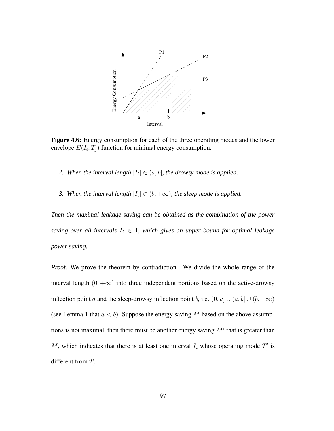

**Figure 4.6:** Energy consumption for each of the three operating modes and the lower envelope  $E(I_i, T_j)$  function for minimal energy consumption.

- 2. When the interval length  $|I_i| \in (a, b]$ , the drowsy mode is applied.
- *3.* When the interval length  $|I_i| \in (b, +\infty)$ , the sleep mode is applied.

*Then the maximal leakage saving can be obtained as the combination of the power saving over* all *intervals*  $I_i \in I$ *, which gives an upper bound for optimal leakage power saving.*

*Proof.* We prove the theorem by contradiction. We divide the whole range of the interval length  $(0, +\infty)$  into three independent portions based on the active-drowsy inflection point a and the sleep-drowsy inflection point b, i.e.  $(0, a] \cup (a, b] \cup (b, +\infty)$ (see Lemma 1 that  $a < b$ ). Suppose the energy saving M based on the above assumptions is not maximal, then there must be another energy saving  $M'$  that is greater than M, which indicates that there is at least one interval  $I_i$  whose operating mode  $T_i'$  $_{j}^{\prime}$  is different from  $T_j$ .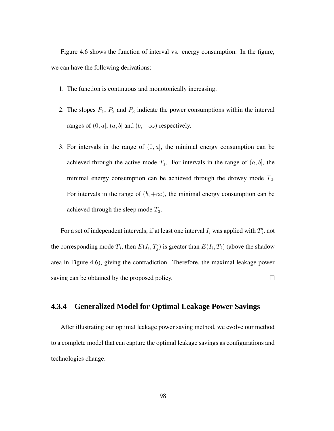Figure 4.6 shows the function of interval vs. energy consumption. In the figure, we can have the following derivations:

- 1. The function is continuous and monotonically increasing.
- 2. The slopes  $P_1$ ,  $P_2$  and  $P_3$  indicate the power consumptions within the interval ranges of  $(0, a]$ ,  $(a, b]$  and  $(b, +\infty)$  respectively.
- 3. For intervals in the range of  $(0, a]$ , the minimal energy consumption can be achieved through the active mode  $T_1$ . For intervals in the range of  $(a, b]$ , the minimal energy consumption can be achieved through the drowsy mode  $T_2$ . For intervals in the range of  $(b, +\infty)$ , the minimal energy consumption can be achieved through the sleep mode  $T_3$ .

For a set of independent intervals, if at least one interval  $I_i$  was applied with  $T_i'$  $j'$ , not the corresponding mode  $T_j$ , then  $E(I_i, T'_j)$  $\mathcal{F}'_j$ ) is greater than  $E(I_i, T_j)$  (above the shadow area in Figure 4.6), giving the contradiction. Therefore, the maximal leakage power saving can be obtained by the proposed policy.  $\Box$ 

### **4.3.4 Generalized Model for Optimal Leakage Power Savings**

After illustrating our optimal leakage power saving method, we evolve our method to a complete model that can capture the optimal leakage savings as configurations and technologies change.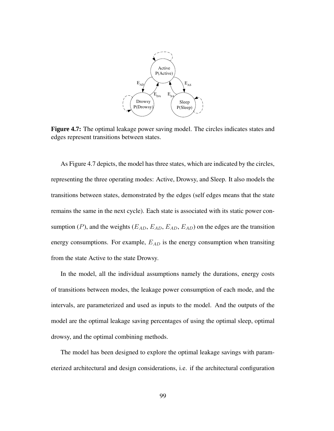

**Figure 4.7:** The optimal leakage power saving model. The circles indicates states and edges represent transitions between states.

As Figure 4.7 depicts, the model has three states, which are indicated by the circles, representing the three operating modes: Active, Drowsy, and Sleep. It also models the transitions between states, demonstrated by the edges (self edges means that the state remains the same in the next cycle). Each state is associated with its static power consumption (P), and the weights ( $E_{AD}$ ,  $E_{AD}$ ,  $E_{AD}$ ,  $E_{AD}$ ) on the edges are the transition energy consumptions. For example,  $E_{AD}$  is the energy consumption when transiting from the state Active to the state Drowsy.

In the model, all the individual assumptions namely the durations, energy costs of transitions between modes, the leakage power consumption of each mode, and the intervals, are parameterized and used as inputs to the model. And the outputs of the model are the optimal leakage saving percentages of using the optimal sleep, optimal drowsy, and the optimal combining methods.

The model has been designed to explore the optimal leakage savings with parameterized architectural and design considerations, i.e. if the architectural configuration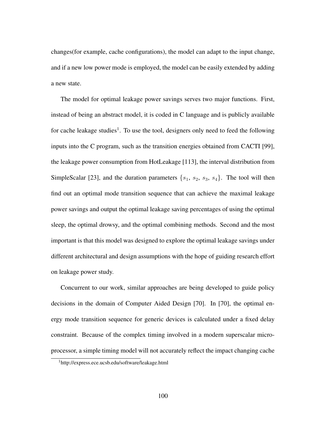changes(for example, cache configurations), the model can adapt to the input change, and if a new low power mode is employed, the model can be easily extended by adding a new state.

The model for optimal leakage power savings serves two major functions. First, instead of being an abstract model, it is coded in C language and is publicly available for cache leakage studies<sup>1</sup>. To use the tool, designers only need to feed the following inputs into the C program, such as the transition energies obtained from CACTI [99], the leakage power consumption from HotLeakage [113], the interval distribution from SimpleScalar [23], and the duration parameters  $\{s_1, s_2, s_3, s_4\}$ . The tool will then find out an optimal mode transition sequence that can achieve the maximal leakage power savings and output the optimal leakage saving percentages of using the optimal sleep, the optimal drowsy, and the optimal combining methods. Second and the most important is that this model was designed to explore the optimal leakage savings under different architectural and design assumptions with the hope of guiding research effort on leakage power study.

Concurrent to our work, similar approaches are being developed to guide policy decisions in the domain of Computer Aided Design [70]. In [70], the optimal energy mode transition sequence for generic devices is calculated under a fixed delay constraint. Because of the complex timing involved in a modern superscalar microprocessor, a simple timing model will not accurately reflect the impact changing cache

<sup>1</sup>http://express.ece.ucsb.edu/software/leakage.html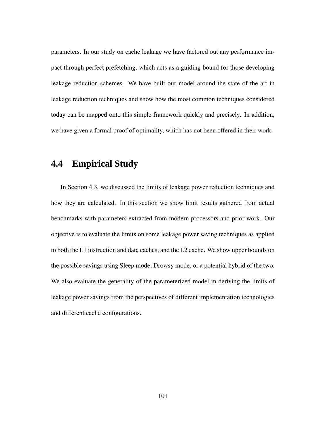parameters. In our study on cache leakage we have factored out any performance impact through perfect prefetching, which acts as a guiding bound for those developing leakage reduction schemes. We have built our model around the state of the art in leakage reduction techniques and show how the most common techniques considered today can be mapped onto this simple framework quickly and precisely. In addition, we have given a formal proof of optimality, which has not been offered in their work.

## **4.4 Empirical Study**

In Section 4.3, we discussed the limits of leakage power reduction techniques and how they are calculated. In this section we show limit results gathered from actual benchmarks with parameters extracted from modern processors and prior work. Our objective is to evaluate the limits on some leakage power saving techniques as applied to both the L1 instruction and data caches, and the L2 cache. We show upper bounds on the possible savings using Sleep mode, Drowsy mode, or a potential hybrid of the two. We also evaluate the generality of the parameterized model in deriving the limits of leakage power savings from the perspectives of different implementation technologies and different cache configurations.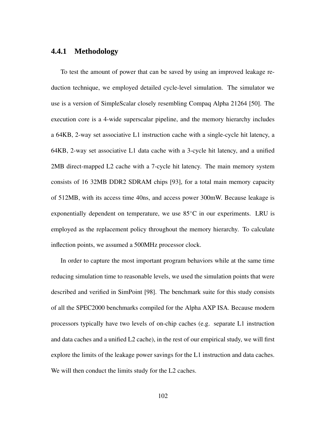### **4.4.1 Methodology**

To test the amount of power that can be saved by using an improved leakage reduction technique, we employed detailed cycle-level simulation. The simulator we use is a version of SimpleScalar closely resembling Compaq Alpha 21264 [50]. The execution core is a 4-wide superscalar pipeline, and the memory hierarchy includes a 64KB, 2-way set associative L1 instruction cache with a single-cycle hit latency, a 64KB, 2-way set associative L1 data cache with a 3-cycle hit latency, and a unified 2MB direct-mapped L2 cache with a 7-cycle hit latency. The main memory system consists of 16 32MB DDR2 SDRAM chips [93], for a total main memory capacity of 512MB, with its access time 40ns, and access power 300mW. Because leakage is exponentially dependent on temperature, we use  $85^{\circ}$ C in our experiments. LRU is employed as the replacement policy throughout the memory hierarchy. To calculate inflection points, we assumed a 500MHz processor clock.

In order to capture the most important program behaviors while at the same time reducing simulation time to reasonable levels, we used the simulation points that were described and verified in SimPoint [98]. The benchmark suite for this study consists of all the SPEC2000 benchmarks compiled for the Alpha AXP ISA. Because modern processors typically have two levels of on-chip caches (e.g. separate L1 instruction and data caches and a unified L2 cache), in the rest of our empirical study, we will first explore the limits of the leakage power savings for the L1 instruction and data caches. We will then conduct the limits study for the L2 caches.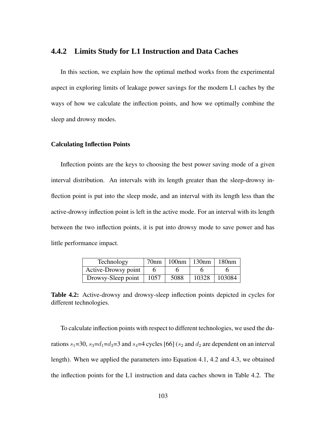### **4.4.2 Limits Study for L1 Instruction and Data Caches**

In this section, we explain how the optimal method works from the experimental aspect in exploring limits of leakage power savings for the modern L1 caches by the ways of how we calculate the inflection points, and how we optimally combine the sleep and drowsy modes.

#### **Calculating Inflection Points**

Inflection points are the keys to choosing the best power saving mode of a given interval distribution. An intervals with its length greater than the sleep-drowsy inflection point is put into the sleep mode, and an interval with its length less than the active-drowsy inflection point is left in the active mode. For an interval with its length between the two inflection points, it is put into drowsy mode to save power and has little performance impact.

| Technology          | 70nm | 100nm | 130nm | 180nm  |
|---------------------|------|-------|-------|--------|
| Active-Drowsy point |      |       |       |        |
| Drowsy-Sleep point  | 1057 | 5088  | 10328 | 103084 |

**Table 4.2:** Active-drowsy and drowsy-sleep inflection points depicted in cycles for different technologies.

To calculate inflection points with respect to different technologies, we used the durations  $s_1$ =30,  $s_3$ = $d_1$ = $d_3$ =3 and  $s_4$ =4 cycles [66] ( $s_2$  and  $d_2$  are dependent on an interval length). When we applied the parameters into Equation 4.1, 4.2 and 4.3, we obtained the inflection points for the L1 instruction and data caches shown in Table 4.2. The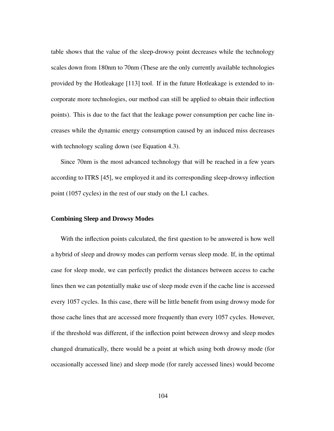table shows that the value of the sleep-drowsy point decreases while the technology scales down from 180nm to 70nm (These are the only currently available technologies provided by the Hotleakage [113] tool. If in the future Hotleakage is extended to incorporate more technologies, our method can still be applied to obtain their inflection points). This is due to the fact that the leakage power consumption per cache line increases while the dynamic energy consumption caused by an induced miss decreases with technology scaling down (see Equation 4.3).

Since 70nm is the most advanced technology that will be reached in a few years according to ITRS [45], we employed it and its corresponding sleep-drowsy inflection point (1057 cycles) in the rest of our study on the L1 caches.

#### **Combining Sleep and Drowsy Modes**

With the inflection points calculated, the first question to be answered is how well a hybrid of sleep and drowsy modes can perform versus sleep mode. If, in the optimal case for sleep mode, we can perfectly predict the distances between access to cache lines then we can potentially make use of sleep mode even if the cache line is accessed every 1057 cycles. In this case, there will be little benefit from using drowsy mode for those cache lines that are accessed more frequently than every 1057 cycles. However, if the threshold was different, if the inflection point between drowsy and sleep modes changed dramatically, there would be a point at which using both drowsy mode (for occasionally accessed line) and sleep mode (for rarely accessed lines) would become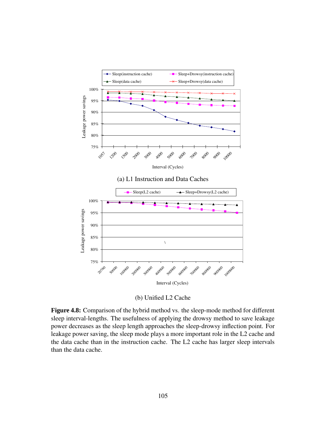

(b) Unified L2 Cache

**Figure 4.8:** Comparison of the hybrid method vs. the sleep-mode method for different sleep interval-lengths. The usefulness of applying the drowsy method to save leakage power decreases as the sleep length approaches the sleep-drowsy inflection point. For leakage power saving, the sleep mode plays a more important role in the L2 cache and the data cache than in the instruction cache. The L2 cache has larger sleep intervals than the data cache.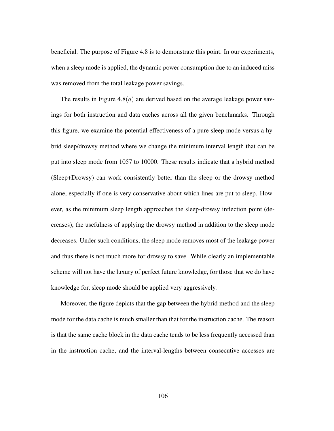beneficial. The purpose of Figure 4.8 is to demonstrate this point. In our experiments, when a sleep mode is applied, the dynamic power consumption due to an induced miss was removed from the total leakage power savings.

The results in Figure  $4.8(a)$  are derived based on the average leakage power savings for both instruction and data caches across all the given benchmarks. Through this figure, we examine the potential effectiveness of a pure sleep mode versus a hybrid sleep/drowsy method where we change the minimum interval length that can be put into sleep mode from 1057 to 10000. These results indicate that a hybrid method (Sleep+Drowsy) can work consistently better than the sleep or the drowsy method alone, especially if one is very conservative about which lines are put to sleep. However, as the minimum sleep length approaches the sleep-drowsy inflection point (decreases), the usefulness of applying the drowsy method in addition to the sleep mode decreases. Under such conditions, the sleep mode removes most of the leakage power and thus there is not much more for drowsy to save. While clearly an implementable scheme will not have the luxury of perfect future knowledge, for those that we do have knowledge for, sleep mode should be applied very aggressively.

Moreover, the figure depicts that the gap between the hybrid method and the sleep mode for the data cache is much smaller than that for the instruction cache. The reason is that the same cache block in the data cache tends to be less frequently accessed than in the instruction cache, and the interval-lengths between consecutive accesses are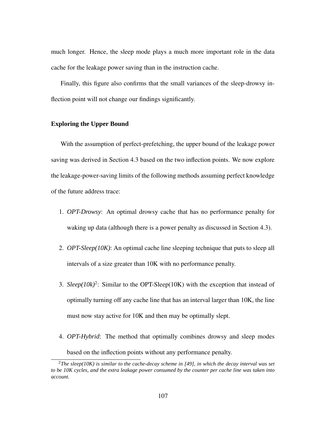much longer. Hence, the sleep mode plays a much more important role in the data cache for the leakage power saving than in the instruction cache.

Finally, this figure also confirms that the small variances of the sleep-drowsy inflection point will not change our findings significantly.

#### **Exploring the Upper Bound**

With the assumption of perfect-prefetching, the upper bound of the leakage power saving was derived in Section 4.3 based on the two inflection points. We now explore the leakage-power-saving limits of the following methods assuming perfect knowledge of the future address trace:

- 1. *OPT-Drowsy*: An optimal drowsy cache that has no performance penalty for waking up data (although there is a power penalty as discussed in Section 4.3).
- 2. *OPT-Sleep(10K)*: An optimal cache line sleeping technique that puts to sleep all intervals of a size greater than 10K with no performance penalty.
- 3. *Sleep*( $10k$ )<sup>2</sup>: Similar to the OPT-Sleep( $10K$ ) with the exception that instead of optimally turning off any cache line that has an interval larger than 10K, the line must now stay active for 10K and then may be optimally slept.
- 4. *OPT-Hybrid*: The method that optimally combines drowsy and sleep modes based on the inflection points without any performance penalty.

<sup>2</sup>*The sleep(10K) is similar to the cache-decay scheme in [49], in which the decay interval was set* to be 10K cycles, and the extra leakage power consumed by the counter per cache line was taken into *account.*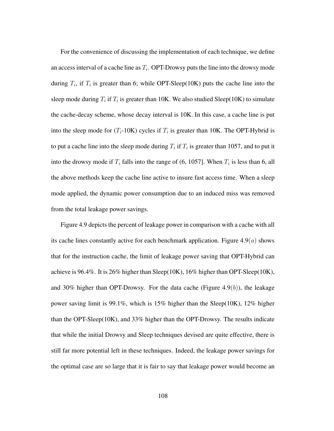For the convenience of discussing the implementation of each technique, we define an access interval of a cache line as  $T_i$ . OPT-Drowsy puts the line into the drowsy mode during  $T_i$ , if  $T_i$  is greater than 6; while OPT-Sleep(10K) puts the cache line into the sleep mode during  $T_i$  if  $T_i$  is greater than 10K. We also studied Sleep(10K) to simulate the cache-decay scheme, whose decay interval is 10K. In this case, a cache line is put into the sleep mode for  $(T_i$ -10K) cycles if  $T_i$  is greater than 10K. The OPT-Hybrid is to put a cache line into the sleep mode during  $T_i$  if  $T_i$  is greater than 1057, and to put it into the drowsy mode if  $T_i$  falls into the range of (6, 1057). When  $T_i$  is less than 6, all the above methods keep the cache line active to insure fast access time. When a sleep mode applied, the dynamic power consumption due to an induced miss was removed from the total leakage power savings.

Figure 4.9 depicts the percent of leakage power in comparison with a cache with all its cache lines constantly active for each benchmark application. Figure  $4.9(a)$  shows that for the instruction cache, the limit of leakage power saving that OPT-Hybrid can achieve is 96.4%. It is 26% higher than Sleep(10K), 16% higher than OPT-Sleep(10K), and 30% higher than OPT-Drowsy. For the data cache (Figure  $4.9(b)$ ), the leakage power saving limit is 99.1%, which is 15% higher than the Sleep(10K), 12% higher than the OPT-Sleep(10K), and 33% higher than the OPT-Drowsy. The results indicate that while the initial Drowsy and Sleep techniques devised are quite effective, there is still far more potential left in these techniques. Indeed, the leakage power savings for the optimal case are so large that it is fair to say that leakage power would become an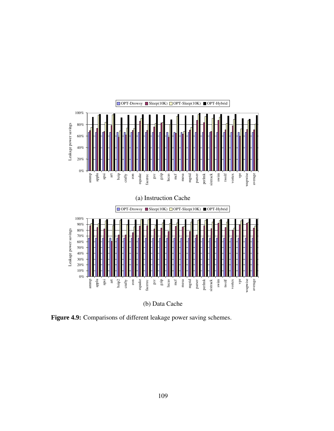

(b) Data Cache

**Figure 4.9:** Comparisons of different leakage power saving schemes.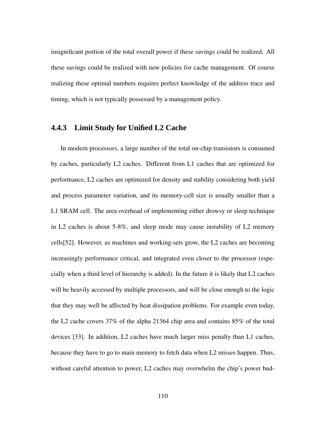insignificant portion of the total overall power if these savings could be realized. All these savings could be realized with new policies for cache management. Of course realizing these optimal numbers requires perfect knowledge of the address trace and timing, which is not typically possessed by a management policy.

### **4.4.3 Limit Study for Unified L2 Cache**

In modern processors, a large number of the total on-chip transistors is consumed by caches, particularly L2 caches. Different from L1 caches that are optimized for performance, L2 caches are optimized for density and stability considering both yield and process parameter variation, and its memory-cell size is usually smaller than a L1 SRAM cell. The area overhead of implementing either drowsy or sleep technique in L2 caches is about 5-8%, and sleep mode may cause instability of L2 memory cells[52]. However, as machines and working-sets grow, the L2 caches are becoming increasingly performance critical, and integrated even closer to the processor (especially when a third level of hierarchy is added). In the future it is likely that L2 caches will be heavily accessed by multiple processors, and will be close enough to the logic that they may well be affected by heat dissipation problems. For example even today, the L2 cache covers 37% of the alpha 21364 chip area and contains 85% of the total devices [33]. In addition, L2 caches have much larger miss penalty than L1 caches, because they have to go to main memory to fetch data when L2 misses happen. Thus, without careful attention to power, L2 caches may overwhelm the chip's power bud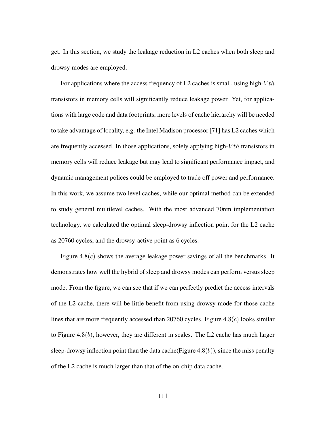get. In this section, we study the leakage reduction in L2 caches when both sleep and drowsy modes are employed.

For applications where the access frequency of L2 caches is small, using high- $Vth$ transistors in memory cells will significantly reduce leakage power. Yet, for applications with large code and data footprints, more levels of cache hierarchy will be needed to take advantage of locality, e.g. the Intel Madison processor [71] has L2 caches which are frequently accessed. In those applications, solely applying high- $Vth$  transistors in memory cells will reduce leakage but may lead to significant performance impact, and dynamic management polices could be employed to trade off power and performance. In this work, we assume two level caches, while our optimal method can be extended to study general multilevel caches. With the most advanced 70nm implementation technology, we calculated the optimal sleep-drowsy inflection point for the L2 cache as 20760 cycles, and the drowsy-active point as 6 cycles.

Figure 4.8 $(c)$  shows the average leakage power savings of all the benchmarks. It demonstrates how well the hybrid of sleep and drowsy modes can perform versus sleep mode. From the figure, we can see that if we can perfectly predict the access intervals of the L2 cache, there will be little benefit from using drowsy mode for those cache lines that are more frequently accessed than 20760 cycles. Figure  $4.8(c)$  looks similar to Figure  $4.8(b)$ , however, they are different in scales. The L2 cache has much larger sleep-drowsy inflection point than the data cache(Figure  $4.8(b)$ ), since the miss penalty of the L2 cache is much larger than that of the on-chip data cache.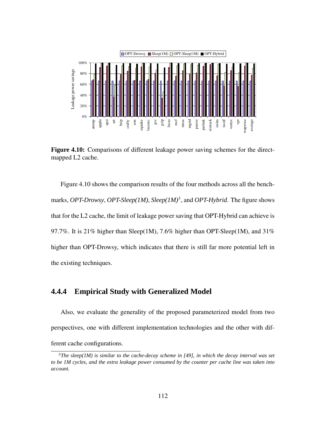

**Figure 4.10:** Comparisons of different leakage power saving schemes for the directmapped L2 cache.

Figure 4.10 shows the comparison results of the four methods across all the benchmarks, *OPT-Drowsy*, *OPT-Sleep(1M)*, *Sleep(1M)*<sup>3</sup> , and *OPT-Hybrid*. The figure shows that for the L2 cache, the limit of leakage power saving that OPT-Hybrid can achieve is 97.7%. It is 21% higher than Sleep(1M), 7.6% higher than OPT-Sleep(1M), and 31% higher than OPT-Drowsy, which indicates that there is still far more potential left in the existing techniques.

### **4.4.4 Empirical Study with Generalized Model**

Also, we evaluate the generality of the proposed parameterized model from two perspectives, one with different implementation technologies and the other with different cache configurations.

<sup>3</sup>*The sleep(1M) is similar to the cache-decay scheme in [49], in which the decay interval was set* to be 1M cycles, and the extra leakage power consumed by the counter per cache line was taken into *account.*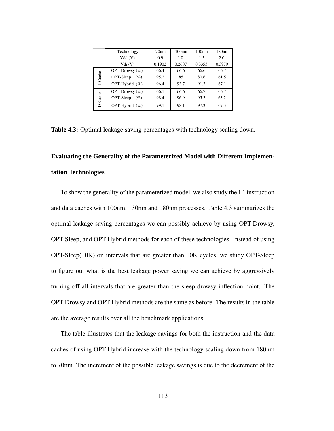|         | Technology          | 70 <sub>nm</sub> | 100nm  | 130nm  | 180nm  |
|---------|---------------------|------------------|--------|--------|--------|
|         | Vdd(V)              | 0.9              | 1.0    | 1.5    | 2.0    |
|         | Vth (V)             | 0.1902           | 0.2607 | 0.3353 | 0.3979 |
|         | OPT-Drowsy $(\%)$   | 66.4             | 66.6   | 66.6   | 66.7   |
| I-Cache | OPT-Sleep<br>$(\%)$ | 95.2             | 85     | 80.6   | 61.5   |
|         | OPT-Hybrid (%)      | 96.4             | 93.7   | 91.3   | 67.1   |
|         | OPT-Drowsy $(\% )$  | 66.1             | 66.6   | 66.7   | 66.7   |
| D-Cache | OPT-Sleep<br>$(\%)$ | 98.4             | 96.9   | 95.3   | 63.2   |
|         | OPT-Hybrid (%)      | 99.1             | 98.1   | 97.3   | 67.3   |

**Table 4.3:** Optimal leakage saving percentages with technology scaling down.

# **Evaluating the Generality of the Parameterized Model with Different Implementation Technologies**

To show the generality of the parameterized model, we also study the L1 instruction and data caches with 100nm, 130nm and 180nm processes. Table 4.3 summarizes the optimal leakage saving percentages we can possibly achieve by using OPT-Drowsy, OPT-Sleep, and OPT-Hybrid methods for each of these technologies. Instead of using OPT-Sleep(10K) on intervals that are greater than 10K cycles, we study OPT-Sleep to figure out what is the best leakage power saving we can achieve by aggressively turning off all intervals that are greater than the sleep-drowsy inflection point. The OPT-Drowsy and OPT-Hybrid methods are the same as before. The results in the table are the average results over all the benchmark applications.

The table illustrates that the leakage savings for both the instruction and the data caches of using OPT-Hybrid increase with the technology scaling down from 180nm to 70nm. The increment of the possible leakage savings is due to the decrement of the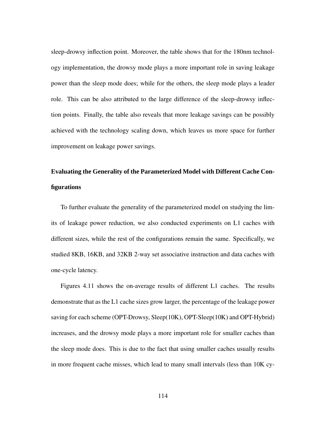sleep-drowsy inflection point. Moreover, the table shows that for the 180nm technology implementation, the drowsy mode plays a more important role in saving leakage power than the sleep mode does; while for the others, the sleep mode plays a leader role. This can be also attributed to the large difference of the sleep-drowsy inflection points. Finally, the table also reveals that more leakage savings can be possibly achieved with the technology scaling down, which leaves us more space for further improvement on leakage power savings.

# **Evaluating the Generality of the Parameterized Model with Different Cache Configurations**

To further evaluate the generality of the parameterized model on studying the limits of leakage power reduction, we also conducted experiments on L1 caches with different sizes, while the rest of the configurations remain the same. Specifically, we studied 8KB, 16KB, and 32KB 2-way set associative instruction and data caches with one-cycle latency.

Figures 4.11 shows the on-average results of different L1 caches. The results demonstrate that as the L1 cache sizes grow larger, the percentage of the leakage power saving for each scheme (OPT-Drowsy, Sleep(10K), OPT-Sleep(10K) and OPT-Hybrid) increases, and the drowsy mode plays a more important role for smaller caches than the sleep mode does. This is due to the fact that using smaller caches usually results in more frequent cache misses, which lead to many small intervals (less than 10K cy-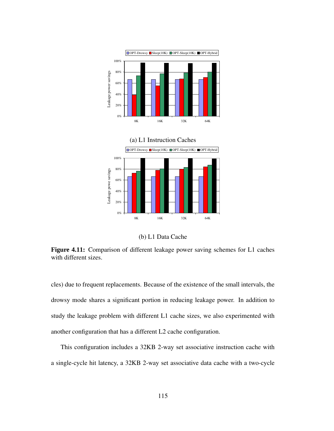

(b) L1 Data Cache

**Figure 4.11:** Comparison of different leakage power saving schemes for L1 caches with different sizes.

cles) due to frequent replacements. Because of the existence of the small intervals, the drowsy mode shares a significant portion in reducing leakage power. In addition to study the leakage problem with different L1 cache sizes, we also experimented with another configuration that has a different L2 cache configuration.

This configuration includes a 32KB 2-way set associative instruction cache with a single-cycle hit latency, a 32KB 2-way set associative data cache with a two-cycle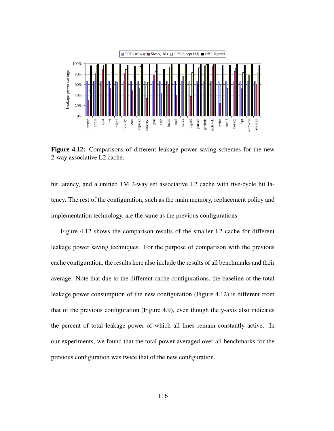

**Figure 4.12:** Comparisons of different leakage power saving schemes for the new 2-way associative L2 cache.

hit latency, and a unified 1M 2-way set associative L2 cache with five-cycle hit latency. The rest of the configuration, such as the main memory, replacement policy and implementation technology, are the same as the previous configurations.

Figure 4.12 shows the comparison results of the smaller L2 cache for different leakage power saving techniques. For the purpose of comparison with the previous cache configuration, the results here also include the results of all benchmarks and their average. Note that due to the different cache configurations, the baseline of the total leakage power consumption of the new configuration (Figure 4.12) is different from that of the previous configuration (Figure 4.9), even though the y-axis also indicates the percent of total leakage power of which all lines remain constantly active. In our experiments, we found that the total power averaged over all benchmarks for the previous configuration was twice that of the new configuration.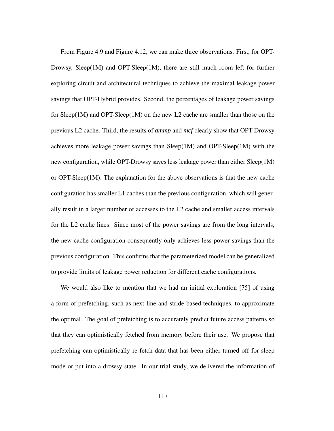From Figure 4.9 and Figure 4.12, we can make three observations. First, for OPT-Drowsy, Sleep(1M) and OPT-Sleep(1M), there are still much room left for further exploring circuit and architectural techniques to achieve the maximal leakage power savings that OPT-Hybrid provides. Second, the percentages of leakage power savings for Sleep(1M) and OPT-Sleep(1M) on the new L2 cache are smaller than those on the previous L2 cache. Third, the results of *ammp* and *mcf* clearly show that OPT-Drowsy achieves more leakage power savings than  $Sleep(1M)$  and  $OPT-Sleep(1M)$  with the new configuration, while OPT-Drowsy saves less leakage power than either Sleep(1M) or OPT-Sleep $(1M)$ . The explanation for the above observations is that the new cache configuration has smaller L1 caches than the previous configuration, which will generally result in a larger number of accesses to the L2 cache and smaller access intervals for the L2 cache lines. Since most of the power savings are from the long intervals, the new cache configuration consequently only achieves less power savings than the previous configuration. This confirms that the parameterized model can be generalized to provide limits of leakage power reduction for different cache configurations.

We would also like to mention that we had an initial exploration [75] of using a form of prefetching, such as next-line and stride-based techniques, to approximate the optimal. The goal of prefetching is to accurately predict future access patterns so that they can optimistically fetched from memory before their use. We propose that prefetching can optimistically re-fetch data that has been either turned off for sleep mode or put into a drowsy state. In our trial study, we delivered the information of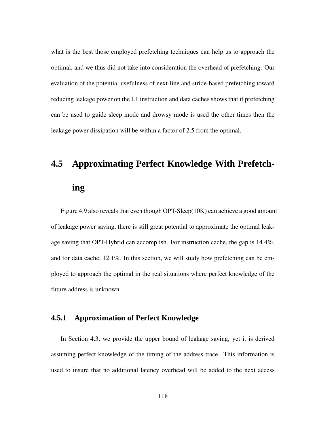what is the best those employed prefetching techniques can help us to approach the optimal, and we thus did not take into consideration the overhead of prefetching. Our evaluation of the potential usefulness of next-line and stride-based prefetching toward reducing leakage power on the L1 instruction and data caches shows that if prefetching can be used to guide sleep mode and drowsy mode is used the other times then the leakage power dissipation will be within a factor of 2.5 from the optimal.

# **4.5 Approximating Perfect Knowledge With Prefetch-**

### **ing**

Figure 4.9 also reveals that even though OPT-Sleep(10K) can achieve a good amount of leakage power saving, there is still great potential to approximate the optimal leakage saving that OPT-Hybrid can accomplish. For instruction cache, the gap is 14.4%, and for data cache, 12.1%. In this section, we will study how prefetching can be employed to approach the optimal in the real situations where perfect knowledge of the future address is unknown.

### **4.5.1 Approximation of Perfect Knowledge**

In Section 4.3, we provide the upper bound of leakage saving, yet it is derived assuming perfect knowledge of the timing of the address trace. This information is used to insure that no additional latency overhead will be added to the next access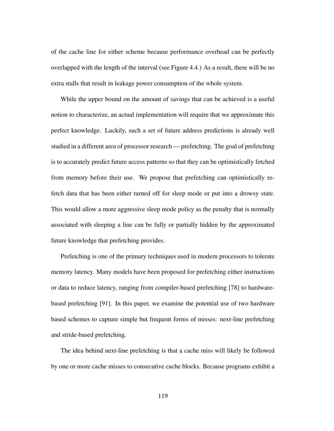of the cache line for either scheme because performance overhead can be perfectly overlapped with the length of the interval (see Figure 4.4.) As a result, there will be no extra stalls that result in leakage power consumption of the whole system.

While the upper bound on the amount of savings that can be achieved is a useful notion to characterize, an actual implementation will require that we approximate this perfect knowledge. Luckily, such a set of future address predictions is already well studied in a different area of processor research — prefetching. The goal of prefetching is to accurately predict future access patterns so that they can be optimistically fetched from memory before their use. We propose that prefetching can optimistically refetch data that has been either turned off for sleep mode or put into a drowsy state. This would allow a more aggressive sleep mode policy as the penalty that is normally associated with sleeping a line can be fully or partially hidden by the approximated future knowledge that prefetching provides.

Prefetching is one of the primary techniques used in modern processors to tolerate memory latency. Many models have been proposed for prefetching either instructions or data to reduce latency, ranging from compiler-based prefetching [78] to hardwarebased prefetching [91]. In this paper, we examine the potential use of two hardware based schemes to capture simple but frequent forms of misses: next-line prefetching and stride-based prefetching.

The idea behind next-line prefetching is that a cache miss will likely be followed by one or more cache misses to consecutive cache blocks. Because programs exhibit a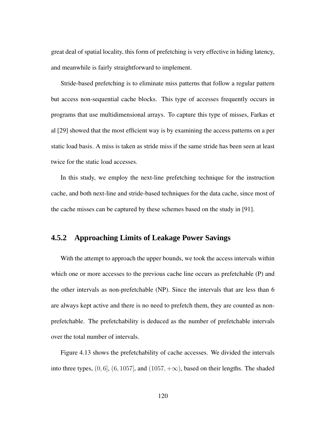great deal of spatial locality, this form of prefetching is very effective in hiding latency, and meanwhile is fairly straightforward to implement.

Stride-based prefetching is to eliminate miss patterns that follow a regular pattern but access non-sequential cache blocks. This type of accesses frequently occurs in programs that use multidimensional arrays. To capture this type of misses, Farkas et al [29] showed that the most efficient way is by examining the access patterns on a per static load basis. A miss is taken as stride miss if the same stride has been seen at least twice for the static load accesses.

In this study, we employ the next-line prefetching technique for the instruction cache, and both next-line and stride-based techniques for the data cache, since most of the cache misses can be captured by these schemes based on the study in [91].

### **4.5.2 Approaching Limits of Leakage Power Savings**

With the attempt to approach the upper bounds, we took the access intervals within which one or more accesses to the previous cache line occurs as prefetchable (P) and the other intervals as non-prefetchable (NP). Since the intervals that are less than 6 are always kept active and there is no need to prefetch them, they are counted as nonprefetchable. The prefetchability is deduced as the number of prefetchable intervals over the total number of intervals.

Figure 4.13 shows the prefetchability of cache accesses. We divided the intervals into three types,  $(0, 6]$ ,  $(6, 1057]$ , and  $(1057, +\infty)$ , based on their lengths. The shaded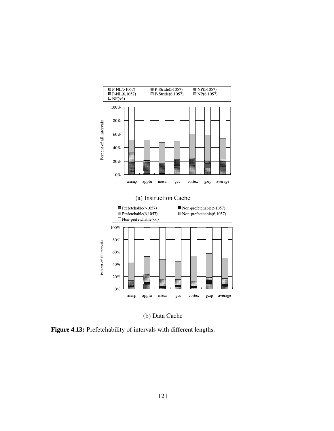

(b) Data Cache

**Figure 4.13:** Prefetchability of intervals with different lengths.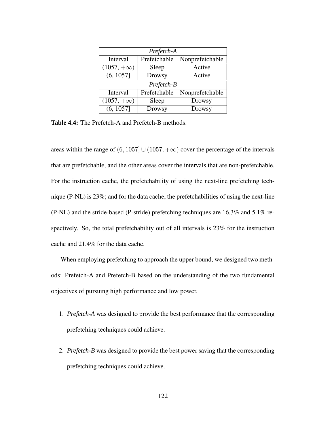| Prefetch-A        |               |                 |  |  |  |
|-------------------|---------------|-----------------|--|--|--|
| Interval          | Prefetchable  | Nonprefetchable |  |  |  |
| $(1057, +\infty)$ | Sleep         | Active          |  |  |  |
| (6, 1057]         | <b>Drowsy</b> | Active          |  |  |  |
| Prefetch-B        |               |                 |  |  |  |
|                   |               |                 |  |  |  |
| Interval          | Prefetchable  | Nonprefetchable |  |  |  |
| $(1057, +\infty)$ | Sleep         | <b>Drowsy</b>   |  |  |  |

**Table 4.4:** The Prefetch-A and Prefetch-B methods.

areas within the range of  $(6, 1057] \cup (1057, +\infty)$  cover the percentage of the intervals that are prefetchable, and the other areas cover the intervals that are non-prefetchable. For the instruction cache, the prefetchability of using the next-line prefetching technique (P-NL) is 23%; and for the data cache, the prefetchabilities of using the next-line (P-NL) and the stride-based (P-stride) prefetching techniques are 16.3% and 5.1% respectively. So, the total prefetchability out of all intervals is 23% for the instruction cache and 21.4% for the data cache.

When employing prefetching to approach the upper bound, we designed two methods: Prefetch-A and Prefetch-B based on the understanding of the two fundamental objectives of pursuing high performance and low power.

- 1. *Prefetch-A* was designed to provide the best performance that the corresponding prefetching techniques could achieve.
- 2. *Prefetch-B* was designed to provide the best power saving that the corresponding prefetching techniques could achieve.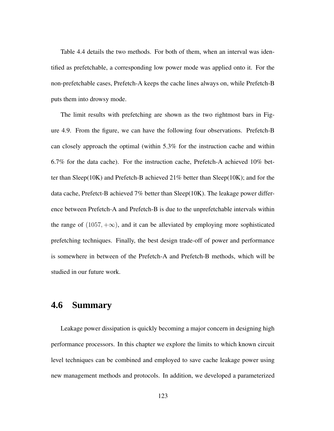Table 4.4 details the two methods. For both of them, when an interval was identified as prefetchable, a corresponding low power mode was applied onto it. For the non-prefetchable cases, Prefetch-A keeps the cache lines always on, while Prefetch-B puts them into drowsy mode.

The limit results with prefetching are shown as the two rightmost bars in Figure 4.9. From the figure, we can have the following four observations. Prefetch-B can closely approach the optimal (within  $5.3\%$  for the instruction cache and within 6.7% for the data cache). For the instruction cache, Prefetch-A achieved 10% better than Sleep(10K) and Prefetch-B achieved 21% better than Sleep(10K); and for the data cache, Prefetct-B achieved  $7\%$  better than Sleep(10K). The leakage power difference between Prefetch-A and Prefetch-B is due to the unprefetchable intervals within the range of  $(1057, +\infty)$ , and it can be alleviated by employing more sophisticated prefetching techniques. Finally, the best design trade-off of power and performance is somewhere in between of the Prefetch-A and Prefetch-B methods, which will be studied in our future work.

## **4.6 Summary**

Leakage power dissipation is quickly becoming a major concern in designing high performance processors. In this chapter we explore the limits to which known circuit level techniques can be combined and employed to save cache leakage power using new management methods and protocols. In addition, we developed a parameterized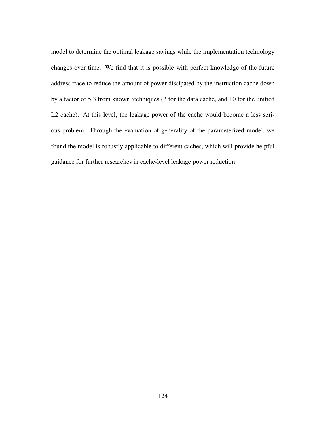model to determine the optimal leakage savings while the implementation technology changes over time. We find that it is possible with perfect knowledge of the future address trace to reduce the amount of power dissipated by the instruction cache down by a factor of 5.3 from known techniques (2 for the data cache, and 10 for the unified L2 cache). At this level, the leakage power of the cache would become a less serious problem. Through the evaluation of generality of the parameterized model, we found the model is robustly applicable to different caches, which will provide helpful guidance for further researches in cache-level leakage power reduction.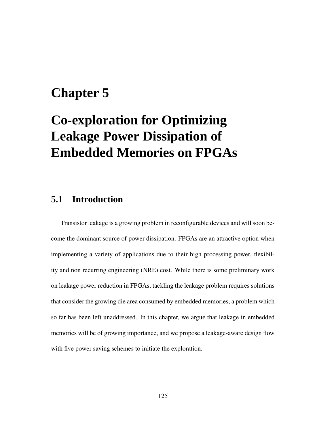# **Chapter 5**

# **Co-exploration for Optimizing Leakage Power Dissipation of Embedded Memories on FPGAs**

## **5.1 Introduction**

Transistor leakage is a growing problem in reconfigurable devices and will soon become the dominant source of power dissipation. FPGAs are an attractive option when implementing a variety of applications due to their high processing power, flexibility and non recurring engineering (NRE) cost. While there is some preliminary work on leakage power reduction in FPGAs, tackling the leakage problem requires solutions that consider the growing die area consumed by embedded memories, a problem which so far has been left unaddressed. In this chapter, we argue that leakage in embedded memories will be of growing importance, and we propose a leakage-aware design flow with five power saving schemes to initiate the exploration.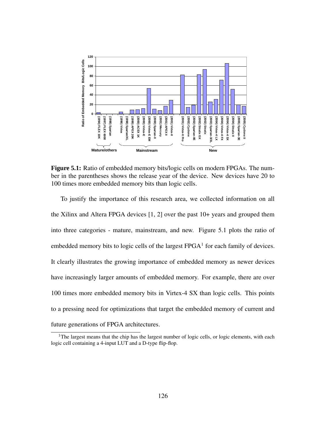

**Figure 5.1:** Ratio of embedded memory bits/logic cells on modern FPGAs. The number in the parentheses shows the release year of the device. New devices have 20 to 100 times more embedded memory bits than logic cells.

To justify the importance of this research area, we collected information on all the Xilinx and Altera FPGA devices [1, 2] over the past 10+ years and grouped them into three categories - mature, mainstream, and new. Figure 5.1 plots the ratio of embedded memory bits to logic cells of the largest  $FPGA<sup>1</sup>$  for each family of devices. It clearly illustrates the growing importance of embedded memory as newer devices have increasingly larger amounts of embedded memory. For example, there are over 100 times more embedded memory bits in Virtex-4 SX than logic cells. This points to a pressing need for optimizations that target the embedded memory of current and future generations of FPGA architectures.

<sup>&</sup>lt;sup>1</sup>The largest means that the chip has the largest number of logic cells, or logic elements, with each logic cell containing a 4-input LUT and a D-type flip-flop.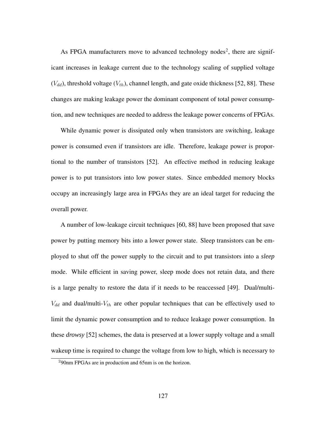As FPGA manufacturers move to advanced technology nodes<sup>2</sup>, there are significant increases in leakage current due to the technology scaling of supplied voltage  $(V_{dd})$ , threshold voltage  $(V_{th})$ , channel length, and gate oxide thickness [52, 88]. These changes are making leakage power the dominant component of total power consumption, and new techniques are needed to address the leakage power concerns of FPGAs.

While dynamic power is dissipated only when transistors are switching, leakage power is consumed even if transistors are idle. Therefore, leakage power is proportional to the number of transistors [52]. An effective method in reducing leakage power is to put transistors into low power states. Since embedded memory blocks occupy an increasingly large area in FPGAs they are an ideal target for reducing the overall power.

A number of low-leakage circuit techniques [60, 88] have been proposed that save power by putting memory bits into a lower power state. Sleep transistors can be employed to shut off the power supply to the circuit and to put transistors into a *sleep* mode. While efficient in saving power, sleep mode does not retain data, and there is a large penalty to restore the data if it needs to be reaccessed [49]. Dual/multi- $V_{dd}$  and dual/multi- $V_{th}$  are other popular techniques that can be effectively used to limit the dynamic power consumption and to reduce leakage power consumption. In these *drowsy* [52] schemes, the data is preserved at a lower supply voltage and a small wakeup time is required to change the voltage from low to high, which is necessary to

<sup>2</sup>90nm FPGAs are in production and 65nm is on the horizon.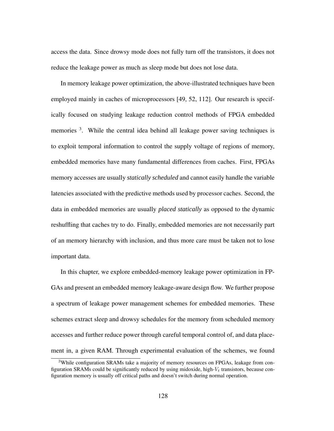access the data. Since drowsy mode does not fully turn off the transistors, it does not reduce the leakage power as much as sleep mode but does not lose data.

In memory leakage power optimization, the above-illustrated techniques have been employed mainly in caches of microprocessors [49, 52, 112]. Our research is specifically focused on studying leakage reduction control methods of FPGA embedded memories <sup>3</sup>. While the central idea behind all leakage power saving techniques is to exploit temporal information to control the supply voltage of regions of memory, embedded memories have many fundamental differences from caches. First, FPGAs memory accesses are usually *statically scheduled* and cannot easily handle the variable latencies associated with the predictive methods used by processor caches. Second, the data in embedded memories are usually *placed statically* as opposed to the dynamic reshuffling that caches try to do. Finally, embedded memories are not necessarily part of an memory hierarchy with inclusion, and thus more care must be taken not to lose important data.

In this chapter, we explore embedded-memory leakage power optimization in FP-GAs and present an embedded memory leakage-aware design flow. We further propose a spectrum of leakage power management schemes for embedded memories. These schemes extract sleep and drowsy schedules for the memory from scheduled memory accesses and further reduce power through careful temporal control of, and data placement in, a given RAM. Through experimental evaluation of the schemes, we found

<sup>&</sup>lt;sup>3</sup>While configuration SRAMs take a majority of memory resources on FPGAs, leakage from configuration SRAMs could be significantly reduced by using midoxide, high- $V_t$  transistors, because configuration memory is usually off critical paths and doesn't switch during normal operation.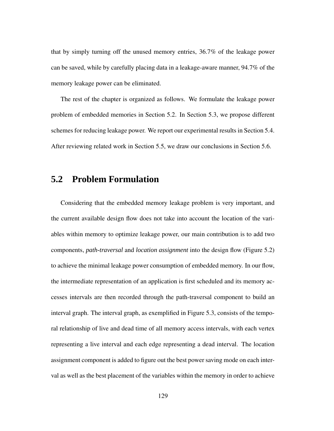that by simply turning off the unused memory entries, 36.7% of the leakage power can be saved, while by carefully placing data in a leakage-aware manner, 94.7% of the memory leakage power can be eliminated.

The rest of the chapter is organized as follows. We formulate the leakage power problem of embedded memories in Section 5.2. In Section 5.3, we propose different schemes for reducing leakage power. We report our experimental results in Section 5.4. After reviewing related work in Section 5.5, we draw our conclusions in Section 5.6.

#### **5.2 Problem Formulation**

Considering that the embedded memory leakage problem is very important, and the current available design flow does not take into account the location of the variables within memory to optimize leakage power, our main contribution is to add two components, *path-traversal* and *location assignment* into the design flow (Figure 5.2) to achieve the minimal leakage power consumption of embedded memory. In our flow, the intermediate representation of an application is first scheduled and its memory accesses intervals are then recorded through the path-traversal component to build an interval graph. The interval graph, as exemplified in Figure 5.3, consists of the temporal relationship of live and dead time of all memory access intervals, with each vertex representing a live interval and each edge representing a dead interval. The location assignment component is added to figure out the best power saving mode on each interval as well as the best placement of the variables within the memory in order to achieve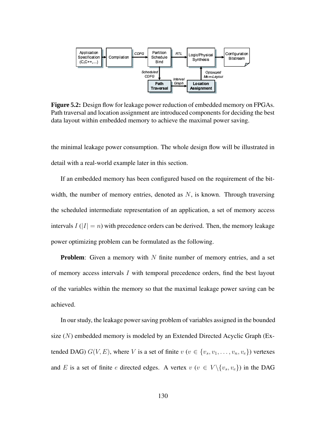

**Figure 5.2:** Design flow for leakage power reduction of embedded memory on FPGAs. Path traversal and location assignment are introduced components for deciding the best data layout within embedded memory to achieve the maximal power saving.

the minimal leakage power consumption. The whole design flow will be illustrated in detail with a real-world example later in this section.

If an embedded memory has been configured based on the requirement of the bitwidth, the number of memory entries, denoted as  $N$ , is known. Through traversing the scheduled intermediate representation of an application, a set of memory access intervals  $I(|I| = n)$  with precedence orders can be derived. Then, the memory leakage power optimizing problem can be formulated as the following.

**Problem**: Given a memory with N finite number of memory entries, and a set of memory access intervals I with temporal precedence orders, find the best layout of the variables within the memory so that the maximal leakage power saving can be achieved.

In our study, the leakage power saving problem of variables assigned in the bounded size  $(N)$  embedded memory is modeled by an Extended Directed Acyclic Graph (Extended DAG)  $G(V, E)$ , where V is a set of finite  $v$  ( $v \in \{v_s, v_1, \ldots, v_n, v_e\}$ ) vertexes and E is a set of finite e directed edges. A vertex  $v$  ( $v \in V \setminus \{v_s, v_e\}$ ) in the DAG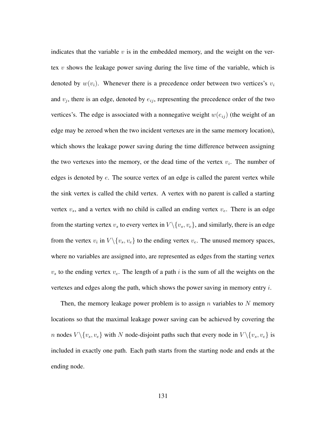indicates that the variable  $v$  is in the embedded memory, and the weight on the vertex  $v$  shows the leakage power saving during the live time of the variable, which is denoted by  $w(v_i)$ . Whenever there is a precedence order between two vertices's  $v_i$ and  $v_j$ , there is an edge, denoted by  $e_{ij}$ , representing the precedence order of the two vertices's. The edge is associated with a nonnegative weight  $w(e_{ij})$  (the weight of an edge may be zeroed when the two incident vertexes are in the same memory location), which shows the leakage power saving during the time difference between assigning the two vertexes into the memory, or the dead time of the vertex  $v_i$ . The number of edges is denoted by  $e$ . The source vertex of an edge is called the parent vertex while the sink vertex is called the child vertex. A vertex with no parent is called a starting vertex  $v_s$ , and a vertex with no child is called an ending vertex  $v_e$ . There is an edge from the starting vertex  $v_s$  to every vertex in  $V \setminus \{v_s, v_e\}$ , and similarly, there is an edge from the vertex  $v_i$  in  $V \setminus \{v_s, v_e\}$  to the ending vertex  $v_e$ . The unused memory spaces, where no variables are assigned into, are represented as edges from the starting vertex  $v<sub>s</sub>$  to the ending vertex  $v<sub>e</sub>$ . The length of a path i is the sum of all the weights on the vertexes and edges along the path, which shows the power saving in memory entry  $i$ .

Then, the memory leakage power problem is to assign  $n$  variables to  $N$  memory locations so that the maximal leakage power saving can be achieved by covering the *n* nodes  $V \setminus \{v_s, v_e\}$  with N node-disjoint paths such that every node in  $V \setminus \{v_s, v_e\}$  is included in exactly one path. Each path starts from the starting node and ends at the ending node.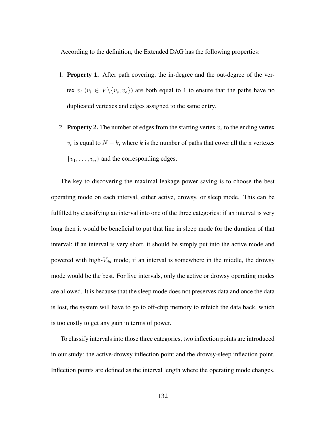According to the definition, the Extended DAG has the following properties:

- 1. **Property 1.** After path covering, the in-degree and the out-degree of the vertex  $v_i$  ( $v_i \in V \setminus \{v_s, v_e\}$ ) are both equal to 1 to ensure that the paths have no duplicated vertexes and edges assigned to the same entry.
- 2. **Property 2.** The number of edges from the starting vertex  $v_s$  to the ending vertex  $v_e$  is equal to  $N - k$ , where k is the number of paths that cover all the n vertexes  ${v_1, \ldots, v_n}$  and the corresponding edges.

The key to discovering the maximal leakage power saving is to choose the best operating mode on each interval, either active, drowsy, or sleep mode. This can be fulfilled by classifying an interval into one of the three categories: if an interval is very long then it would be beneficial to put that line in sleep mode for the duration of that interval; if an interval is very short, it should be simply put into the active mode and powered with high- $V_{dd}$  mode; if an interval is somewhere in the middle, the drowsy mode would be the best. For live intervals, only the active or drowsy operating modes are allowed. It is because that the sleep mode does not preserves data and once the data is lost, the system will have to go to off-chip memory to refetch the data back, which is too costly to get any gain in terms of power.

To classify intervals into those three categories, two inflection points are introduced in our study: the active-drowsy inflection point and the drowsy-sleep inflection point. Inflection points are defined as the interval length where the operating mode changes.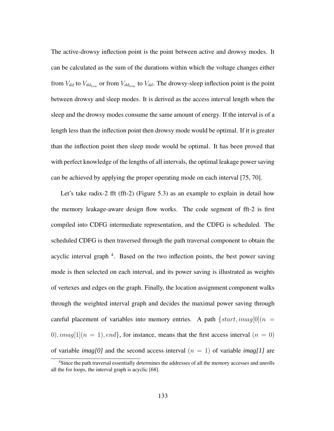The active-drowsy inflection point is the point between active and drowsy modes. It can be calculated as the sum of the durations within which the voltage changes either from  $V_{dd}$  to  $V_{dd_{low}}$  or from  $V_{dd_{low}}$  to  $V_{dd}$ . The drowsy-sleep inflection point is the point between drowsy and sleep modes. It is derived as the access interval length when the sleep and the drowsy modes consume the same amount of energy. If the interval is of a length less than the inflection point then drowsy mode would be optimal. If it is greater than the inflection point then sleep mode would be optimal. It has been proved that with perfect knowledge of the lengths of all intervals, the optimal leakage power saving can be achieved by applying the proper operating mode on each interval [75, 70].

Let's take radix-2 fft (fft-2) (Figure 5.3) as an example to explain in detail how the memory leakage-aware design flow works. The code segment of fft-2 is first compiled into CDFG intermediate representation, and the CDFG is scheduled. The scheduled CDFG is then traversed through the path traversal component to obtain the acyclic interval graph<sup>4</sup>. Based on the two inflection points, the best power saving mode is then selected on each interval, and its power saving is illustrated as weights of vertexes and edges on the graph. Finally, the location assignment component walks through the weighted interval graph and decides the maximal power saving through careful placement of variables into memory entries. A path  $\{start,imag[0](n =$ 0), imag[1]( $n = 1$ ), end}, for instance, means that the first access interval ( $n = 0$ ) of variable *imag*[0] and the second access interval  $(n = 1)$  of variable *imag*[1] are

<sup>4</sup>Since the path traversal essentially determines the addresses of all the memory accesses and unrolls all the for loops, the interval graph is acyclic [68].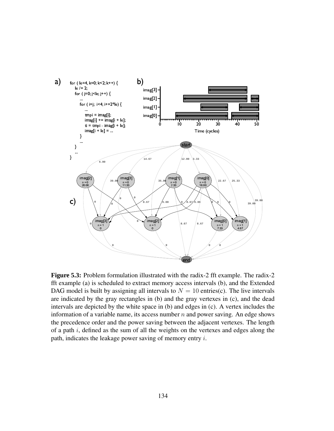

**Figure 5.3:** Problem formulation illustrated with the radix-2 fft example. The radix-2 fft example (a) is scheduled to extract memory access intervals (b), and the Extended DAG model is built by assigning all intervals to  $N = 10$  entries(c). The live intervals are indicated by the gray rectangles in (b) and the gray vertexes in (c), and the dead intervals are depicted by the white space in (b) and edges in (c). A vertex includes the information of a variable name, its access number  $n$  and power saving. An edge shows the precedence order and the power saving between the adjacent vertexes. The length of a path  $i$ , defined as the sum of all the weights on the vertexes and edges along the path, indicates the leakage power saving of memory entry i.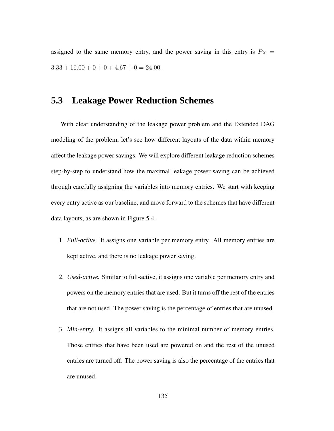assigned to the same memory entry, and the power saving in this entry is  $Ps =$  $3.33 + 16.00 + 0 + 0 + 4.67 + 0 = 24.00$ .

#### **5.3 Leakage Power Reduction Schemes**

With clear understanding of the leakage power problem and the Extended DAG modeling of the problem, let's see how different layouts of the data within memory affect the leakage power savings. We will explore different leakage reduction schemes step-by-step to understand how the maximal leakage power saving can be achieved through carefully assigning the variables into memory entries. We start with keeping every entry active as our baseline, and move forward to the schemes that have different data layouts, as are shown in Figure 5.4.

- 1. *Full-active.* It assigns one variable per memory entry. All memory entries are kept active, and there is no leakage power saving.
- 2. *Used-active.* Similar to full-active, it assigns one variable per memory entry and powers on the memory entries that are used. But it turns off the rest of the entries that are not used. The power saving is the percentage of entries that are unused.
- 3. *Min-entry.* It assigns all variables to the minimal number of memory entries. Those entries that have been used are powered on and the rest of the unused entries are turned off. The power saving is also the percentage of the entries that are unused.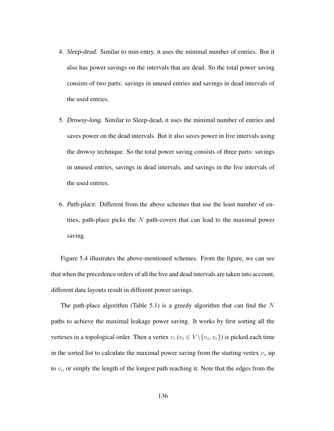- 4. *Sleep-dead.* Similar to min-entry, it uses the minimal number of entries. But it also has power savings on the intervals that are dead. So the total power saving consists of two parts: savings in unused entries and savings in dead intervals of the used entries.
- 5. *Drowsy-long.* Similar to Sleep-dead, it uses the minimal number of entries and saves power on the dead intervals. But it also saves power in live intervals using the drowsy technique. So the total power saving consists of three parts: savings in unused entries, savings in dead intervals, and savings in the live intervals of the used entries.
- 6. *Path-place.* Different from the above schemes that use the least number of entries, path-place picks the  $N$  path-covers that can lead to the maximal power saving.

Figure 5.4 illustrates the above-mentioned schemes. From the figure, we can see that when the precedence orders of all the live and dead intervals are taken into account, different data layouts result in different power savings.

The path-place algorithm (Table 5.1) is a greedy algorithm that can find the  $N$ paths to achieve the maximal leakage power saving. It works by first sorting all the vertexes in a topological order. Then a vertex  $v_i$  ( $v_i \in V \setminus \{v_s, v_e\}$ ) is picked each time in the sorted list to calculate the maximal power saving from the starting vertex  $v<sub>s</sub>$  up to  $v_i$ , or simply the length of the longest path reaching it. Note that the edges from the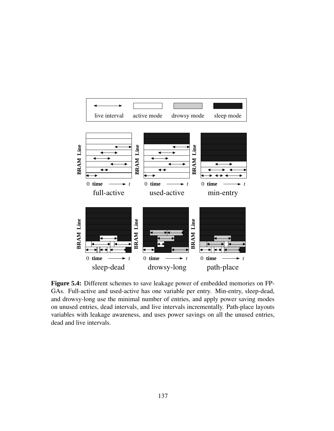

**Figure 5.4:** Different schemes to save leakage power of embedded memories on FP-GAs. Full-active and used-active has one variable per entry. Min-entry, sleep-dead, and drowsy-long use the minimal number of entries, and apply power saving modes on unused entries, dead intervals, and live intervals incrementally. Path-place layouts variables with leakage awareness, and uses power savings on all the unused entries, dead and live intervals.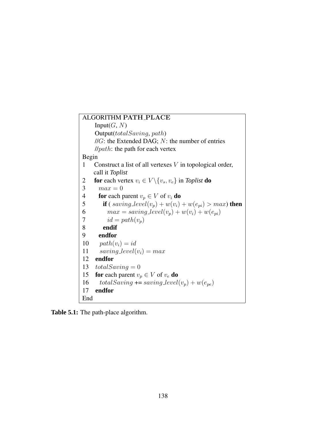| ALGORITHM PATH_PLACE                                                                             |
|--------------------------------------------------------------------------------------------------|
| Input $(G, N)$                                                                                   |
| Output (total saving, path)                                                                      |
| $\mathcal{U}G$ : the Extended DAG; $N$ : the number of entries                                   |
| $\mathcal{N}$ // <i>path</i> : the path for each vertex                                          |
| Begin                                                                                            |
| Construct a list of all vertexes $V$ in topological order,<br>1                                  |
| call it Toplist                                                                                  |
| <b>for</b> each vertex $v_i \in V \setminus \{v_s, v_e\}$ in Toplist <b>do</b><br>$\overline{c}$ |
| 3<br>$max = 0$                                                                                   |
| $\overline{4}$<br><b>for</b> each parent $v_p \in V$ of $v_i$ <b>do</b>                          |
| 5<br><b>if</b> (saving level( $v_p$ ) + $w(v_i)$ + $w(e_{pi}) > max$ ) then                      |
| $max = saving\_level(v_p) + w(v_i) + w(e_{pi})$<br>6                                             |
| 7<br>$id = path(v_n)$                                                                            |
| 8<br>endif                                                                                       |
| endfor<br>9                                                                                      |
| $path(v_i) = id$<br>10                                                                           |
| saving $level(v_i) = max$<br>11                                                                  |
| 12<br>endfor                                                                                     |
| 13<br>$totalSaving = 0$                                                                          |
| 15<br>for each parent $v_p \in V$ of $v_e$ do                                                    |
| $totalSaving \text{ +} = saving\_level(v_p) + w(e_{pe})$<br>16                                   |
| endfor<br>17                                                                                     |
| End                                                                                              |

**Table 5.1:** The path-place algorithm.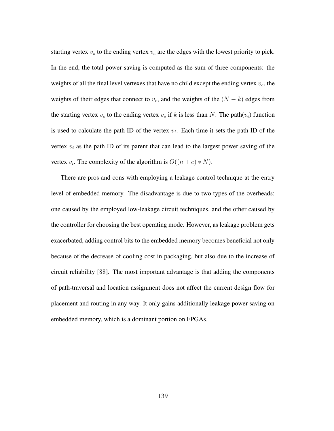starting vertex  $v<sub>s</sub>$  to the ending vertex  $v<sub>e</sub>$  are the edges with the lowest priority to pick. In the end, the total power saving is computed as the sum of three components: the weights of all the final level vertexes that have no child except the ending vertex  $v_e$ , the weights of their edges that connect to  $v_e$ , and the weights of the  $(N - k)$  edges from the starting vertex  $v_s$  to the ending vertex  $v_e$  if k is less than N. The path $(v_i)$  function is used to calculate the path ID of the vertex  $v_i$ . Each time it sets the path ID of the vertex  $v_i$  as the path ID of its parent that can lead to the largest power saving of the vertex  $v_i$ . The complexity of the algorithm is  $O((n+e) * N)$ .

There are pros and cons with employing a leakage control technique at the entry level of embedded memory. The disadvantage is due to two types of the overheads: one caused by the employed low-leakage circuit techniques, and the other caused by the controller for choosing the best operating mode. However, as leakage problem gets exacerbated, adding control bits to the embedded memory becomes beneficial not only because of the decrease of cooling cost in packaging, but also due to the increase of circuit reliability [88]. The most important advantage is that adding the components of path-traversal and location assignment does not affect the current design flow for placement and routing in any way. It only gains additionally leakage power saving on embedded memory, which is a dominant portion on FPGAs.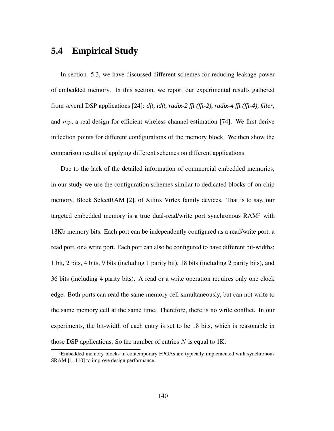## **5.4 Empirical Study**

In section 5.3, we have discussed different schemes for reducing leakage power of embedded memory. In this section, we report our experimental results gathered from several DSP applications [24]: *dft, idft, radix-2 fft (fft-2), radix-4 fft (fft-4), filter*, and  $mp$ , a real design for efficient wireless channel estimation [74]. We first derive inflection points for different configurations of the memory block. We then show the comparison results of applying different schemes on different applications.

Due to the lack of the detailed information of commercial embedded memories, in our study we use the configuration schemes similar to dedicated blocks of on-chip memory, Block SelectRAM [2], of Xilinx Virtex family devices. That is to say, our targeted embedded memory is a true dual-read/write port synchronous  $RAM<sup>5</sup>$  with 18Kb memory bits. Each port can be independently configured as a read/write port, a read port, or a write port. Each port can also be configured to have different bit-widths: 1 bit, 2 bits, 4 bits, 9 bits (including 1 parity bit), 18 bits (including 2 parity bits), and 36 bits (including 4 parity bits). A read or a write operation requires only one clock edge. Both ports can read the same memory cell simultaneously, but can not write to the same memory cell at the same time. Therefore, there is no write conflict. In our experiments, the bit-width of each entry is set to be 18 bits, which is reasonable in those DSP applications. So the number of entries  $N$  is equal to 1K.

 $5$ Embedded memory blocks in contemporary FPGAs are typically implemented with synchronous SRAM [1, 110] to improve design performance.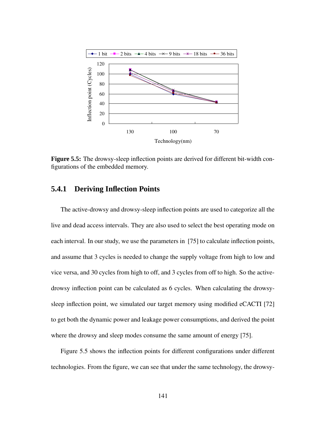

**Figure 5.5:** The drowsy-sleep inflection points are derived for different bit-width configurations of the embedded memory.

#### **5.4.1 Deriving Inflection Points**

The active-drowsy and drowsy-sleep inflection points are used to categorize all the live and dead access intervals. They are also used to select the best operating mode on each interval. In our study, we use the parameters in [75] to calculate inflection points, and assume that 3 cycles is needed to change the supply voltage from high to low and vice versa, and 30 cycles from high to off, and 3 cycles from off to high. So the activedrowsy inflection point can be calculated as 6 cycles. When calculating the drowsysleep inflection point, we simulated our target memory using modified eCACTI [72] to get both the dynamic power and leakage power consumptions, and derived the point where the drowsy and sleep modes consume the same amount of energy [75].

Figure 5.5 shows the inflection points for different configurations under different technologies. From the figure, we can see that under the same technology, the drowsy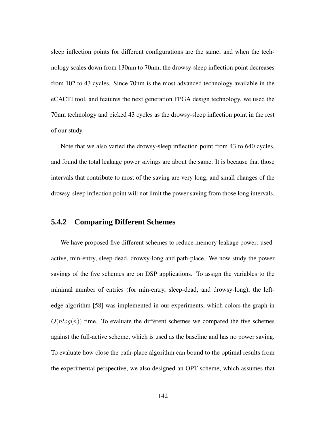sleep inflection points for different configurations are the same; and when the technology scales down from 130nm to 70nm, the drowsy-sleep inflection point decreases from 102 to 43 cycles. Since 70nm is the most advanced technology available in the eCACTI tool, and features the next generation FPGA design technology, we used the 70nm technology and picked 43 cycles as the drowsy-sleep inflection point in the rest of our study.

Note that we also varied the drowsy-sleep inflection point from 43 to 640 cycles, and found the total leakage power savings are about the same. It is because that those intervals that contribute to most of the saving are very long, and small changes of the drowsy-sleep inflection point will not limit the power saving from those long intervals.

#### **5.4.2 Comparing Different Schemes**

We have proposed five different schemes to reduce memory leakage power: usedactive, min-entry, sleep-dead, drowsy-long and path-place. We now study the power savings of the five schemes are on DSP applications. To assign the variables to the minimal number of entries (for min-entry, sleep-dead, and drowsy-long), the leftedge algorithm [58] was implemented in our experiments, which colors the graph in  $O(n \log(n))$  time. To evaluate the different schemes we compared the five schemes against the full-active scheme, which is used as the baseline and has no power saving. To evaluate how close the path-place algorithm can bound to the optimal results from the experimental perspective, we also designed an OPT scheme, which assumes that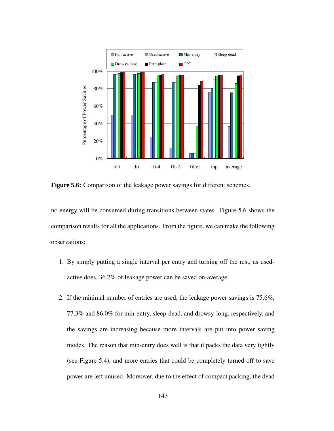

**Figure 5.6:** Comparison of the leakage power savings for different schemes.

no energy will be consumed during transitions between states. Figure 5.6 shows the comparison results for all the applications. From the figure, we can make the following observations:

- 1. By simply putting a single interval per entry and turning off the rest, as usedactive does, 36.7% of leakage power can be saved on-average.
- 2. If the minimal number of entries are used, the leakage power savings is 75.6%, 77.3% and 86.0% for min-entry, sleep-dead, and drowsy-long, respectively, and the savings are increasing because more intervals are put into power saving modes. The reason that min-entry does well is that it packs the data very tightly (see Figure 5.4), and more entries that could be completely turned off to save power are left unused. Moreover, due to the effect of compact packing, the dead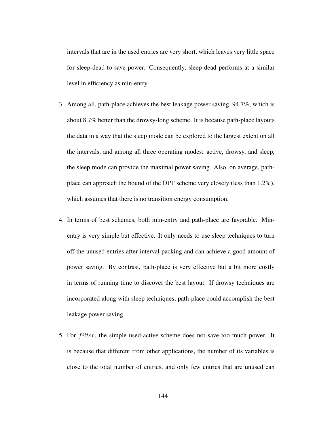intervals that are in the used entries are very short, which leaves very little space for sleep-dead to save power. Consequently, sleep dead performs at a similar level in efficiency as min-entry.

- 3. Among all, path-place achieves the best leakage power saving, 94.7%, which is about 8.7% better than the drowsy-long scheme. It is because path-place layouts the data in a way that the sleep mode can be explored to the largest extent on all the intervals, and among all three operating modes: active, drowsy, and sleep, the sleep mode can provide the maximal power saving. Also, on average, pathplace can approach the bound of the OPT scheme very closely (less than 1.2%), which assumes that there is no transition energy consumption.
- 4. In terms of best schemes, both min-entry and path-place are favorable. Minentry is very simple but effective. It only needs to use sleep techniques to turn off the unused entries after interval packing and can achieve a good amount of power saving. By contrast, path-place is very effective but a bit more costly in terms of running time to discover the best layout. If drowsy techniques are incorporated along with sleep techniques, path-place could accomplish the best leakage power saving.
- 5. For *filter*, the simple used-active scheme does not save too much power. It is because that different from other applications, the number of its variables is close to the total number of entries, and only few entries that are unused can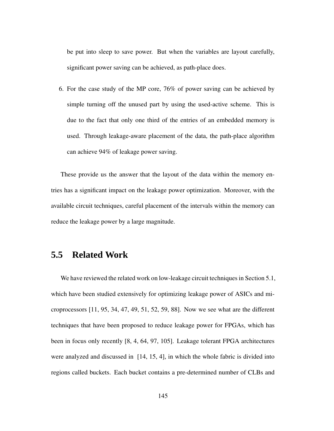be put into sleep to save power. But when the variables are layout carefully, significant power saving can be achieved, as path-place does.

6. For the case study of the MP core, 76% of power saving can be achieved by simple turning off the unused part by using the used-active scheme. This is due to the fact that only one third of the entries of an embedded memory is used. Through leakage-aware placement of the data, the path-place algorithm can achieve 94% of leakage power saving.

These provide us the answer that the layout of the data within the memory entries has a significant impact on the leakage power optimization. Moreover, with the available circuit techniques, careful placement of the intervals within the memory can reduce the leakage power by a large magnitude.

#### **5.5 Related Work**

We have reviewed the related work on low-leakage circuit techniques in Section 5.1, which have been studied extensively for optimizing leakage power of ASICs and microprocessors [11, 95, 34, 47, 49, 51, 52, 59, 88]. Now we see what are the different techniques that have been proposed to reduce leakage power for FPGAs, which has been in focus only recently [8, 4, 64, 97, 105]. Leakage tolerant FPGA architectures were analyzed and discussed in [14, 15, 4], in which the whole fabric is divided into regions called buckets. Each bucket contains a pre-determined number of CLBs and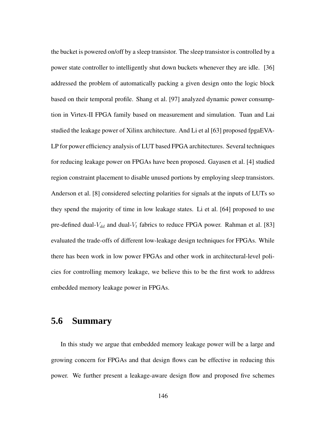the bucket is powered on/off by a sleep transistor. The sleep transistor is controlled by a power state controller to intelligently shut down buckets whenever they are idle. [36] addressed the problem of automatically packing a given design onto the logic block based on their temporal profile. Shang et al. [97] analyzed dynamic power consumption in Virtex-II FPGA family based on measurement and simulation. Tuan and Lai studied the leakage power of Xilinx architecture. And Li et al [63] proposed fpgaEVA-LP for power efficiency analysis of LUT based FPGA architectures. Several techniques for reducing leakage power on FPGAs have been proposed. Gayasen et al. [4] studied region constraint placement to disable unused portions by employing sleep transistors. Anderson et al. [8] considered selecting polarities for signals at the inputs of LUTs so they spend the majority of time in low leakage states. Li et al. [64] proposed to use pre-defined dual- $V_{dd}$  and dual- $V_t$  fabrics to reduce FPGA power. Rahman et al. [83] evaluated the trade-offs of different low-leakage design techniques for FPGAs. While there has been work in low power FPGAs and other work in architectural-level policies for controlling memory leakage, we believe this to be the first work to address embedded memory leakage power in FPGAs.

#### **5.6 Summary**

In this study we argue that embedded memory leakage power will be a large and growing concern for FPGAs and that design flows can be effective in reducing this power. We further present a leakage-aware design flow and proposed five schemes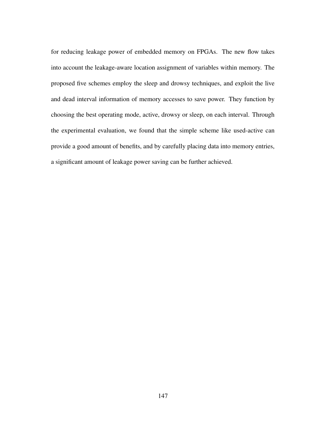for reducing leakage power of embedded memory on FPGAs. The new flow takes into account the leakage-aware location assignment of variables within memory. The proposed five schemes employ the sleep and drowsy techniques, and exploit the live and dead interval information of memory accesses to save power. They function by choosing the best operating mode, active, drowsy or sleep, on each interval. Through the experimental evaluation, we found that the simple scheme like used-active can provide a good amount of benefits, and by carefully placing data into memory entries, a significant amount of leakage power saving can be further achieved.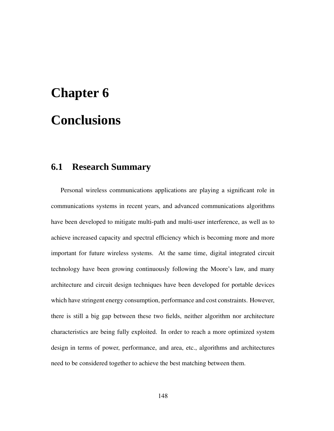# **Chapter 6 Conclusions**

### **6.1 Research Summary**

Personal wireless communications applications are playing a significant role in communications systems in recent years, and advanced communications algorithms have been developed to mitigate multi-path and multi-user interference, as well as to achieve increased capacity and spectral efficiency which is becoming more and more important for future wireless systems. At the same time, digital integrated circuit technology have been growing continuously following the Moore's law, and many architecture and circuit design techniques have been developed for portable devices which have stringent energy consumption, performance and cost constraints. However, there is still a big gap between these two fields, neither algorithm nor architecture characteristics are being fully exploited. In order to reach a more optimized system design in terms of power, performance, and area, etc., algorithms and architectures need to be considered together to achieve the best matching between them.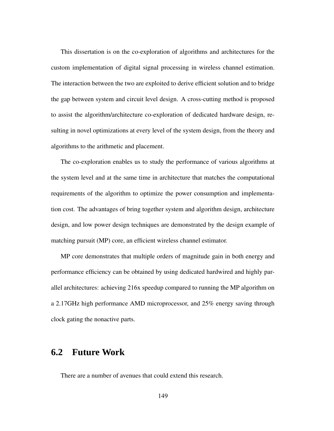This dissertation is on the co-exploration of algorithms and architectures for the custom implementation of digital signal processing in wireless channel estimation. The interaction between the two are exploited to derive efficient solution and to bridge the gap between system and circuit level design. A cross-cutting method is proposed to assist the algorithm/architecture co-exploration of dedicated hardware design, resulting in novel optimizations at every level of the system design, from the theory and algorithms to the arithmetic and placement.

The co-exploration enables us to study the performance of various algorithms at the system level and at the same time in architecture that matches the computational requirements of the algorithm to optimize the power consumption and implementation cost. The advantages of bring together system and algorithm design, architecture design, and low power design techniques are demonstrated by the design example of matching pursuit (MP) core, an efficient wireless channel estimator.

MP core demonstrates that multiple orders of magnitude gain in both energy and performance efficiency can be obtained by using dedicated hardwired and highly parallel architectures: achieving 216x speedup compared to running the MP algorithm on a 2.17GHz high performance AMD microprocessor, and 25% energy saving through clock gating the nonactive parts.

#### **6.2 Future Work**

There are a number of avenues that could extend this research.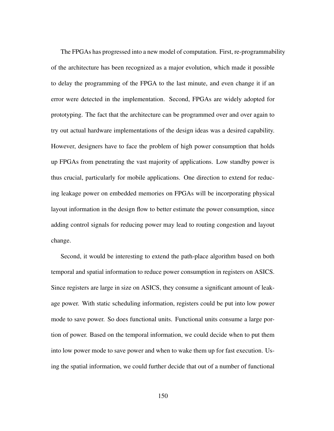The FPGAs has progressed into a new model of computation. First, re-programmability of the architecture has been recognized as a major evolution, which made it possible to delay the programming of the FPGA to the last minute, and even change it if an error were detected in the implementation. Second, FPGAs are widely adopted for prototyping. The fact that the architecture can be programmed over and over again to try out actual hardware implementations of the design ideas was a desired capability. However, designers have to face the problem of high power consumption that holds up FPGAs from penetrating the vast majority of applications. Low standby power is thus crucial, particularly for mobile applications. One direction to extend for reducing leakage power on embedded memories on FPGAs will be incorporating physical layout information in the design flow to better estimate the power consumption, since adding control signals for reducing power may lead to routing congestion and layout change.

Second, it would be interesting to extend the path-place algorithm based on both temporal and spatial information to reduce power consumption in registers on ASICS. Since registers are large in size on ASICS, they consume a significant amount of leakage power. With static scheduling information, registers could be put into low power mode to save power. So does functional units. Functional units consume a large portion of power. Based on the temporal information, we could decide when to put them into low power mode to save power and when to wake them up for fast execution. Using the spatial information, we could further decide that out of a number of functional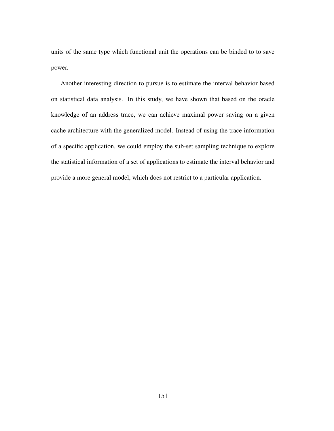units of the same type which functional unit the operations can be binded to to save power.

Another interesting direction to pursue is to estimate the interval behavior based on statistical data analysis. In this study, we have shown that based on the oracle knowledge of an address trace, we can achieve maximal power saving on a given cache architecture with the generalized model. Instead of using the trace information of a specific application, we could employ the sub-set sampling technique to explore the statistical information of a set of applications to estimate the interval behavior and provide a more general model, which does not restrict to a particular application.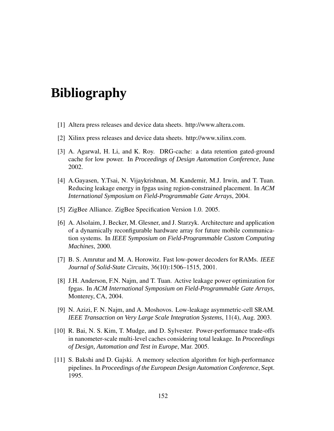# **Bibliography**

- [1] Altera press releases and device data sheets. http://www.altera.com.
- [2] Xilinx press releases and device data sheets. http://www.xilinx.com.
- [3] A. Agarwal, H. Li, and K. Roy. DRG-cache: a data retention gated-ground cache for low power. In *Proceedings of Design Automation Conference*, June 2002.
- [4] A.Gayasen, Y.Tsai, N. Vijaykrishnan, M. Kandemir, M.J. Irwin, and T. Tuan. Reducing leakage energy in fpgas using region-constrained placement. In *ACM International Symposium on Field-Programmable Gate Arrays*, 2004.
- [5] ZigBee Alliance. ZigBee Specification Version 1.0. 2005.
- [6] A. Alsolaim, J. Becker, M. Glesner, and J. Starzyk. Architecture and application of a dynamically reconfigurable hardware array for future mobile communication systems. In *IEEE Symposium on Field-Programmable Custom Computing Machines*, 2000.
- [7] B. S. Amrutur and M. A. Horowitz. Fast low-power decoders for RAMs. *IEEE Journal of Solid-State Circuits*, 36(10):1506–1515, 2001.
- [8] J.H. Anderson, F.N. Najm, and T. Tuan. Active leakage power optimization for fpgas. In *ACM International Symposium on Field-Programmable Gate Arrays*, Monterey, CA, 2004.
- [9] N. Azizi, F. N. Najm, and A. Moshovos. Low-leakage asymmetric-cell SRAM. *IEEE Transaction on Very Large Scale Integration Systems*, 11(4), Aug. 2003.
- [10] R. Bai, N. S. Kim, T. Mudge, and D. Sylvester. Power-performance trade-offs in nanometer-scale multi-level caches considering total leakage. In *Proceedings of Design, Automation and Test in Europe*, Mar. 2005.
- [11] S. Bakshi and D. Gajski. A memory selection algorithm for high-performance pipelines. In *Proceedings of the European Design Automation Conference*, Sept. 1995.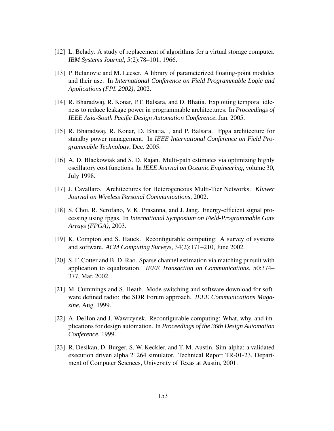- [12] L. Belady. A study of replacement of algorithms for a virtual storage computer. *IBM Systems Journal*, 5(2):78–101, 1966.
- [13] P. Belanovic and M. Leeser. A library of parameterized floating-point modules and their use. In *International Conference on Field Programmable Logic and Applications (FPL 2002)*, 2002.
- [14] R. Bharadwaj, R. Konar, P.T. Balsara, and D. Bhatia. Exploiting temporal idleness to reduce leakage power in programmable architectures. In *Proceedings of IEEE Asia-South Pacific Design Automation Conference*, Jan. 2005.
- [15] R. Bharadwaj, R. Konar, D. Bhatia, , and P. Balsara. Fpga architecture for standby power management. In *IEEE International Conference on Field Programmable Technology*, Dec. 2005.
- [16] A. D. Blackowiak and S. D. Rajan. Multi-path estimates via optimizing highly oscillatory cost functions. In *IEEE Journal on Oceanic Engineering*, volume 30, July 1998.
- [17] J. Cavallaro. Architectures for Heterogeneous Multi-Tier Networks. *Kluwer Journal on Wireless Personal Communications*, 2002.
- [18] S. Choi, R. Scrofano, V. K. Prasanna, and J. Jang. Energy-efficient signal processing using fpgas. In *International Symposium on Field-Programmable Gate Arrays (FPGA)*, 2003.
- [19] K. Compton and S. Hauck. Reconfigurable computing: A survey of systems and software. *ACM Computing Surveys*, 34(2):171–210, June 2002.
- [20] S. F. Cotter and B. D. Rao. Sparse channel estimation via matching pursuit with application to equalization. *IEEE Transaction on Communications*, 50:374– 377, Mar. 2002.
- [21] M. Cummings and S. Heath. Mode switching and software download for software defined radio: the SDR Forum approach. *IEEE Communications Magazine*, Aug. 1999.
- [22] A. DeHon and J. Wawrzynek. Reconfigurable computing: What, why, and implications for design automation. In *Proceedings of the 36th Design Automation Conference*, 1999.
- [23] R. Desikan, D. Burger, S. W. Keckler, and T. M. Austin. Sim-alpha: a validated execution driven alpha 21264 simulator. Technical Report TR-01-23, Department of Computer Sciences, University of Texas at Austin, 2001.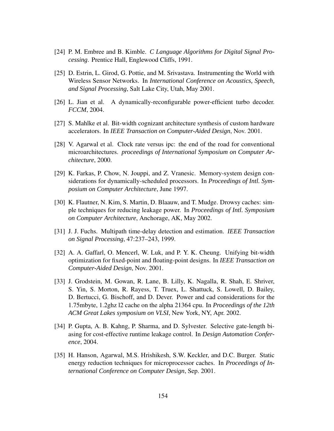- [24] P. M. Embree and B. Kimble. *C Language Algorithms for Digital Signal Processing*. Prentice Hall, Englewood Cliffs, 1991.
- [25] D. Estrin, L. Girod, G. Pottie, and M. Srivastava. Instrumenting the World with Wireless Sensor Networks. In *International Conference on Acoustics, Speech, and Signal Processing*, Salt Lake City, Utah, May 2001.
- [26] L. Jian et al. A dynamically-reconfigurable power-efficient turbo decoder. *FCCM*, 2004.
- [27] S. Mahlke et al. Bit-width cognizant architecture synthesis of custom hardware accelerators. In *IEEE Transaction on Computer-Aided Design*, Nov. 2001.
- [28] V. Agarwal et al. Clock rate versus ipc: the end of the road for conventional microarchitectures. *proceedings of International Symposium on Computer Architecture*, 2000.
- [29] K. Farkas, P. Chow, N. Jouppi, and Z. Vranesic. Memory-system design considerations for dynamically-scheduled processors. In *Proceedings of Intl. Symposium on Computer Architecture*, June 1997.
- [30] K. Flautner, N. Kim, S. Martin, D. Blaauw, and T. Mudge. Drowsy caches: simple techniques for reducing leakage power. In *Proceedings of Intl. Symposium on Computer Architecture*, Anchorage, AK, May 2002.
- [31] J. J. Fuchs. Multipath time-delay detection and estimation. *IEEE Transaction on Signal Processing*, 47:237–243, 1999.
- [32] A. A. Gaffarl, O. Mencerl, W. Luk, and P. Y. K. Cheung. Unifying bit-width optimization for fixed-point and floating-point designs. In *IEEE Transaction on Computer-Aided Design*, Nov. 2001.
- [33] J. Grodstein, M. Gowan, R. Lane, B. Lilly, K. Nagalla, R. Shah, E. Shriver, S. Yin, S. Morton, R. Rayess, T. Truex, L. Shattuck, S. Lowell, D. Bailey, D. Bertucci, G. Bischoff, and D. Dever. Power and cad considerations for the 1.75mbyte, 1.2ghz l2 cache on the alpha 21364 cpu. In *Proceedings of the 12th ACM Great Lakes symposium on VLSI*, New York, NY, Apr. 2002.
- [34] P. Gupta, A. B. Kahng, P. Sharma, and D. Sylvester. Selective gate-length biasing for cost-effective runtime leakage control. In *Design Automation Conference*, 2004.
- [35] H. Hanson, Agarwal, M.S. Hrishikesh, S.W. Keckler, and D.C. Burger. Static energy reduction techniques for microprocessor caches. In *Proceedings of International Conference on Computer Design*, Sep. 2001.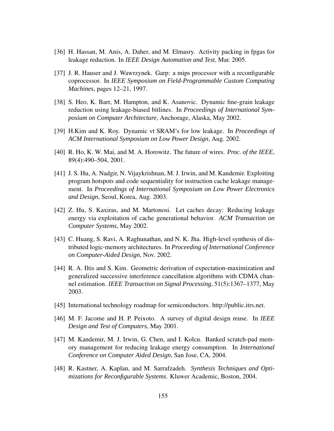- [36] H. Hassan, M. Anis, A. Daher, and M. Elmasry. Activity packing in fpgas for leakage reduction. In *IEEE Design Automation and Test*, Mar. 2005.
- [37] J. R. Hauser and J. Wawrzynek. Garp: a mips processor with a reconfigurable coprocessor. In *IEEE Symposium on Field-Programmable Custom Computing Machines*, pages 12–21, 1997.
- [38] S. Heo, K. Barr, M. Hampton, and K. Asanovic. Dynamic fine-grain leakage reduction using leakage-biased bitlines. In *Proceedings of International Symposium on Computer Architecture*, Anchorage, Alaska, May 2002.
- [39] H.Kim and K. Roy. Dynamic vt SRAM's for low leakage. In *Proceedings of ACM International Symposium on Low Power Design*, Aug. 2002.
- [40] R. Ho, K. W. Mai, and M. A. Horowitz. The future of wires. *Proc. of the IEEE*, 89(4):490–504, 2001.
- [41] J. S. Hu, A. Nadgir, N. Vijaykrishnan, M. J. Irwin, and M. Kandemir. Exploiting program hotspots and code sequentiality for instruction cache leakage management. In *Proceedings of International Symposium on Low Power Electronics and Design*, Seoul, Korea, Aug. 2003.
- [42] Z. Hu, S. Kaxiras, and M. Martonosi. Let caches decay: Reducing leakage energy via exploitation of cache generational behavior. *ACM Transaction on Computer Systems*, May 2002.
- [43] C. Huang, S. Ravi, A. Raghunathan, and N. K. Jha. High-level synthesis of distributed logic-memory architectures. In *Proceeding of International Conference on Computer-Aided Design*, Nov. 2002.
- [44] R. A. Iltis and S. Kim. Geometric derivation of expectation-maximization and generalized successive interference cancellation algorithms with CDMA channel estimation. *IEEE Transaction on Signal Processing*, 51(5):1367–1377, May 2003.
- [45] International technology roadmap for semiconductors. http://public.itrs.net.
- [46] M. F. Jacome and H. P. Peixoto. A survey of digital design reuse. In *IEEE Design and Test of Computers*, May 2001.
- [47] M. Kandemir, M. J. Irwin, G. Chen, and I. Kolcu. Banked scratch-pad memory management for reducing leakage energy consumption. In *International Conference on Computer Aided Design*, San Jose, CA, 2004.
- [48] R. Kastner, A. Kaplan, and M. Sarrafzadeh. *Synthesis Techniques and Optimizations for Reconfigurable Systems*. Kluwer Academic, Boston, 2004.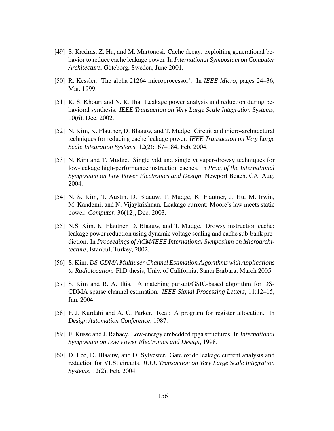- [49] S. Kaxiras, Z. Hu, and M. Martonosi. Cache decay: exploiting generational behavior to reduce cache leakage power. In *International Symposium on Computer Architecture*, Gőteborg, Sweden, June 2001.
- [50] R. Kessler. The alpha 21264 microprocessor'. In *IEEE Micro*, pages 24–36, Mar. 1999.
- [51] K. S. Khouri and N. K. Jha. Leakage power analysis and reduction during behavioral synthesis. *IEEE Transaction on Very Large Scale Integration Systems*, 10(6), Dec. 2002.
- [52] N. Kim, K. Flautner, D. Blaauw, and T. Mudge. Circuit and micro-architectural techniques for reducing cache leakage power. *IEEE Transaction on Very Large Scale Integration Systems*, 12(2):167–184, Feb. 2004.
- [53] N. Kim and T. Mudge. Single vdd and single vt super-drowsy techniques for low-leakage high-performance instruction caches. In *Proc. of the International Symposium on Low Power Electronics and Design*, Newport Beach, CA, Aug. 2004.
- [54] N. S. Kim, T. Austin, D. Blaauw, T. Mudge, K. Flautner, J. Hu, M. Irwin, M. Kandemi, and N. Vijaykrishnan. Leakage current: Moore's law meets static power. *Computer*, 36(12), Dec. 2003.
- [55] N.S. Kim, K. Flautner, D. Blaauw, and T. Mudge. Drowsy instruction cache: leakage power reduction using dynamic voltage scaling and cache sub-bank prediction. In *Proceedings of ACM/IEEE International Symposium on Microarchitecture*, Istanbul, Turkey, 2002.
- [56] S. Kim. *DS-CDMA Multiuser Channel Estimation Algorithms with Applications to Radiolocation*. PhD thesis, Univ. of California, Santa Barbara, March 2005.
- [57] S. Kim and R. A. Iltis. A matching pursuit/GSIC-based algorithm for DS-CDMA sparse channel estimation. *IEEE Signal Processing Letters*, 11:12–15, Jan. 2004.
- [58] F. J. Kurdahi and A. C. Parker. Real: A program for register allocation. In *Design Automation Conference*, 1987.
- [59] E. Kusse and J. Rabaey. Low-energy embedded fpga structures. In *International Symposium on Low Power Electronics and Design*, 1998.
- [60] D. Lee, D. Blaauw, and D. Sylvester. Gate oxide leakage current analysis and reduction for VLSI circuits. *IEEE Transaction on Very Large Scale Integration Systems*, 12(2), Feb. 2004.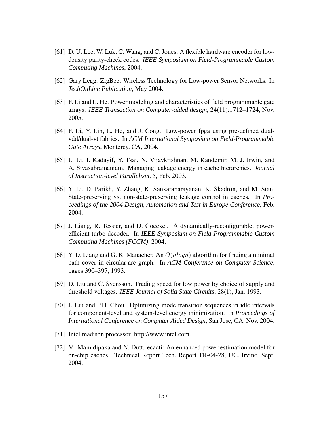- [61] D. U. Lee, W. Luk, C. Wang, and C. Jones. A flexible hardware encoder for lowdensity parity-check codes. *IEEE Symposium on Field-Programmable Custom Computing Machines*, 2004.
- [62] Gary Legg. ZigBee: Wireless Technology for Low-power Sensor Networks. In *TechOnLine Publication*, May 2004.
- [63] F. Li and L. He. Power modeling and characteristics of field programmable gate arrays. *IEEE Transaction on Computer-aided design*, 24(11):1712–1724, Nov. 2005.
- [64] F. Li, Y. Lin, L. He, and J. Cong. Low-power fpga using pre-defined dualvdd/dual-vt fabrics. In *ACM International Symposium on Field-Programmable Gate Arrays*, Monterey, CA, 2004.
- [65] L. Li, I. Kadayif, Y. Tsai, N. Vijaykrishnan, M. Kandemir, M. J. Irwin, and A. Sivasubramaniam. Managing leakage energy in cache hierarchies. *Journal of Instruction-level Parallelism*, 5, Feb. 2003.
- [66] Y. Li, D. Parikh, Y. Zhang, K. Sankaranarayanan, K. Skadron, and M. Stan. State-preserving vs. non-state-preserving leakage control in caches. In *Proceedings of the 2004 Design, Automation and Test in Europe Conference*, Feb. 2004.
- [67] J. Liang, R. Tessier, and D. Goeckel. A dynamically-reconfigurable, powerefficient turbo decoder. In *IEEE Symposium on Field-Programmable Custom Computing Machines (FCCM)*, 2004.
- [68] Y. D. Liang and G. K. Manacher. An  $O(n \log n)$  algorithm for finding a minimal path cover in circular-arc graph. In *ACM Conference on Computer Science*, pages 390–397, 1993.
- [69] D. Liu and C. Svensson. Trading speed for low power by choice of supply and threshold voltages. *IEEE Journal of Solid State Circuits*, 28(1), Jan. 1993.
- [70] J. Liu and P.H. Chou. Optimizing mode transition sequences in idle intervals for component-level and system-level energy minimization. In *Proceedings of International Conference on Computer Aided Design*, San Jose, CA, Nov. 2004.
- [71] Intel madison processor. http://www.intel.com.
- [72] M. Mamidipaka and N. Dutt. ecacti: An enhanced power estimation model for on-chip caches. Technical Report Tech. Report TR-04-28, UC. Irvine, Sept. 2004.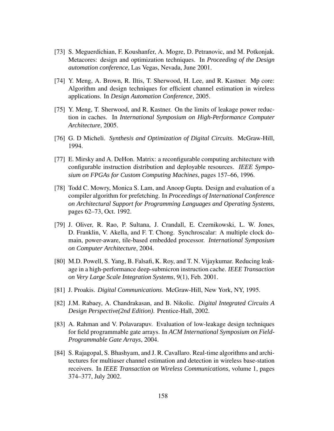- [73] S. Meguerdichian, F. Koushanfer, A. Mogre, D. Petranovic, and M. Potkonjak. Metacores: design and optimization techniques. In *Proceeding of the Design automation conference*, Las Vegas, Nevada, June 2001.
- [74] Y. Meng, A. Brown, R. Iltis, T. Sherwood, H. Lee, and R. Kastner. Mp core: Algorithm and design techniques for efficient channel estimation in wireless applications. In *Design Automation Conference*, 2005.
- [75] Y. Meng, T. Sherwood, and R. Kastner. On the limits of leakage power reduction in caches. In *International Symposium on High-Performance Computer Architecture*, 2005.
- [76] G. D Micheli. *Synthesis and Optimization of Digital Circuits*. McGraw-Hill, 1994.
- [77] E. Mirsky and A. DeHon. Matrix: a reconfigurable computing architecture with configurable instruction distribution and deployable resources. *IEEE Symposium on FPGAs for Custom Computing Machines*, pages 157–66, 1996.
- [78] Todd C. Mowry, Monica S. Lam, and Anoop Gupta. Design and evaluation of a compiler algorithm for prefetching. In *Proceedings of International Conference on Architectural Support for Programming Languages and Operating Systems*, pages 62–73, Oct. 1992.
- [79] J. Oliver, R. Rao, P. Sultana, J. Crandall, E. Czernikowski, L. W. Jones, D. Franklin, V. Akella, and F. T. Chong. Synchroscalar: A multiple clock domain, power-aware, tile-based embedded processor. *International Symposium on Computer Architecture*, 2004.
- [80] M.D. Powell, S. Yang, B. Falsafi, K. Roy, and T. N. Vijaykumar. Reducing leakage in a high-performance deep-submicron instruction cache. *IEEE Transaction on Very Large Scale Integration Systems*, 9(1), Feb. 2001.
- [81] J. Proakis. *Digital Communications*. McGraw-Hill, New York, NY, 1995.
- [82] J.M. Rabaey, A. Chandrakasan, and B. Nikolic. *Digital Integrated Circuits A Design Perspective(2nd Edition)*. Prentice-Hall, 2002.
- [83] A. Rahman and V. Polavarapuv. Evaluation of low-leakage design techniques for field programmable gate arrays. In *ACM International Symposium on Field-Programmable Gate Arrays*, 2004.
- [84] S. Rajagopal, S. Bhashyam, and J. R. Cavallaro. Real-time algorithms and architectures for multiuser channel estimation and detection in wireless base-station receivers. In *IEEE Transaction on Wireless Communications*, volume 1, pages 374–377, July 2002.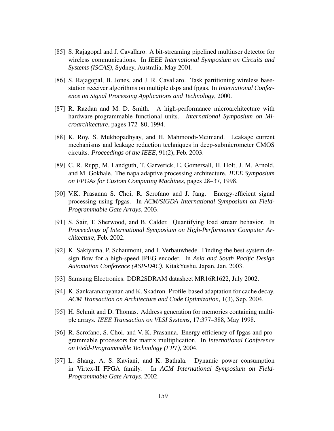- [85] S. Rajagopal and J. Cavallaro. A bit-streaming pipelined multiuser detector for wireless communications. In *IEEE International Symposium on Circuits and Systems (ISCAS)*, Sydney, Australia, May 2001.
- [86] S. Rajagopal, B. Jones, and J. R. Cavallaro. Task partitioning wireless basestation receiver algorithms on multiple dsps and fpgas. In *International Conference on Signal Processing Applications and Technology*, 2000.
- [87] R. Razdan and M. D. Smith. A high-performance microarchitecture with hardware-programmable functional units. *International Symposium on Microarchitecture*, pages 172–80, 1994.
- [88] K. Roy, S. Mukhopadhyay, and H. Mahmoodi-Meimand. Leakage current mechanisms and leakage reduction techniques in deep-submicrometer CMOS circuits. *Proceedings of the IEEE*, 91(2), Feb. 2003.
- [89] C. R. Rupp, M. Landguth, T. Garverick, E. Gomersall, H. Holt, J. M. Arnold, and M. Gokhale. The napa adaptive processing architecture. *IEEE Symposium on FPGAs for Custom Computing Machines*, pages 28–37, 1998.
- [90] V.K. Prasanna S. Choi, R. Scrofano and J. Jang. Energy-efficient signal processing using fpgas. In *ACM/SIGDA International Symposium on Field-Programmable Gate Arrays*, 2003.
- [91] S. Sair, T. Sherwood, and B. Calder. Quantifying load stream behavior. In *Proceedings of International Symposium on High-Performance Computer Architecture*, Feb. 2002.
- [92] K. Sakiyama, P. Schaumont, and I. Verbauwhede. Finding the best system design flow for a high-speed JPEG encoder. In *Asia and South Pacific Design Automation Conference (ASP-DAC)*, KitakYushu, Japan, Jan. 2003.
- [93] Samsung Electronics. DDR2SDRAM datasheet MR16R1622, July 2002.
- [94] K. Sankaranarayanan and K. Skadron. Profile-based adaptation for cache decay. *ACM Transaction on Architecture and Code Optimization*, 1(3), Sep. 2004.
- [95] H. Schmit and D. Thomas. Address generation for memories containing multiple arrays. *IEEE Transaction on VLSI Systems*, 17:377–388, May 1998.
- [96] R. Scrofano, S. Choi, and V. K. Prasanna. Energy efficiency of fpgas and programmable processors for matrix multiplication. In *International Conference on Field-Programmable Technology (FPT)*, 2004.
- [97] L. Shang, A. S. Kaviani, and K. Bathala. Dynamic power consumption in Virtex-II FPGA family. In *ACM International Symposium on Field-Programmable Gate Arrays*, 2002.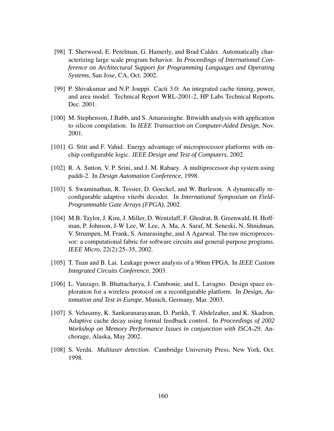- [98] T. Sherwood, E. Perelman, G. Hamerly, and Brad Calder. Automatically characterizing large scale program behavior. In *Proceedings of International Conference on Architectural Support for Programming Languages and Operating Systems*, San Jose, CA, Oct. 2002.
- [99] P. Shivakumar and N.P. Jouppi. Cacti 3.0: An integrated cache timing, power, and area model. Technical Report WRL-2001-2, HP Labs Technical Reports, Dec. 2001.
- [100] M. Stephenson, J.Babb, and S. Amarasinghe. Bitwidth analysis with application to silicon compilation. In *IEEE Transaction on Computer-Aided Design*, Nov. 2001.
- [101] G. Stitt and F. Vahid. Energy advantage of microprocessor platforms with onchip configurable logic. *IEEE Design and Test of Computers*, 2002.
- [102] R. A. Sutton, V. P. Srini, and J. M. Rabaey. A multiprocessor dsp system using paddi-2. In *Design Automation Conference*, 1998.
- [103] S. Swaminathan, R. Tessier, D. Goeckel, and W. Burleson. A dynamically reconfigurable adaptive viterbi decoder. In *International Symposium on Field-Programmable Gate Arrays (FPGA)*, 2002.
- [104] M.B. Taylor, J. Kim, J. Miller, D. Wentzlaff, F. Ghodrat, B. Greenwald, H. Hoffman, P. Johnson, J-W Lee, W. Lee, A. Ma, A. Saraf, M. Seneski, N. Shnidman, V. Strumpen, M. Frank, S. Amarasinghe, and A Agarwal. The raw microprocessor: a computational fabric for software circuits and general-purpose programs. *IEEE Micro*, 22(2):25–35, 2002.
- [105] T. Tuan and B. Lai. Leakage power analysis of a 90nm FPGA. In *IEEE Custom Integrated Circuits Conference*, 2003.
- [106] L. Vanzago, B. Bhattacharya, J. Cambonie, and L. Lavagno. Design space exploration for a wireless protocol on a reconfigurable platform. In *Design, Automation and Test in Europe*, Munich, Germany, Mar. 2003.
- [107] S. Velusamy, K. Sankaranarayanan, D. Parikh, T. Abdelzaher, and K. Skadron. Adaptive cache decay using formal feedback control. In *Proceedings of 2002 Workshop on Memory Performance Issues in conjunction with ISCA-29*, Anchorage, Alaska, May 2002.
- [108] S. Verdú. *Multiuser detection*. Cambridge University Press, New York, Oct. 1998.